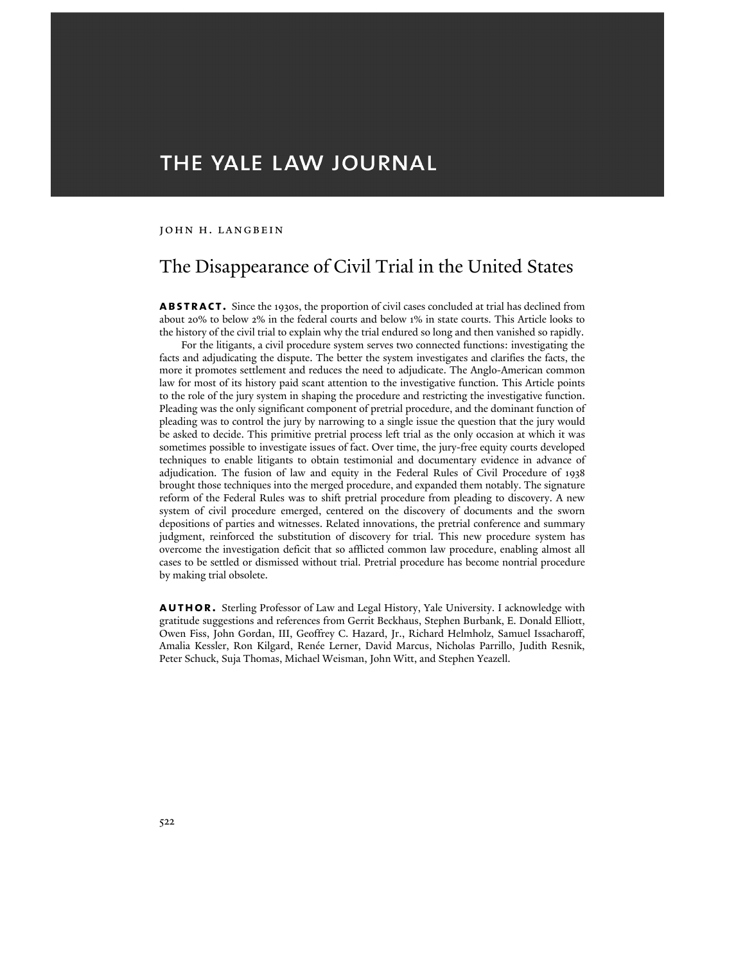# THE YALE LAW JOURNAL

# JOHN H. LANGBEIN

# The Disappearance of Civil Trial in the United States

**abstract.** Since the 1930s, the proportion of civil cases concluded at trial has declined from about 20% to below 2% in the federal courts and below 1% in state courts. This Article looks to the history of the civil trial to explain why the trial endured so long and then vanished so rapidly.

For the litigants, a civil procedure system serves two connected functions: investigating the facts and adjudicating the dispute. The better the system investigates and clarifies the facts, the more it promotes settlement and reduces the need to adjudicate. The Anglo-American common law for most of its history paid scant attention to the investigative function. This Article points to the role of the jury system in shaping the procedure and restricting the investigative function. Pleading was the only significant component of pretrial procedure, and the dominant function of pleading was to control the jury by narrowing to a single issue the question that the jury would be asked to decide. This primitive pretrial process left trial as the only occasion at which it was sometimes possible to investigate issues of fact. Over time, the jury-free equity courts developed techniques to enable litigants to obtain testimonial and documentary evidence in advance of adjudication. The fusion of law and equity in the Federal Rules of Civil Procedure of 1938 brought those techniques into the merged procedure, and expanded them notably. The signature reform of the Federal Rules was to shift pretrial procedure from pleading to discovery. A new system of civil procedure emerged, centered on the discovery of documents and the sworn depositions of parties and witnesses. Related innovations, the pretrial conference and summary judgment, reinforced the substitution of discovery for trial. This new procedure system has overcome the investigation deficit that so afflicted common law procedure, enabling almost all cases to be settled or dismissed without trial. Pretrial procedure has become nontrial procedure by making trial obsolete.

**AUTHOR.** Sterling Professor of Law and Legal History, Yale University. I acknowledge with gratitude suggestions and references from Gerrit Beckhaus, Stephen Burbank, E. Donald Elliott, Owen Fiss, John Gordan, III, Geoffrey C. Hazard, Jr., Richard Helmholz, Samuel Issacharoff, Amalia Kessler, Ron Kilgard, Renée Lerner, David Marcus, Nicholas Parrillo, Judith Resnik, Peter Schuck, Suja Thomas, Michael Weisman, John Witt, and Stephen Yeazell.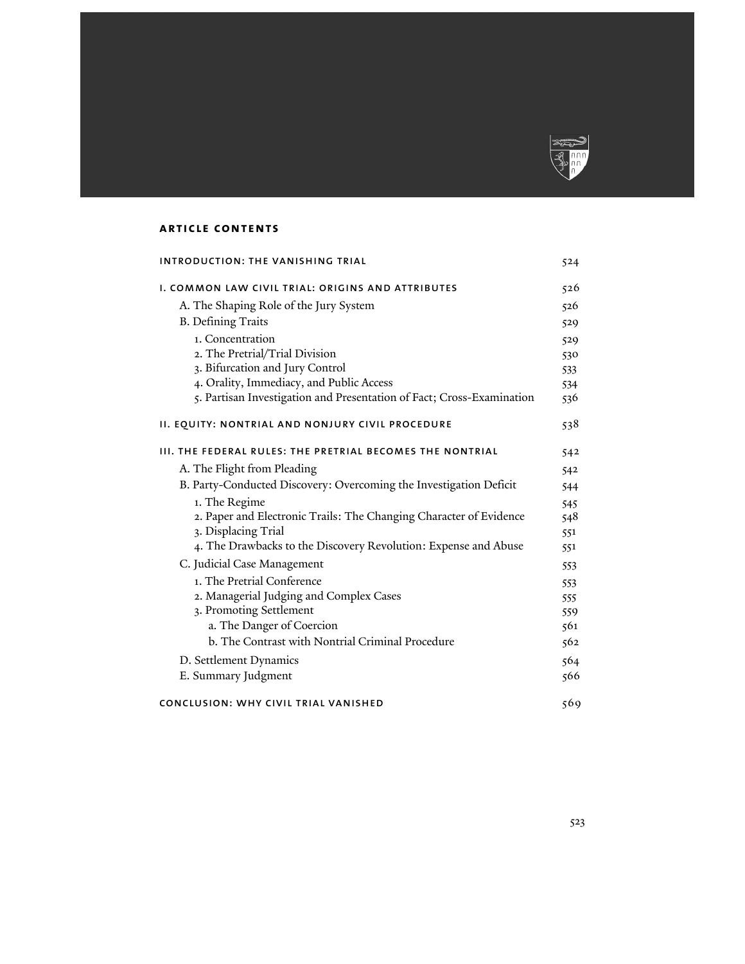

# **article contents**

| <b>INTRODUCTION: THE VANISHING TRIAL</b>                              | 524 |
|-----------------------------------------------------------------------|-----|
| I. COMMON LAW CIVIL TRIAL: ORIGINS AND ATTRIBUTES                     | 526 |
| A. The Shaping Role of the Jury System                                | 526 |
| <b>B.</b> Defining Traits                                             | 529 |
| 1. Concentration                                                      | 529 |
| 2. The Pretrial/Trial Division                                        | 530 |
| 3. Bifurcation and Jury Control                                       | 533 |
| 4. Orality, Immediacy, and Public Access                              | 534 |
| 5. Partisan Investigation and Presentation of Fact; Cross-Examination | 536 |
| II. EQUITY: NONTRIAL AND NONJURY CIVIL PROCEDURE                      | 538 |
| <b>III. THE FEDERAL RULES: THE PRETRIAL BECOMES THE NONTRIAL</b>      | 542 |
| A. The Flight from Pleading                                           | 542 |
| B. Party-Conducted Discovery: Overcoming the Investigation Deficit    | 544 |
| 1. The Regime                                                         | 545 |
| 2. Paper and Electronic Trails: The Changing Character of Evidence    | 548 |
| 3. Displacing Trial                                                   | 551 |
| 4. The Drawbacks to the Discovery Revolution: Expense and Abuse       | 551 |
| C. Judicial Case Management                                           | 553 |
| 1. The Pretrial Conference                                            | 553 |
| 2. Managerial Judging and Complex Cases                               | 555 |
| 3. Promoting Settlement                                               | 559 |
| a. The Danger of Coercion                                             | 561 |
| b. The Contrast with Nontrial Criminal Procedure                      | 562 |
| D. Settlement Dynamics                                                | 564 |
| E. Summary Judgment                                                   | 566 |
| CONCLUSION: WHY CIVIL TRIAL VANISHED                                  | 569 |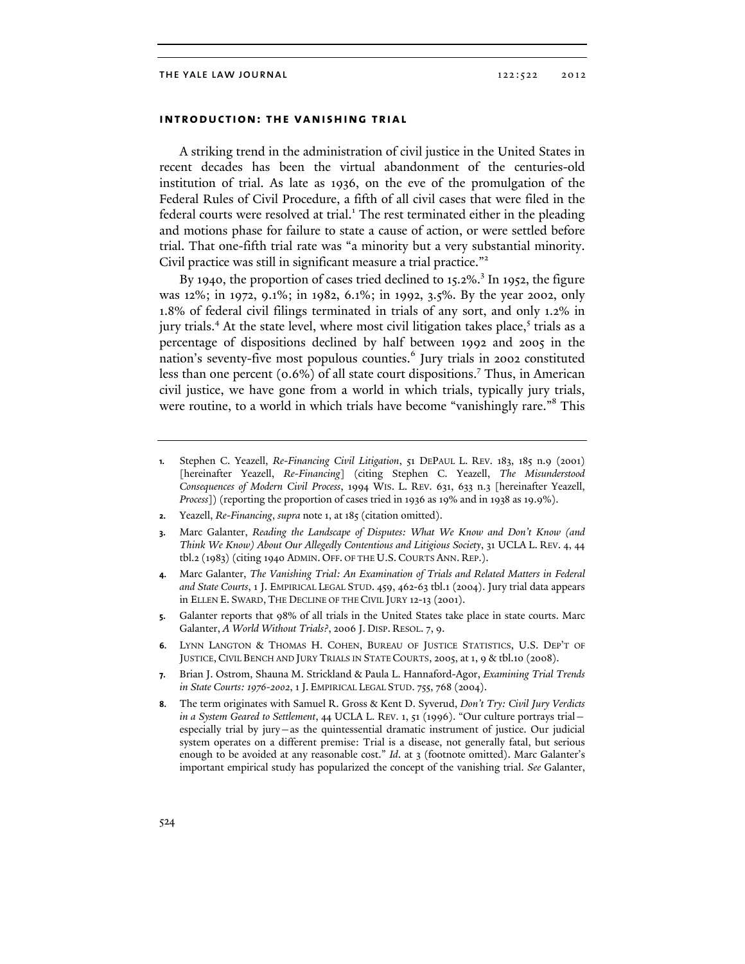# **introduction: the vanishing trial**

A striking trend in the administration of civil justice in the United States in recent decades has been the virtual abandonment of the centuries-old institution of trial. As late as 1936, on the eve of the promulgation of the Federal Rules of Civil Procedure, a fifth of all civil cases that were filed in the federal courts were resolved at trial.<sup>1</sup> The rest terminated either in the pleading and motions phase for failure to state a cause of action, or were settled before trial. That one-fifth trial rate was "a minority but a very substantial minority. Civil practice was still in significant measure a trial practice."<sup>2</sup>

By 1940, the proportion of cases tried declined to 15.2%.<sup>3</sup> In 1952, the figure was 12%; in 1972, 9.1%; in 1982, 6.1%; in 1992, 3.5%. By the year 2002, only 1.8% of federal civil filings terminated in trials of any sort, and only 1.2% in jury trials.<sup>4</sup> At the state level, where most civil litigation takes place,<sup>5</sup> trials as a percentage of dispositions declined by half between 1992 and 2005 in the nation's seventy-five most populous counties.<sup>6</sup> Jury trials in 2002 constituted less than one percent (0.6%) of all state court dispositions.<sup>7</sup> Thus, in American civil justice, we have gone from a world in which trials, typically jury trials, were routine, to a world in which trials have become "vanishingly rare."<sup>8</sup> This

- **2.** Yeazell, *Re-Financing*, *supra* note 1, at 185 (citation omitted).
- **3.** Marc Galanter, *Reading the Landscape of Disputes: What We Know and Don't Know (and Think We Know) About Our Allegedly Contentious and Litigious Society*, 31 UCLA L. REV. 4, 44 tbl.2 (1983) (citing 1940 ADMIN. OFF. OF THE U.S. COURTS ANN. REP.).
- **4.** Marc Galanter, *The Vanishing Trial: An Examination of Trials and Related Matters in Federal and State Courts*, 1 J. EMPIRICAL LEGAL STUD. 459, 462-63 tbl.1 (2004). Jury trial data appears in ELLEN E. SWARD, THE DECLINE OF THE CIVIL JURY 12-13 (2001).
- **5.** Galanter reports that 98% of all trials in the United States take place in state courts. Marc Galanter, *A World Without Trials?*, 2006 J. DISP. RESOL. 7, 9.
- **6.** LYNN LANGTON & THOMAS H. COHEN, BUREAU OF JUSTICE STATISTICS, U.S. DEP'T OF JUSTICE, CIVIL BENCH AND JURY TRIALS IN STATE COURTS, 2005, at 1, 9 & tbl.10 (2008).
- **7.** Brian J. Ostrom, Shauna M. Strickland & Paula L. Hannaford-Agor, *Examining Trial Trends in State Courts: 1976-2002*, 1 J. EMPIRICAL LEGAL STUD. 755, 768 (2004).
- **8.** The term originates with Samuel R. Gross & Kent D. Syverud, *Don't Try: Civil Jury Verdicts in a System Geared to Settlement*, 44 UCLA L. REV. 1, 51 (1996). "Our culture portrays trial especially trial by jury—as the quintessential dramatic instrument of justice. Our judicial system operates on a different premise: Trial is a disease, not generally fatal, but serious enough to be avoided at any reasonable cost." *Id.* at 3 (footnote omitted). Marc Galanter's important empirical study has popularized the concept of the vanishing trial. *See* Galanter,

**<sup>1.</sup>** Stephen C. Yeazell, *Re-Financing Civil Litigation*, 51 DEPAUL L. REV. 183, 185 n.9 (2001) [hereinafter Yeazell, *Re-Financing*] (citing Stephen C. Yeazell, *The Misunderstood Consequences of Modern Civil Process*, 1994 WIS. L. REV. 631, 633 n.3 [hereinafter Yeazell, *Process*]) (reporting the proportion of cases tried in 1936 as 19% and in 1938 as 19.9%).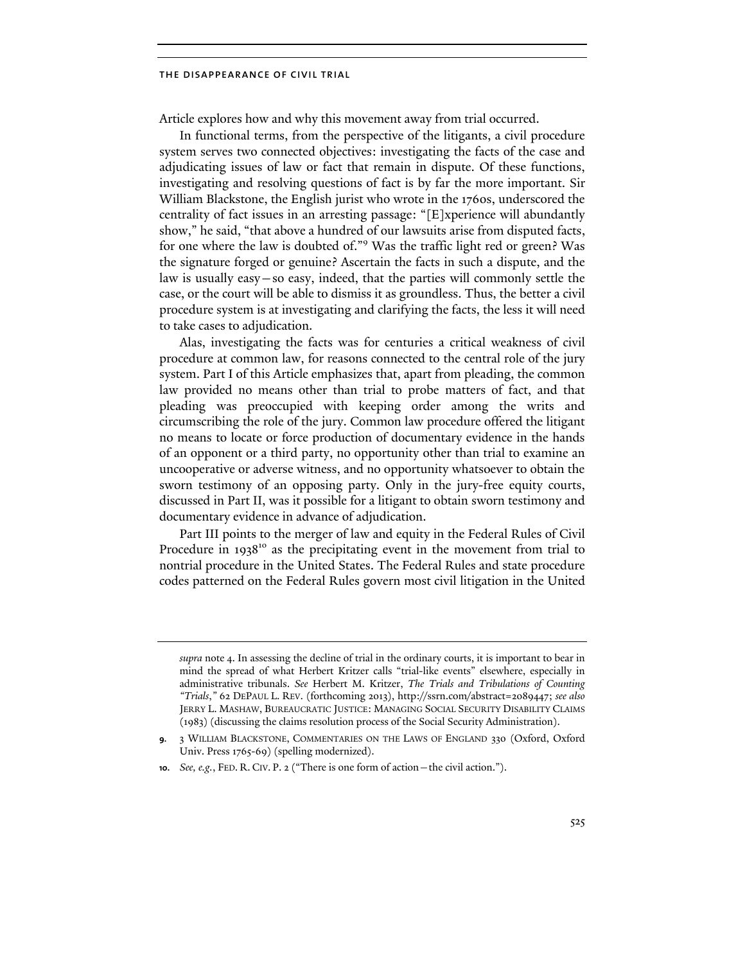Article explores how and why this movement away from trial occurred.

In functional terms, from the perspective of the litigants, a civil procedure system serves two connected objectives: investigating the facts of the case and adjudicating issues of law or fact that remain in dispute. Of these functions, investigating and resolving questions of fact is by far the more important. Sir William Blackstone, the English jurist who wrote in the 1760s, underscored the centrality of fact issues in an arresting passage: "[E]xperience will abundantly show," he said, "that above a hundred of our lawsuits arise from disputed facts, for one where the law is doubted of."<sup>9</sup> Was the traffic light red or green? Was the signature forged or genuine? Ascertain the facts in such a dispute, and the law is usually easy—so easy, indeed, that the parties will commonly settle the case, or the court will be able to dismiss it as groundless. Thus, the better a civil procedure system is at investigating and clarifying the facts, the less it will need to take cases to adjudication.

Alas, investigating the facts was for centuries a critical weakness of civil procedure at common law, for reasons connected to the central role of the jury system. Part I of this Article emphasizes that, apart from pleading, the common law provided no means other than trial to probe matters of fact, and that pleading was preoccupied with keeping order among the writs and circumscribing the role of the jury. Common law procedure offered the litigant no means to locate or force production of documentary evidence in the hands of an opponent or a third party, no opportunity other than trial to examine an uncooperative or adverse witness, and no opportunity whatsoever to obtain the sworn testimony of an opposing party. Only in the jury-free equity courts, discussed in Part II, was it possible for a litigant to obtain sworn testimony and documentary evidence in advance of adjudication.

Part III points to the merger of law and equity in the Federal Rules of Civil Procedure in  $1938^{10}$  as the precipitating event in the movement from trial to nontrial procedure in the United States. The Federal Rules and state procedure codes patterned on the Federal Rules govern most civil litigation in the United

*supra* note 4. In assessing the decline of trial in the ordinary courts, it is important to bear in mind the spread of what Herbert Kritzer calls "trial-like events" elsewhere, especially in administrative tribunals. *See* Herbert M. Kritzer, *The Trials and Tribulations of Counting "Trials*,*"* 62 DEPAUL L. REV. (forthcoming 2013), http://ssrn.com/abstract=2089447; *see also* JERRY L. MASHAW, BUREAUCRATIC JUSTICE: MANAGING SOCIAL SECURITY DISABILITY CLAIMS (1983) (discussing the claims resolution process of the Social Security Administration).

**<sup>9.</sup>** 3 WILLIAM BLACKSTONE, COMMENTARIES ON THE LAWS OF ENGLAND 330 (Oxford, Oxford Univ. Press 1765-69) (spelling modernized).

**<sup>10.</sup>** *See, e.g.*, FED. R. CIV. P. 2 ("There is one form of action—the civil action.").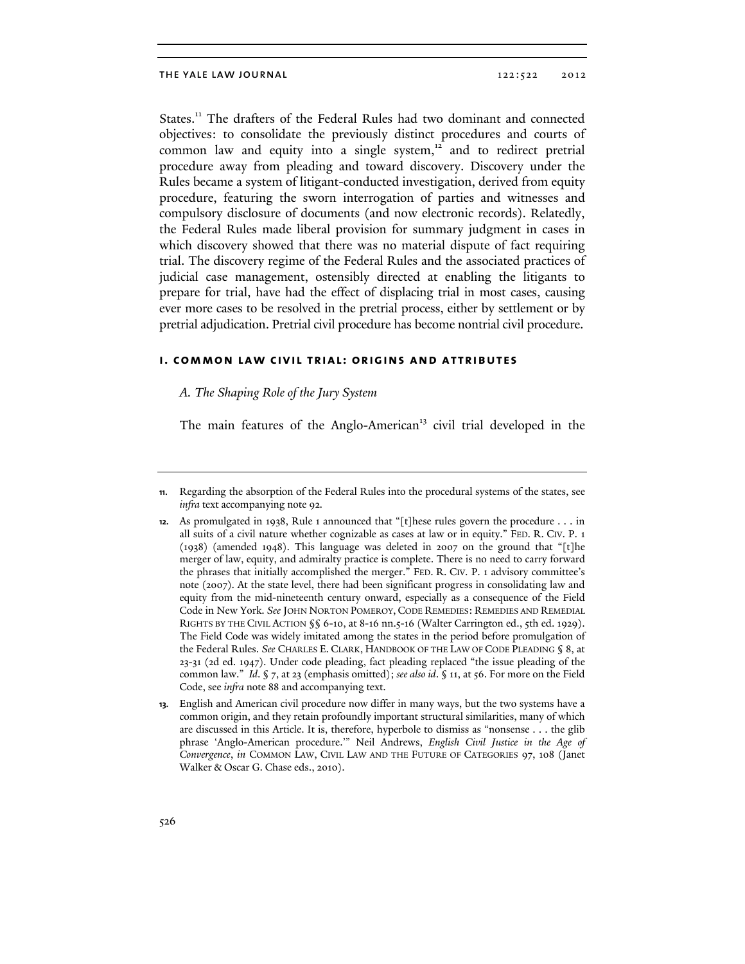States.<sup>11</sup> The drafters of the Federal Rules had two dominant and connected objectives: to consolidate the previously distinct procedures and courts of common law and equity into a single system, $12$  and to redirect pretrial procedure away from pleading and toward discovery. Discovery under the Rules became a system of litigant-conducted investigation, derived from equity procedure, featuring the sworn interrogation of parties and witnesses and compulsory disclosure of documents (and now electronic records). Relatedly, the Federal Rules made liberal provision for summary judgment in cases in which discovery showed that there was no material dispute of fact requiring trial. The discovery regime of the Federal Rules and the associated practices of judicial case management, ostensibly directed at enabling the litigants to prepare for trial, have had the effect of displacing trial in most cases, causing ever more cases to be resolved in the pretrial process, either by settlement or by pretrial adjudication. Pretrial civil procedure has become nontrial civil procedure.

# **i. common law civil trial: origins and attributes**

# *A. The Shaping Role of the Jury System*

The main features of the Anglo-American<sup>13</sup> civil trial developed in the

**<sup>11.</sup>** Regarding the absorption of the Federal Rules into the procedural systems of the states, see *infra* text accompanying note 92.

**<sup>12.</sup>** As promulgated in 1938, Rule 1 announced that "[t]hese rules govern the procedure . . . in all suits of a civil nature whether cognizable as cases at law or in equity." FED. R. CIV. P. 1 (1938) (amended 1948). This language was deleted in 2007 on the ground that "[t]he merger of law, equity, and admiralty practice is complete. There is no need to carry forward the phrases that initially accomplished the merger." FED. R. CIV. P. 1 advisory committee's note (2007). At the state level, there had been significant progress in consolidating law and equity from the mid-nineteenth century onward, especially as a consequence of the Field Code in New York. *See* JOHN NORTON POMEROY, CODE REMEDIES: REMEDIES AND REMEDIAL RIGHTS BY THE CIVIL ACTION §§ 6-10, at 8-16 nn.5-16 (Walter Carrington ed., 5th ed. 1929). The Field Code was widely imitated among the states in the period before promulgation of the Federal Rules. *See* CHARLES E. CLARK, HANDBOOK OF THE LAW OF CODE PLEADING § 8, at 23-31 (2d ed. 1947). Under code pleading, fact pleading replaced "the issue pleading of the common law." *Id*. § 7, at 23 (emphasis omitted); *see also id*. § 11, at 56. For more on the Field Code, see *infra* note 88 and accompanying text.

**<sup>13.</sup>** English and American civil procedure now differ in many ways, but the two systems have a common origin, and they retain profoundly important structural similarities, many of which are discussed in this Article. It is, therefore, hyperbole to dismiss as "nonsense . . . the glib phrase 'Anglo-American procedure.'" Neil Andrews, *English Civil Justice in the Age of Convergence*, *in* COMMON LAW, CIVIL LAW AND THE FUTURE OF CATEGORIES 97, 108 (Janet Walker & Oscar G. Chase eds., 2010).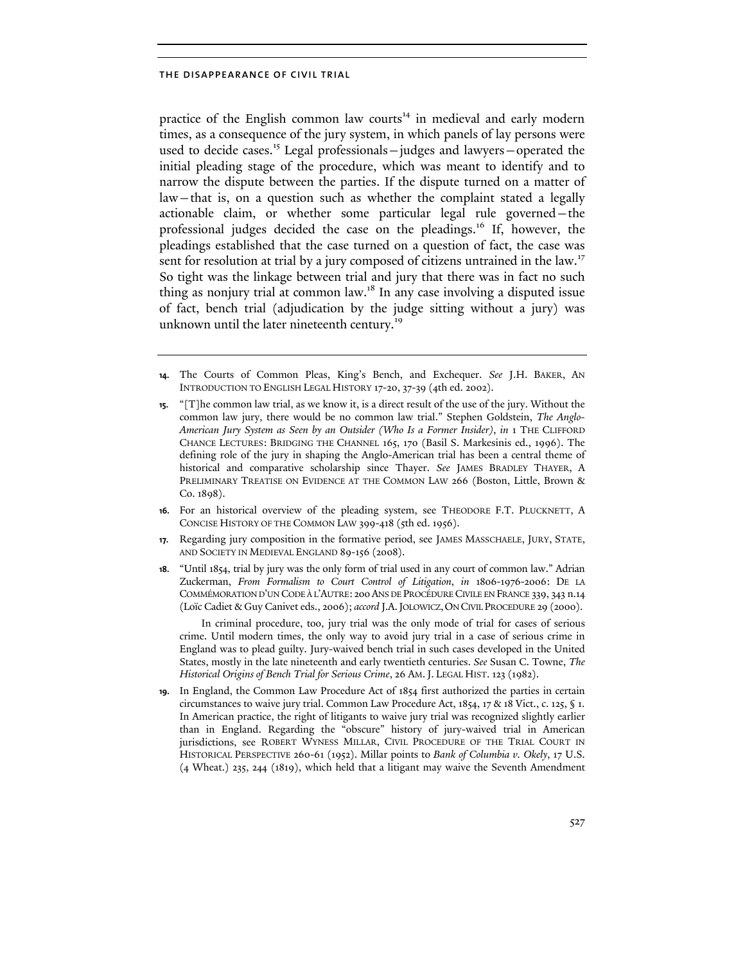practice of the English common law courts<sup>14</sup> in medieval and early modern times, as a consequence of the jury system, in which panels of lay persons were used to decide cases.<sup>15</sup> Legal professionals—judges and lawyers—operated the initial pleading stage of the procedure, which was meant to identify and to narrow the dispute between the parties. If the dispute turned on a matter of law—that is, on a question such as whether the complaint stated a legally actionable claim, or whether some particular legal rule governed—the professional judges decided the case on the pleadings.<sup>16</sup> If, however, the pleadings established that the case turned on a question of fact, the case was sent for resolution at trial by a jury composed of citizens untrained in the law.<sup>17</sup> So tight was the linkage between trial and jury that there was in fact no such thing as nonjury trial at common law.18 In any case involving a disputed issue of fact, bench trial (adjudication by the judge sitting without a jury) was unknown until the later nineteenth century.<sup>19</sup>

- **14.** The Courts of Common Pleas, King's Bench, and Exchequer. *See* J.H. BAKER, AN INTRODUCTION TO ENGLISH LEGAL HISTORY 17-20, 37-39 (4th ed. 2002).
- **15.** "[T]he common law trial, as we know it, is a direct result of the use of the jury. Without the common law jury, there would be no common law trial." Stephen Goldstein, *The Anglo-American Jury System as Seen by an Outsider (Who Is a Former Insider)*, *in* 1 THE CLIFFORD CHANCE LECTURES: BRIDGING THE CHANNEL 165, 170 (Basil S. Markesinis ed., 1996). The defining role of the jury in shaping the Anglo-American trial has been a central theme of historical and comparative scholarship since Thayer. *See* JAMES BRADLEY THAYER, A PRELIMINARY TREATISE ON EVIDENCE AT THE COMMON LAW 266 (Boston, Little, Brown & Co. 1898).
- **16.** For an historical overview of the pleading system, see THEODORE F.T. PLUCKNETT, A CONCISE HISTORY OF THE COMMON LAW 399-418 (5th ed. 1956).
- **17.** Regarding jury composition in the formative period, see JAMES MASSCHAELE, JURY, STATE, AND SOCIETY IN MEDIEVAL ENGLAND 89-156 (2008).
- **18.** "Until 1854, trial by jury was the only form of trial used in any court of common law." Adrian Zuckerman, *From Formalism to Court Control of Litigation*, *in* 1806-1976-2006: DE LA COMMÉMORATION D'UN CODE À L'AUTRE: 200ANS DE PROCÉDURE CIVILE EN FRANCE 339, 343 n.14 (Loïc Cadiet & Guy Canivet eds., 2006); *accord* J.A.JOLOWICZ,ON CIVIL PROCEDURE 29 (2000).

In criminal procedure, too, jury trial was the only mode of trial for cases of serious crime. Until modern times, the only way to avoid jury trial in a case of serious crime in England was to plead guilty. Jury-waived bench trial in such cases developed in the United States, mostly in the late nineteenth and early twentieth centuries. *See* Susan C. Towne, *The Historical Origins of Bench Trial for Serious Crime*, 26 AM.J. LEGAL HIST. 123 (1982).

**19.** In England, the Common Law Procedure Act of 1854 first authorized the parties in certain circumstances to waive jury trial. Common Law Procedure Act, 1854, 17 & 18 Vict., c. 125, § 1. In American practice, the right of litigants to waive jury trial was recognized slightly earlier than in England. Regarding the "obscure" history of jury-waived trial in American jurisdictions, see ROBERT WYNESS MILLAR, CIVIL PROCEDURE OF THE TRIAL COURT IN HISTORICAL PERSPECTIVE 260-61 (1952). Millar points to *Bank of Columbia v. Okely*, 17 U.S. (4 Wheat.) 235, 244 (1819), which held that a litigant may waive the Seventh Amendment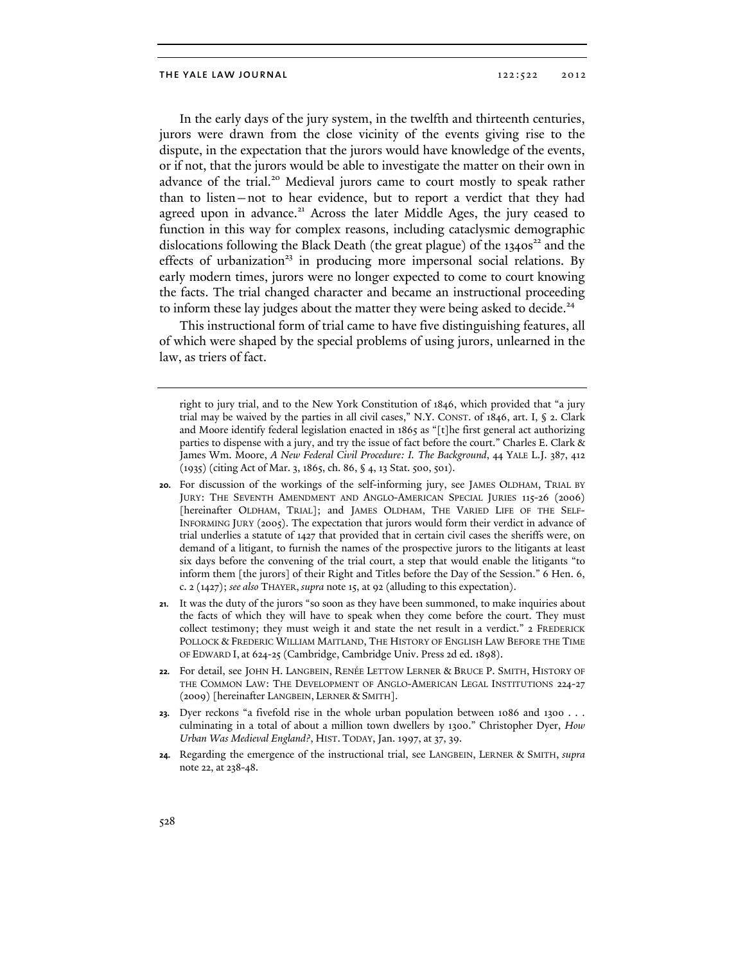In the early days of the jury system, in the twelfth and thirteenth centuries, jurors were drawn from the close vicinity of the events giving rise to the dispute, in the expectation that the jurors would have knowledge of the events, or if not, that the jurors would be able to investigate the matter on their own in advance of the trial.<sup>20</sup> Medieval jurors came to court mostly to speak rather than to listen—not to hear evidence, but to report a verdict that they had agreed upon in advance.<sup>21</sup> Across the later Middle Ages, the jury ceased to function in this way for complex reasons, including cataclysmic demographic dislocations following the Black Death (the great plague) of the  $1340s^{22}$  and the effects of urbanization<sup>23</sup> in producing more impersonal social relations. By early modern times, jurors were no longer expected to come to court knowing the facts. The trial changed character and became an instructional proceeding to inform these lay judges about the matter they were being asked to decide.<sup>24</sup>

This instructional form of trial came to have five distinguishing features, all of which were shaped by the special problems of using jurors, unlearned in the law, as triers of fact.

right to jury trial, and to the New York Constitution of 1846, which provided that "a jury trial may be waived by the parties in all civil cases," N.Y. CONST. of 1846, art. I, § 2. Clark and Moore identify federal legislation enacted in 1865 as "[t]he first general act authorizing parties to dispense with a jury, and try the issue of fact before the court." Charles E. Clark & James Wm. Moore, *A New Federal Civil Procedure: I. The Background*, 44 YALE L.J. 387, 412 (1935) (citing Act of Mar. 3, 1865, ch. 86, § 4, 13 Stat. 500, 501).

- **20.** For discussion of the workings of the self-informing jury, see JAMES OLDHAM, TRIAL BY JURY: THE SEVENTH AMENDMENT AND ANGLO-AMERICAN SPECIAL JURIES 115-26 (2006) [hereinafter OLDHAM, TRIAL]; and JAMES OLDHAM, THE VARIED LIFE OF THE SELF-INFORMING JURY (2005). The expectation that jurors would form their verdict in advance of trial underlies a statute of 1427 that provided that in certain civil cases the sheriffs were, on demand of a litigant, to furnish the names of the prospective jurors to the litigants at least six days before the convening of the trial court, a step that would enable the litigants "to inform them [the jurors] of their Right and Titles before the Day of the Session." 6 Hen. 6, c. 2 (1427); *see also* THAYER, *supra* note 15, at 92 (alluding to this expectation).
- **21.** It was the duty of the jurors "so soon as they have been summoned, to make inquiries about the facts of which they will have to speak when they come before the court. They must collect testimony; they must weigh it and state the net result in a verdict." 2 FREDERICK POLLOCK & FREDERIC WILLIAM MAITLAND, THE HISTORY OF ENGLISH LAW BEFORE THE TIME OF EDWARD I, at 624-25 (Cambridge, Cambridge Univ. Press 2d ed. 1898).
- **22.** For detail, see JOHN H. LANGBEIN, RENÉE LETTOW LERNER & BRUCE P. SMITH, HISTORY OF THE COMMON LAW: THE DEVELOPMENT OF ANGLO-AMERICAN LEGAL INSTITUTIONS 224-27 (2009) [hereinafter LANGBEIN, LERNER & SMITH].
- **23.** Dyer reckons "a fivefold rise in the whole urban population between 1086 and 1300 . . . culminating in a total of about a million town dwellers by 1300." Christopher Dyer, *How Urban Was Medieval England?*, HIST. TODAY, Jan. 1997, at 37, 39.
- **24.** Regarding the emergence of the instructional trial, see LANGBEIN, LERNER & SMITH, *supra* note 22, at 238-48.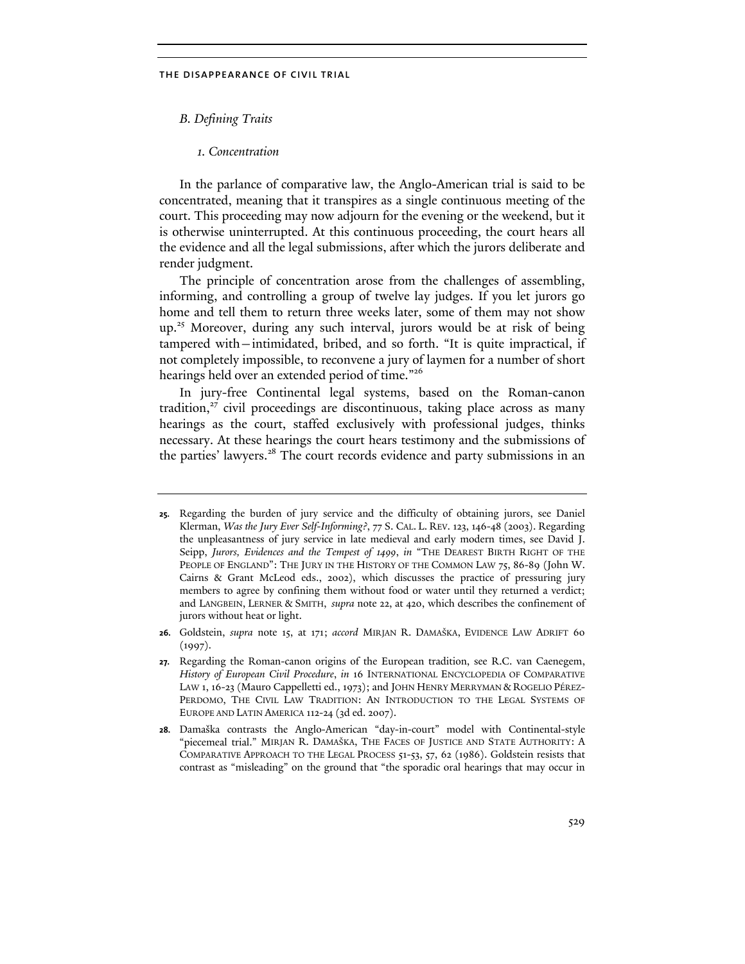*B. Defining Traits* 

# *1. Concentration*

In the parlance of comparative law, the Anglo-American trial is said to be concentrated, meaning that it transpires as a single continuous meeting of the court. This proceeding may now adjourn for the evening or the weekend, but it is otherwise uninterrupted. At this continuous proceeding, the court hears all the evidence and all the legal submissions, after which the jurors deliberate and render judgment.

The principle of concentration arose from the challenges of assembling, informing, and controlling a group of twelve lay judges. If you let jurors go home and tell them to return three weeks later, some of them may not show up.<sup>25</sup> Moreover, during any such interval, jurors would be at risk of being tampered with—intimidated, bribed, and so forth. "It is quite impractical, if not completely impossible, to reconvene a jury of laymen for a number of short hearings held over an extended period of time."<sup>26</sup>

In jury-free Continental legal systems, based on the Roman-canon tradition, $27$  civil proceedings are discontinuous, taking place across as many hearings as the court, staffed exclusively with professional judges, thinks necessary. At these hearings the court hears testimony and the submissions of the parties' lawyers.<sup>28</sup> The court records evidence and party submissions in an

**<sup>25.</sup>** Regarding the burden of jury service and the difficulty of obtaining jurors, see Daniel Klerman, *Was the Jury Ever Self-Informing?*, 77 S. CAL. L. REV. 123, 146-48 (2003). Regarding the unpleasantness of jury service in late medieval and early modern times, see David J. Seipp, *Jurors, Evidences and the Tempest of 1499*, *in* "THE DEAREST BIRTH RIGHT OF THE PEOPLE OF ENGLAND": THE JURY IN THE HISTORY OF THE COMMON LAW 75, 86-89 (John W. Cairns & Grant McLeod eds., 2002), which discusses the practice of pressuring jury members to agree by confining them without food or water until they returned a verdict; and LANGBEIN, LERNER & SMITH, *supra* note 22, at 420, which describes the confinement of jurors without heat or light.

**<sup>26.</sup>** Goldstein, *supra* note 15, at 171; *accord* MIRJAN R. DAMAŠKA, EVIDENCE LAW ADRIFT 60  $(1997).$ 

**<sup>27.</sup>** Regarding the Roman-canon origins of the European tradition, see R.C. van Caenegem, *History of European Civil Procedure*, *in* 16 INTERNATIONAL ENCYCLOPEDIA OF COMPARATIVE LAW 1, 16-23 (Mauro Cappelletti ed., 1973); and JOHN HENRY MERRYMAN & ROGELIO PÉREZ-PERDOMO, THE CIVIL LAW TRADITION: AN INTRODUCTION TO THE LEGAL SYSTEMS OF EUROPE AND LATIN AMERICA 112-24 (3d ed. 2007).

**<sup>28.</sup>** Damaška contrasts the Anglo-American "day-in-court" model with Continental-style "piecemeal trial." MIRJAN R. DAMAŠKA, THE FACES OF JUSTICE AND STATE AUTHORITY: A COMPARATIVE APPROACH TO THE LEGAL PROCESS 51-53, 57, 62 (1986). Goldstein resists that contrast as "misleading" on the ground that "the sporadic oral hearings that may occur in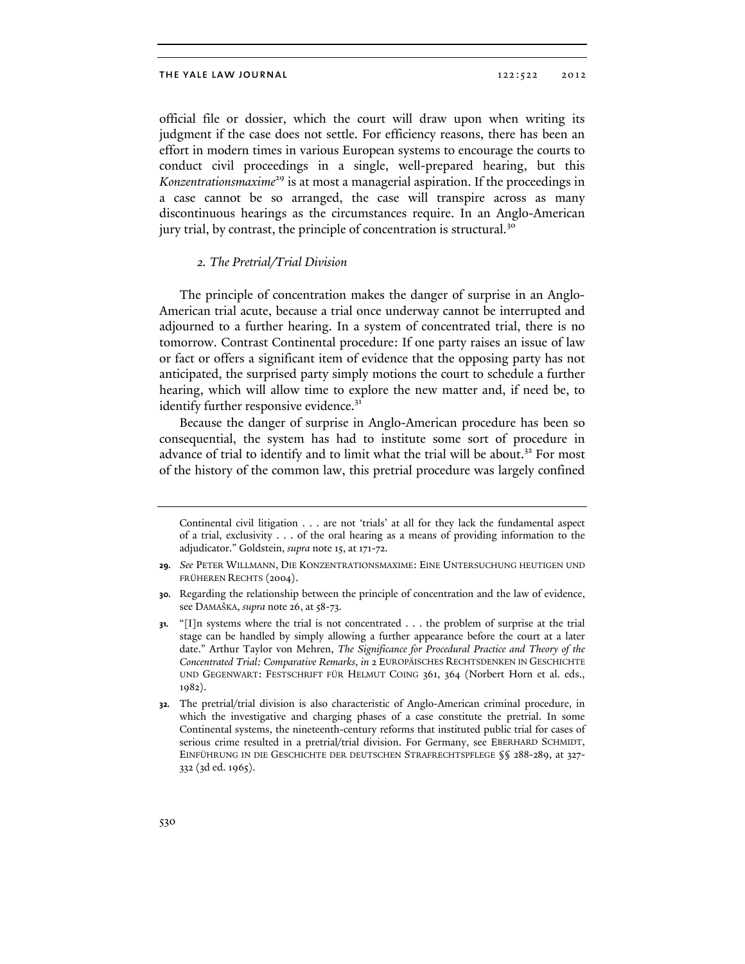official file or dossier, which the court will draw upon when writing its judgment if the case does not settle. For efficiency reasons, there has been an effort in modern times in various European systems to encourage the courts to conduct civil proceedings in a single, well-prepared hearing, but this *Konzentrationsmaxime*29 is at most a managerial aspiration. If the proceedings in a case cannot be so arranged, the case will transpire across as many discontinuous hearings as the circumstances require. In an Anglo-American jury trial, by contrast, the principle of concentration is structural.<sup>30</sup>

# *2. The Pretrial/Trial Division*

The principle of concentration makes the danger of surprise in an Anglo-American trial acute, because a trial once underway cannot be interrupted and adjourned to a further hearing. In a system of concentrated trial, there is no tomorrow. Contrast Continental procedure: If one party raises an issue of law or fact or offers a significant item of evidence that the opposing party has not anticipated, the surprised party simply motions the court to schedule a further hearing, which will allow time to explore the new matter and, if need be, to identify further responsive evidence.<sup>31</sup>

Because the danger of surprise in Anglo-American procedure has been so consequential, the system has had to institute some sort of procedure in advance of trial to identify and to limit what the trial will be about.<sup>32</sup> For most of the history of the common law, this pretrial procedure was largely confined

Continental civil litigation . . . are not 'trials' at all for they lack the fundamental aspect of a trial, exclusivity . . . of the oral hearing as a means of providing information to the adjudicator." Goldstein, *supra* note 15, at 171-72.

**<sup>29.</sup>** *See* PETER WILLMANN, DIE KONZENTRATIONSMAXIME: EINE UNTERSUCHUNG HEUTIGEN UND FRÜHEREN RECHTS (2004).

**<sup>30.</sup>** Regarding the relationship between the principle of concentration and the law of evidence, see DAMAŠKA, *supra* note 26, at 58-73.

**<sup>31.</sup>** "[I]n systems where the trial is not concentrated . . . the problem of surprise at the trial stage can be handled by simply allowing a further appearance before the court at a later date." Arthur Taylor von Mehren, *The Significance for Procedural Practice and Theory of the Concentrated Trial: Comparative Remarks*, *in* 2 EUROPÄISCHES RECHTSDENKEN IN GESCHICHTE UND GEGENWART: FESTSCHRIFT FÜR HELMUT COING 361, 364 (Norbert Horn et al. eds., 1982).

**<sup>32.</sup>** The pretrial/trial division is also characteristic of Anglo-American criminal procedure, in which the investigative and charging phases of a case constitute the pretrial. In some Continental systems, the nineteenth-century reforms that instituted public trial for cases of serious crime resulted in a pretrial/trial division. For Germany, see EBERHARD SCHMIDT, EINFÜHRUNG IN DIE GESCHICHTE DER DEUTSCHEN STRAFRECHTSPFLEGE §§ 288-289, at 327- 332 (3d ed. 1965).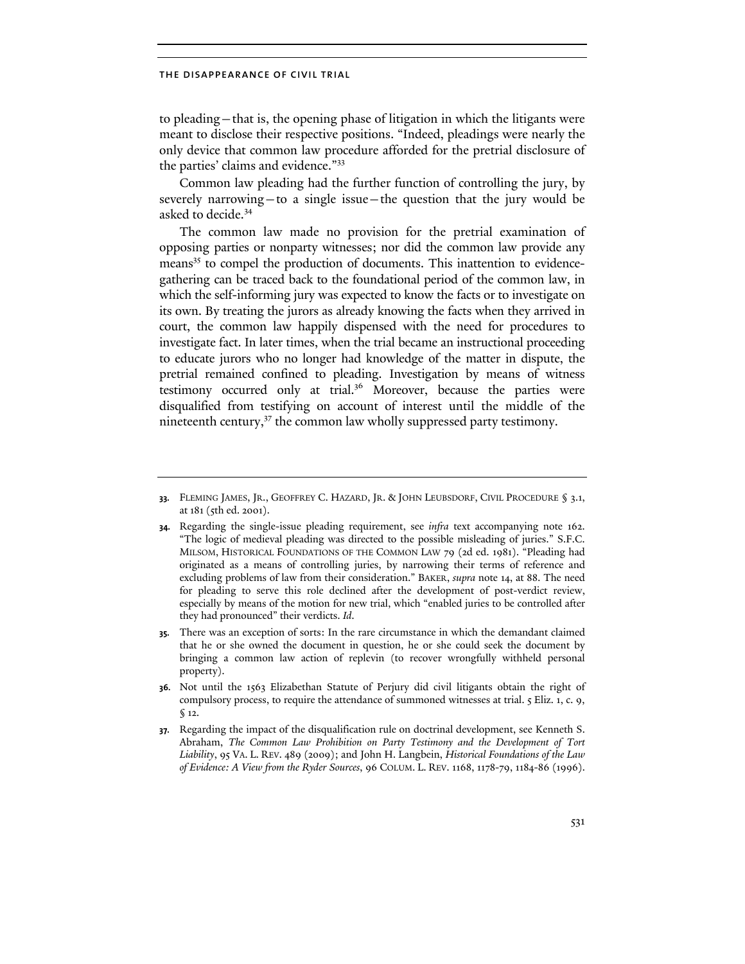to pleading—that is, the opening phase of litigation in which the litigants were meant to disclose their respective positions. "Indeed, pleadings were nearly the only device that common law procedure afforded for the pretrial disclosure of the parties' claims and evidence."<sup>33</sup>

Common law pleading had the further function of controlling the jury, by severely narrowing—to a single issue—the question that the jury would be asked to decide.<sup>34</sup>

The common law made no provision for the pretrial examination of opposing parties or nonparty witnesses; nor did the common law provide any means<sup>35</sup> to compel the production of documents. This inattention to evidencegathering can be traced back to the foundational period of the common law, in which the self-informing jury was expected to know the facts or to investigate on its own. By treating the jurors as already knowing the facts when they arrived in court, the common law happily dispensed with the need for procedures to investigate fact. In later times, when the trial became an instructional proceeding to educate jurors who no longer had knowledge of the matter in dispute, the pretrial remained confined to pleading. Investigation by means of witness testimony occurred only at trial.36 Moreover, because the parties were disqualified from testifying on account of interest until the middle of the nineteenth century, $37$  the common law wholly suppressed party testimony.

**<sup>33.</sup>** FLEMING JAMES, JR., GEOFFREY C. HAZARD, JR. & JOHN LEUBSDORF, CIVIL PROCEDURE § 3.1, at 181 (5th ed. 2001).

**<sup>34.</sup>** Regarding the single-issue pleading requirement, see *infra* text accompanying note 162. "The logic of medieval pleading was directed to the possible misleading of juries." S.F.C. MILSOM, HISTORICAL FOUNDATIONS OF THE COMMON LAW 79 (2d ed. 1981). "Pleading had originated as a means of controlling juries, by narrowing their terms of reference and excluding problems of law from their consideration." BAKER, *supra* note 14, at 88. The need for pleading to serve this role declined after the development of post-verdict review, especially by means of the motion for new trial, which "enabled juries to be controlled after they had pronounced" their verdicts. *Id*.

**<sup>35.</sup>** There was an exception of sorts: In the rare circumstance in which the demandant claimed that he or she owned the document in question, he or she could seek the document by bringing a common law action of replevin (to recover wrongfully withheld personal property).

**<sup>36.</sup>** Not until the 1563 Elizabethan Statute of Perjury did civil litigants obtain the right of compulsory process, to require the attendance of summoned witnesses at trial. 5 Eliz. 1, c. 9, § 12.

**<sup>37.</sup>** Regarding the impact of the disqualification rule on doctrinal development, see Kenneth S. Abraham, *The Common Law Prohibition on Party Testimony and the Development of Tort Liability*, 95 VA. L. REV. 489 (2009); and John H. Langbein, *Historical Foundations of the Law of Evidence: A View from the Ryder Sources*, 96 COLUM. L. REV. 1168, 1178-79, 1184-86 (1996).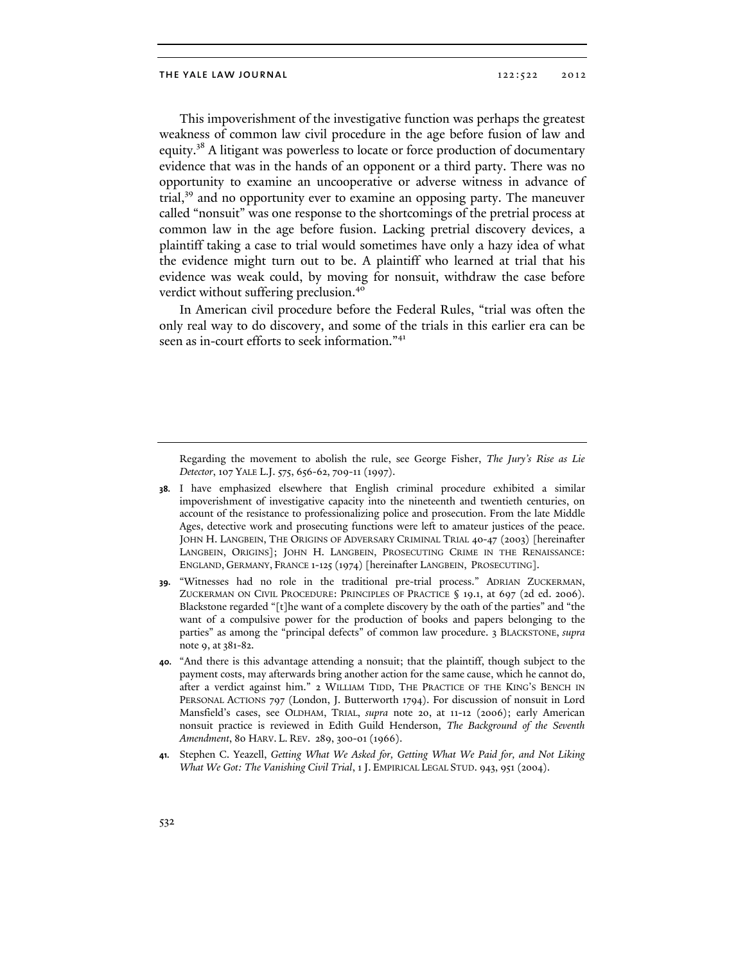This impoverishment of the investigative function was perhaps the greatest weakness of common law civil procedure in the age before fusion of law and equity.<sup>38</sup> A litigant was powerless to locate or force production of documentary evidence that was in the hands of an opponent or a third party. There was no opportunity to examine an uncooperative or adverse witness in advance of trial,39 and no opportunity ever to examine an opposing party. The maneuver called "nonsuit" was one response to the shortcomings of the pretrial process at common law in the age before fusion. Lacking pretrial discovery devices, a plaintiff taking a case to trial would sometimes have only a hazy idea of what the evidence might turn out to be. A plaintiff who learned at trial that his evidence was weak could, by moving for nonsuit, withdraw the case before verdict without suffering preclusion.<sup>40</sup>

In American civil procedure before the Federal Rules, "trial was often the only real way to do discovery, and some of the trials in this earlier era can be seen as in-court efforts to seek information."<sup>41</sup>

Regarding the movement to abolish the rule, see George Fisher, *The Jury's Rise as Lie Detector*, 107 YALE L.J. 575, 656-62, 709-11 (1997).

- **38.** I have emphasized elsewhere that English criminal procedure exhibited a similar impoverishment of investigative capacity into the nineteenth and twentieth centuries, on account of the resistance to professionalizing police and prosecution. From the late Middle Ages, detective work and prosecuting functions were left to amateur justices of the peace. JOHN H. LANGBEIN, THE ORIGINS OF ADVERSARY CRIMINAL TRIAL 40-47 (2003) [hereinafter LANGBEIN, ORIGINS]; JOHN H. LANGBEIN, PROSECUTING CRIME IN THE RENAISSANCE: ENGLAND, GERMANY, FRANCE 1-125 (1974) [hereinafter LANGBEIN, PROSECUTING].
- **39.** "Witnesses had no role in the traditional pre-trial process." ADRIAN ZUCKERMAN, ZUCKERMAN ON CIVIL PROCEDURE: PRINCIPLES OF PRACTICE § 19.1, at 697 (2d ed. 2006). Blackstone regarded "[t]he want of a complete discovery by the oath of the parties" and "the want of a compulsive power for the production of books and papers belonging to the parties" as among the "principal defects" of common law procedure. 3 BLACKSTONE, *supra* note 9, at 381-82.
- **40.** "And there is this advantage attending a nonsuit; that the plaintiff, though subject to the payment costs, may afterwards bring another action for the same cause, which he cannot do, after a verdict against him." 2 WILLIAM TIDD, THE PRACTICE OF THE KING'S BENCH IN PERSONAL ACTIONS 797 (London, J. Butterworth 1794). For discussion of nonsuit in Lord Mansfield's cases, see OLDHAM, TRIAL, *supra* note 20, at 11-12 (2006); early American nonsuit practice is reviewed in Edith Guild Henderson, *The Background of the Seventh Amendment*, 80 HARV. L. REV. 289, 300-01 (1966).
- **41.** Stephen C. Yeazell, *Getting What We Asked for, Getting What We Paid for, and Not Liking What We Got: The Vanishing Civil Trial*, 1 J. EMPIRICAL LEGAL STUD. 943, 951 (2004).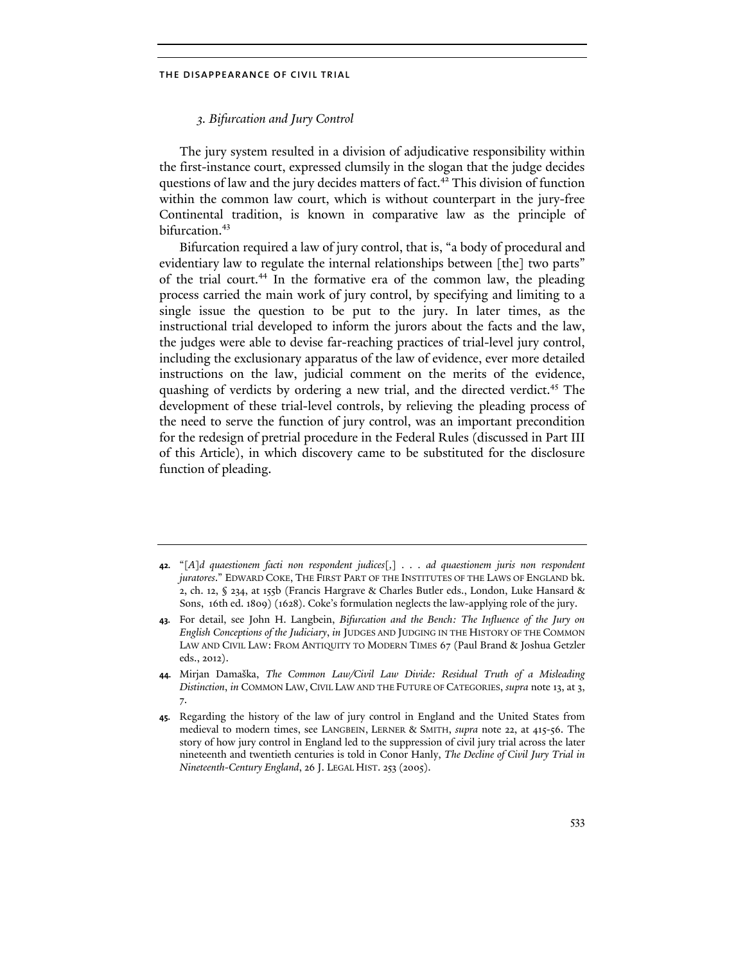# *3. Bifurcation and Jury Control*

The jury system resulted in a division of adjudicative responsibility within the first-instance court, expressed clumsily in the slogan that the judge decides questions of law and the jury decides matters of fact.<sup>42</sup> This division of function within the common law court, which is without counterpart in the jury-free Continental tradition, is known in comparative law as the principle of bifurcation.<sup>43</sup>

Bifurcation required a law of jury control, that is, "a body of procedural and evidentiary law to regulate the internal relationships between [the] two parts" of the trial court.<sup>44</sup> In the formative era of the common law, the pleading process carried the main work of jury control, by specifying and limiting to a single issue the question to be put to the jury. In later times, as the instructional trial developed to inform the jurors about the facts and the law, the judges were able to devise far-reaching practices of trial-level jury control, including the exclusionary apparatus of the law of evidence, ever more detailed instructions on the law, judicial comment on the merits of the evidence, quashing of verdicts by ordering a new trial, and the directed verdict.<sup>45</sup> The development of these trial-level controls, by relieving the pleading process of the need to serve the function of jury control, was an important precondition for the redesign of pretrial procedure in the Federal Rules (discussed in Part III of this Article), in which discovery came to be substituted for the disclosure function of pleading.

**<sup>42.</sup>** "[*A*]*d quaestionem facti non respondent judices*[*,*] *. . . ad quaestionem juris non respondent juratores*." EDWARD COKE, THE FIRST PART OF THE INSTITUTES OF THE LAWS OF ENGLAND bk. 2, ch. 12, § 234, at 155b (Francis Hargrave & Charles Butler eds., London, Luke Hansard & Sons, 16th ed. 1809) (1628). Coke's formulation neglects the law-applying role of the jury.

**<sup>43.</sup>** For detail, see John H. Langbein, *Bifurcation and the Bench: The Influence of the Jury on English Conceptions of the Judiciary*, *in* JUDGES AND JUDGING IN THE HISTORY OF THE COMMON LAW AND CIVIL LAW: FROM ANTIQUITY TO MODERN TIMES 67 (Paul Brand & Joshua Getzler eds., 2012).

**<sup>44.</sup>** Mirjan Damaška, *The Common Law/Civil Law Divide: Residual Truth of a Misleading Distinction*, *in* COMMON LAW, CIVIL LAW AND THE FUTURE OF CATEGORIES, *supra* note 13, at 3, 7.

**<sup>45.</sup>** Regarding the history of the law of jury control in England and the United States from medieval to modern times, see LANGBEIN, LERNER & SMITH, *supra* note 22, at 415-56. The story of how jury control in England led to the suppression of civil jury trial across the later nineteenth and twentieth centuries is told in Conor Hanly, *The Decline of Civil Jury Trial in Nineteenth-Century England*, 26 J. LEGAL HIST. 253 (2005).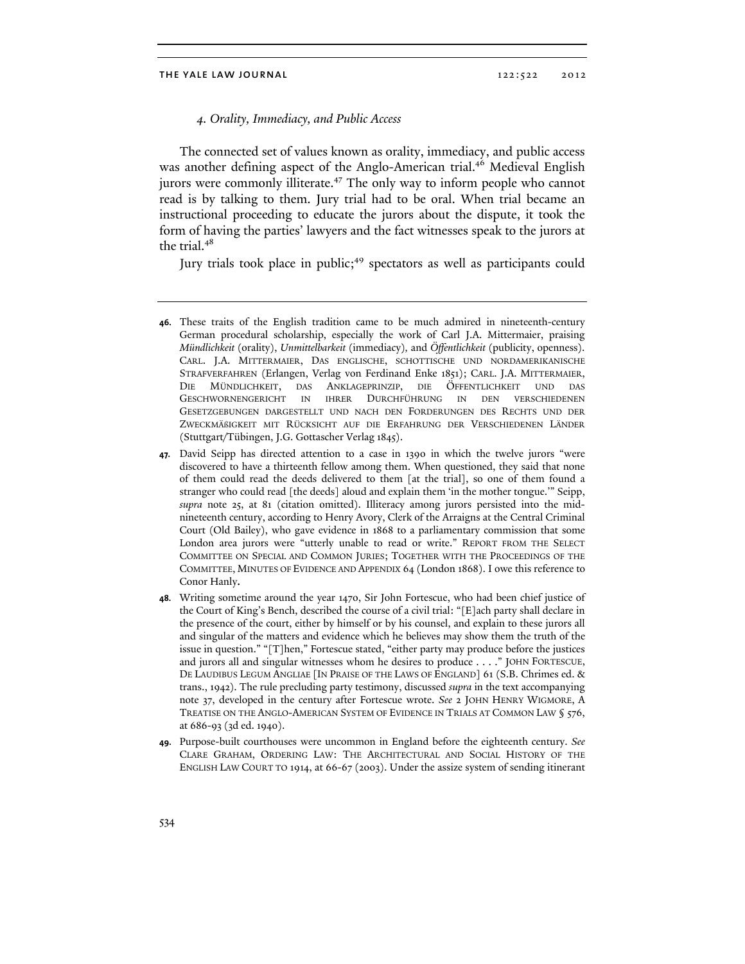# *4. Orality, Immediacy, and Public Access*

The connected set of values known as orality, immediacy, and public access was another defining aspect of the Anglo-American trial.<sup>46</sup> Medieval English jurors were commonly illiterate.<sup>47</sup> The only way to inform people who cannot read is by talking to them. Jury trial had to be oral. When trial became an instructional proceeding to educate the jurors about the dispute, it took the form of having the parties' lawyers and the fact witnesses speak to the jurors at the trial.<sup>48</sup>

Jury trials took place in public;<sup>49</sup> spectators as well as participants could

**49.** Purpose-built courthouses were uncommon in England before the eighteenth century. *See* CLARE GRAHAM, ORDERING LAW: THE ARCHITECTURAL AND SOCIAL HISTORY OF THE ENGLISH LAW COURT TO 1914, at 66-67 (2003). Under the assize system of sending itinerant

**<sup>46.</sup>** These traits of the English tradition came to be much admired in nineteenth-century German procedural scholarship, especially the work of Carl J.A. Mittermaier, praising *Mündlichkeit* (orality), *Unmittelbarkeit* (immediacy)*,* and *Öffentlichkeit* (publicity, openness). CARL. J.A. MITTERMAIER, DAS ENGLISCHE, SCHOTTISCHE UND NORDAMERIKANISCHE STRAFVERFAHREN (Erlangen, Verlag von Ferdinand Enke 1851); CARL. J.A. MITTERMAIER, DIE MÜNDLICHKEIT, DAS ANKLAGEPRINZIP, DIE ÖFFENTLICHKEIT UND DAS GESCHWORNENGERICHT IN IHRER DURCHFÜHRUNG IN DEN VERSCHIEDENEN GESETZGEBUNGEN DARGESTELLT UND NACH DEN FORDERUNGEN DES RECHTS UND DER ZWECKMÄßIGKEIT MIT RÜCKSICHT AUF DIE ERFAHRUNG DER VERSCHIEDENEN LÄNDER (Stuttgart/Tübingen, J.G. Gottascher Verlag 1845).

**<sup>47.</sup>** David Seipp has directed attention to a case in 1390 in which the twelve jurors "were discovered to have a thirteenth fellow among them. When questioned, they said that none of them could read the deeds delivered to them [at the trial], so one of them found a stranger who could read [the deeds] aloud and explain them 'in the mother tongue.'" Seipp, *supra* note 25, at 81 (citation omitted). Illiteracy among jurors persisted into the midnineteenth century, according to Henry Avory, Clerk of the Arraigns at the Central Criminal Court (Old Bailey), who gave evidence in 1868 to a parliamentary commission that some London area jurors were "utterly unable to read or write." REPORT FROM THE SELECT COMMITTEE ON SPECIAL AND COMMON JURIES; TOGETHER WITH THE PROCEEDINGS OF THE COMMITTEE, MINUTES OF EVIDENCE AND APPENDIX 64 (London 1868). I owe this reference to Conor Hanly.

**<sup>48.</sup>** Writing sometime around the year 1470, Sir John Fortescue, who had been chief justice of the Court of King's Bench, described the course of a civil trial: "[E]ach party shall declare in the presence of the court, either by himself or by his counsel, and explain to these jurors all and singular of the matters and evidence which he believes may show them the truth of the issue in question." "[T]hen," Fortescue stated, "either party may produce before the justices and jurors all and singular witnesses whom he desires to produce . . . ." JOHN FORTESCUE, DE LAUDIBUS LEGUM ANGLIAE [IN PRAISE OF THE LAWS OF ENGLAND] 61 (S.B. Chrimes ed. & trans., 1942). The rule precluding party testimony, discussed *supra* in the text accompanying note 37, developed in the century after Fortescue wrote. *See* 2 JOHN HENRY WIGMORE, A TREATISE ON THE ANGLO-AMERICAN SYSTEM OF EVIDENCE IN TRIALS AT COMMON LAW § 576, at 686-93 (3d ed. 1940).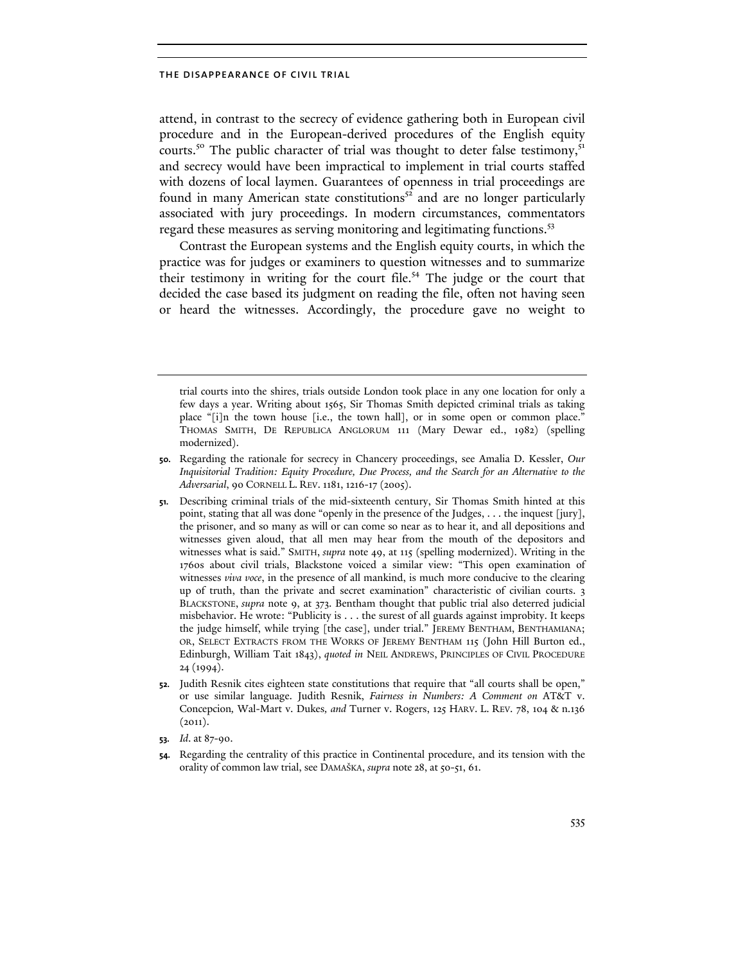attend, in contrast to the secrecy of evidence gathering both in European civil procedure and in the European-derived procedures of the English equity courts.<sup>50</sup> The public character of trial was thought to deter false testimony,<sup>51</sup> and secrecy would have been impractical to implement in trial courts staffed with dozens of local laymen. Guarantees of openness in trial proceedings are found in many American state constitutions<sup>52</sup> and are no longer particularly associated with jury proceedings. In modern circumstances, commentators regard these measures as serving monitoring and legitimating functions.<sup>53</sup>

Contrast the European systems and the English equity courts, in which the practice was for judges or examiners to question witnesses and to summarize their testimony in writing for the court file.<sup>54</sup> The judge or the court that decided the case based its judgment on reading the file, often not having seen or heard the witnesses. Accordingly, the procedure gave no weight to

- **50.** Regarding the rationale for secrecy in Chancery proceedings, see Amalia D. Kessler, *Our Inquisitorial Tradition: Equity Procedure, Due Process, and the Search for an Alternative to the Adversarial*, 90 CORNELL L. REV. 1181, 1216-17 (2005).
- **51.** Describing criminal trials of the mid-sixteenth century, Sir Thomas Smith hinted at this point, stating that all was done "openly in the presence of the Judges, . . . the inquest [jury], the prisoner, and so many as will or can come so near as to hear it, and all depositions and witnesses given aloud, that all men may hear from the mouth of the depositors and witnesses what is said." SMITH, *supra* note 49, at 115 (spelling modernized). Writing in the 1760s about civil trials, Blackstone voiced a similar view: "This open examination of witnesses *viva voce*, in the presence of all mankind, is much more conducive to the clearing up of truth, than the private and secret examination" characteristic of civilian courts. 3 BLACKSTONE, *supra* note 9, at 373. Bentham thought that public trial also deterred judicial misbehavior. He wrote: "Publicity is . . . the surest of all guards against improbity. It keeps the judge himself, while trying [the case], under trial." JEREMY BENTHAM, BENTHAMIANA; OR, SELECT EXTRACTS FROM THE WORKS OF JEREMY BENTHAM 115 (John Hill Burton ed., Edinburgh, William Tait 1843), *quoted in* NEIL ANDREWS, PRINCIPLES OF CIVIL PROCEDURE 24 (1994).
- **52.** Judith Resnik cites eighteen state constitutions that require that "all courts shall be open," or use similar language. Judith Resnik, *Fairness in Numbers: A Comment on* AT&T v. Concepcion*,* Wal-Mart v. Dukes*, and* Turner v. Rogers, 125 HARV. L. REV. 78, 104 & n.136  $(2011).$
- **53.** *Id*. at 87-90.
- **54.** Regarding the centrality of this practice in Continental procedure, and its tension with the orality of common law trial, see DAMAŠKA, *supra* note 28, at 50-51, 61.

trial courts into the shires, trials outside London took place in any one location for only a few days a year. Writing about 1565, Sir Thomas Smith depicted criminal trials as taking place "[i]n the town house [i.e., the town hall], or in some open or common place." THOMAS SMITH, DE REPUBLICA ANGLORUM 111 (Mary Dewar ed., 1982) (spelling modernized).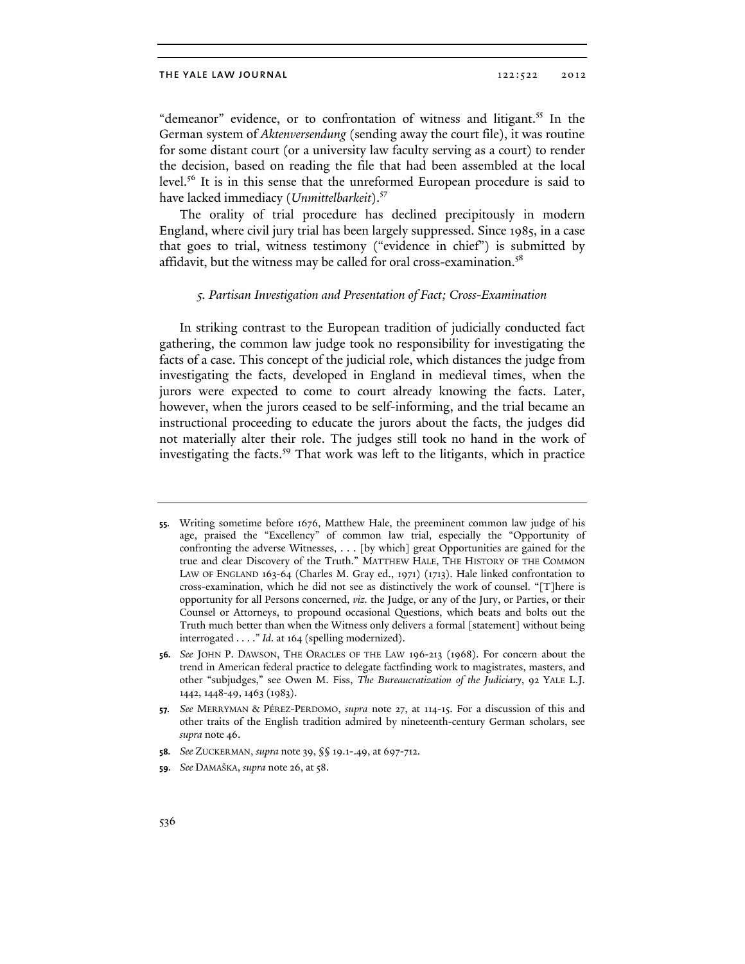"demeanor" evidence, or to confrontation of witness and litigant.<sup>55</sup> In the German system of *Aktenversendung* (sending away the court file), it was routine for some distant court (or a university law faculty serving as a court) to render the decision, based on reading the file that had been assembled at the local level.<sup>56</sup> It is in this sense that the unreformed European procedure is said to have lacked immediacy (*Unmittelbarkeit*).<sup>57</sup>

The orality of trial procedure has declined precipitously in modern England, where civil jury trial has been largely suppressed. Since 1985, in a case that goes to trial, witness testimony ("evidence in chief") is submitted by affidavit, but the witness may be called for oral cross-examination.<sup>58</sup>

# *5. Partisan Investigation and Presentation of Fact; Cross-Examination*

In striking contrast to the European tradition of judicially conducted fact gathering, the common law judge took no responsibility for investigating the facts of a case. This concept of the judicial role, which distances the judge from investigating the facts, developed in England in medieval times, when the jurors were expected to come to court already knowing the facts. Later, however, when the jurors ceased to be self-informing, and the trial became an instructional proceeding to educate the jurors about the facts, the judges did not materially alter their role. The judges still took no hand in the work of investigating the facts.<sup>59</sup> That work was left to the litigants, which in practice

**<sup>55.</sup>** Writing sometime before 1676, Matthew Hale, the preeminent common law judge of his age, praised the "Excellency" of common law trial, especially the "Opportunity of confronting the adverse Witnesses, . . . [by which] great Opportunities are gained for the true and clear Discovery of the Truth." MATTHEW HALE, THE HISTORY OF THE COMMON LAW OF ENGLAND 163-64 (Charles M. Gray ed., 1971) (1713). Hale linked confrontation to cross-examination, which he did not see as distinctively the work of counsel. "[T]here is opportunity for all Persons concerned, *viz.* the Judge, or any of the Jury, or Parties, or their Counsel or Attorneys, to propound occasional Questions, which beats and bolts out the Truth much better than when the Witness only delivers a formal [statement] without being interrogated . . . ." *Id*. at 164 (spelling modernized).

**<sup>56.</sup>** *See* JOHN P. DAWSON, THE ORACLES OF THE LAW 196-213 (1968). For concern about the trend in American federal practice to delegate factfinding work to magistrates, masters, and other "subjudges," see Owen M. Fiss, *The Bureaucratization of the Judiciary*, 92 YALE L.J. 1442, 1448-49, 1463 (1983).

**<sup>57.</sup>** *See* MERRYMAN & PÉREZ-PERDOMO, *supra* note 27, at 114-15. For a discussion of this and other traits of the English tradition admired by nineteenth-century German scholars, see *supra* note 46.

**<sup>58.</sup>** *See* ZUCKERMAN, *supra* note 39, §§ 19.1-.49, at 697-712.

**<sup>59.</sup>** *See* DAMAŠKA, *supra* note 26, at 58.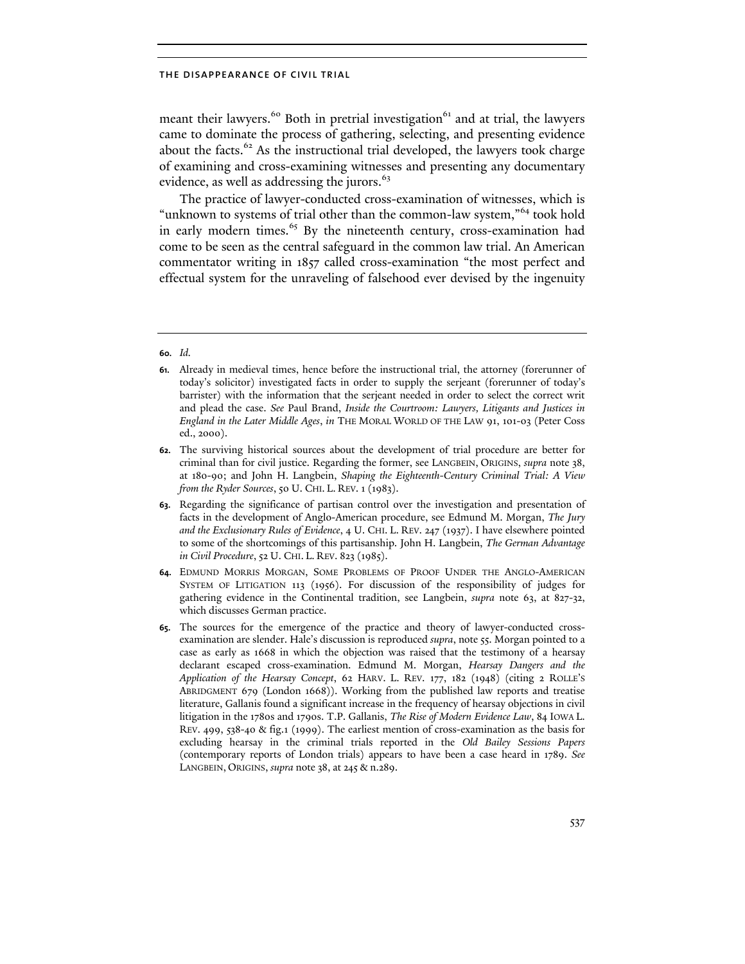meant their lawyers.<sup>60</sup> Both in pretrial investigation<sup>61</sup> and at trial, the lawyers came to dominate the process of gathering, selecting, and presenting evidence about the facts. $62$  As the instructional trial developed, the lawyers took charge of examining and cross-examining witnesses and presenting any documentary evidence, as well as addressing the jurors.<sup>63</sup>

The practice of lawyer-conducted cross-examination of witnesses, which is "unknown to systems of trial other than the common-law system,"<sup>64</sup> took hold in early modern times.<sup>65</sup> By the nineteenth century, cross-examination had come to be seen as the central safeguard in the common law trial. An American commentator writing in 1857 called cross-examination "the most perfect and effectual system for the unraveling of falsehood ever devised by the ingenuity

# **60.** *Id.*

**<sup>61.</sup>** Already in medieval times, hence before the instructional trial, the attorney (forerunner of today's solicitor) investigated facts in order to supply the serjeant (forerunner of today's barrister) with the information that the serjeant needed in order to select the correct writ and plead the case. *See* Paul Brand, *Inside the Courtroom: Lawyers, Litigants and Justices in England in the Later Middle Ages*, *in* THE MORAL WORLD OF THE LAW 91, 101-03 (Peter Coss ed., 2000).

**<sup>62.</sup>** The surviving historical sources about the development of trial procedure are better for criminal than for civil justice. Regarding the former, see LANGBEIN, ORIGINS, *supra* note 38, at 180-90; and John H. Langbein, *Shaping the Eighteenth-Century Criminal Trial: A View from the Ryder Sources*, 50 U. CHI. L. REV. 1 (1983).

**<sup>63.</sup>** Regarding the significance of partisan control over the investigation and presentation of facts in the development of Anglo-American procedure, see Edmund M. Morgan, *The Jury and the Exclusionary Rules of Evidence*, 4 U. CHI. L. REV. 247 (1937). I have elsewhere pointed to some of the shortcomings of this partisanship. John H. Langbein, *The German Advantage in Civil Procedure*, 52 U. CHI. L. REV. 823 (1985).

**<sup>64.</sup>** EDMUND MORRIS MORGAN, SOME PROBLEMS OF PROOF UNDER THE ANGLO-AMERICAN SYSTEM OF LITIGATION 113 (1956). For discussion of the responsibility of judges for gathering evidence in the Continental tradition, see Langbein, *supra* note 63, at 827-32, which discusses German practice.

**<sup>65.</sup>** The sources for the emergence of the practice and theory of lawyer-conducted crossexamination are slender. Hale's discussion is reproduced *supra*, note 55. Morgan pointed to a case as early as 1668 in which the objection was raised that the testimony of a hearsay declarant escaped cross-examination. Edmund M. Morgan, *Hearsay Dangers and the Application of the Hearsay Concept*, 62 HARV. L. REV. 177, 182 (1948) (citing 2 ROLLE'S ABRIDGMENT 679 (London 1668)). Working from the published law reports and treatise literature, Gallanis found a significant increase in the frequency of hearsay objections in civil litigation in the 1780s and 1790s. T.P. Gallanis, *The Rise of Modern Evidence Law*, 84 IOWA L. REV. 499, 538-40 & fig.1 (1999). The earliest mention of cross-examination as the basis for excluding hearsay in the criminal trials reported in the *Old Bailey Sessions Papers*  (contemporary reports of London trials) appears to have been a case heard in 1789. *See* LANGBEIN, ORIGINS, *supra* note 38, at 245 & n.289.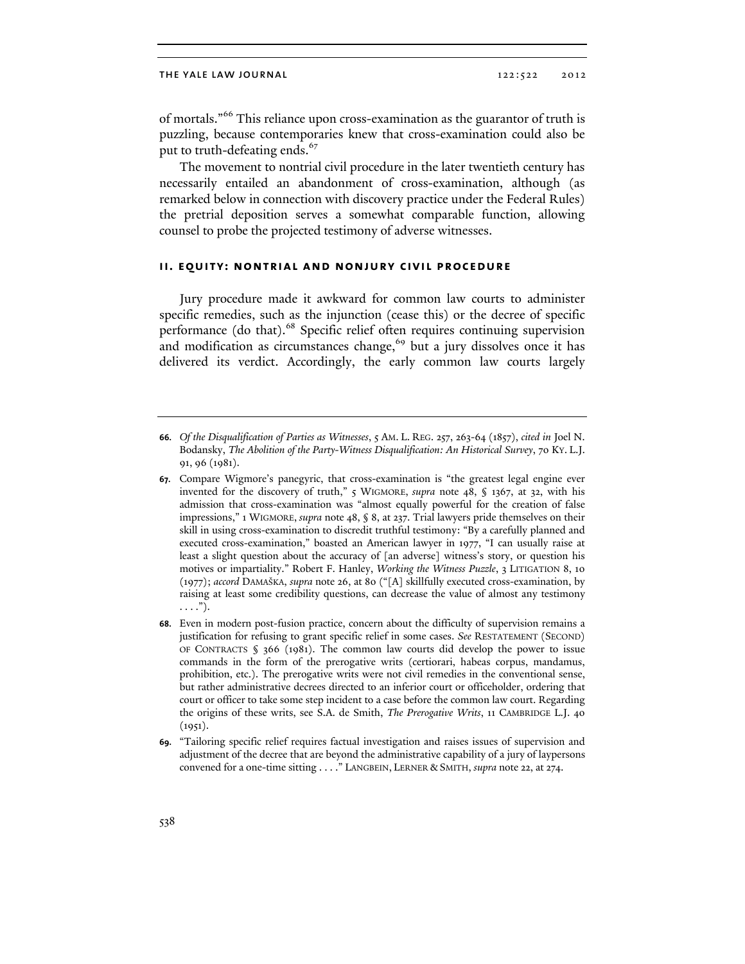of mortals."<sup>66</sup> This reliance upon cross-examination as the guarantor of truth is puzzling, because contemporaries knew that cross-examination could also be put to truth-defeating ends.<sup>67</sup>

The movement to nontrial civil procedure in the later twentieth century has necessarily entailed an abandonment of cross-examination, although (as remarked below in connection with discovery practice under the Federal Rules) the pretrial deposition serves a somewhat comparable function, allowing counsel to probe the projected testimony of adverse witnesses.

# **ii. equity: nontrial and nonjury civil procedure**

Jury procedure made it awkward for common law courts to administer specific remedies, such as the injunction (cease this) or the decree of specific performance (do that).<sup>68</sup> Specific relief often requires continuing supervision and modification as circumstances change,<sup>69</sup> but a jury dissolves once it has delivered its verdict. Accordingly, the early common law courts largely

**<sup>66.</sup>** *Of the Disqualification of Parties as Witnesses*, 5 AM. L. REG. 257, 263-64 (1857), *cited in* Joel N. Bodansky, *The Abolition of the Party-Witness Disqualification: An Historical Survey*, 70 KY. L.J. 91, 96 (1981).

**<sup>67.</sup>** Compare Wigmore's panegyric, that cross-examination is "the greatest legal engine ever invented for the discovery of truth," 5 WIGMORE, *supra* note 48, § 1367, at 32, with his admission that cross-examination was "almost equally powerful for the creation of false impressions," 1 WIGMORE, *supra* note 48, § 8, at 237. Trial lawyers pride themselves on their skill in using cross-examination to discredit truthful testimony: "By a carefully planned and executed cross-examination," boasted an American lawyer in 1977, "I can usually raise at least a slight question about the accuracy of [an adverse] witness's story, or question his motives or impartiality." Robert F. Hanley, *Working the Witness Puzzle*, 3 LITIGATION 8, 10 (1977); *accord* DAMAŠKA, *supra* note 26, at 80 ("[A] skillfully executed cross-examination, by raising at least some credibility questions, can decrease the value of almost any testimony  $\ldots$ .").

**<sup>68.</sup>** Even in modern post-fusion practice, concern about the difficulty of supervision remains a justification for refusing to grant specific relief in some cases. *See* RESTATEMENT (SECOND) OF CONTRACTS  $\S$  366 (1981). The common law courts did develop the power to issue commands in the form of the prerogative writs (certiorari, habeas corpus, mandamus, prohibition, etc.). The prerogative writs were not civil remedies in the conventional sense, but rather administrative decrees directed to an inferior court or officeholder, ordering that court or officer to take some step incident to a case before the common law court. Regarding the origins of these writs, see S.A. de Smith, *The Prerogative Writs*, 11 CAMBRIDGE L.J. 40 (1951).

**<sup>69.</sup>** "Tailoring specific relief requires factual investigation and raises issues of supervision and adjustment of the decree that are beyond the administrative capability of a jury of laypersons convened for a one-time sitting . . . ." LANGBEIN, LERNER & SMITH, *supra* note 22, at 274.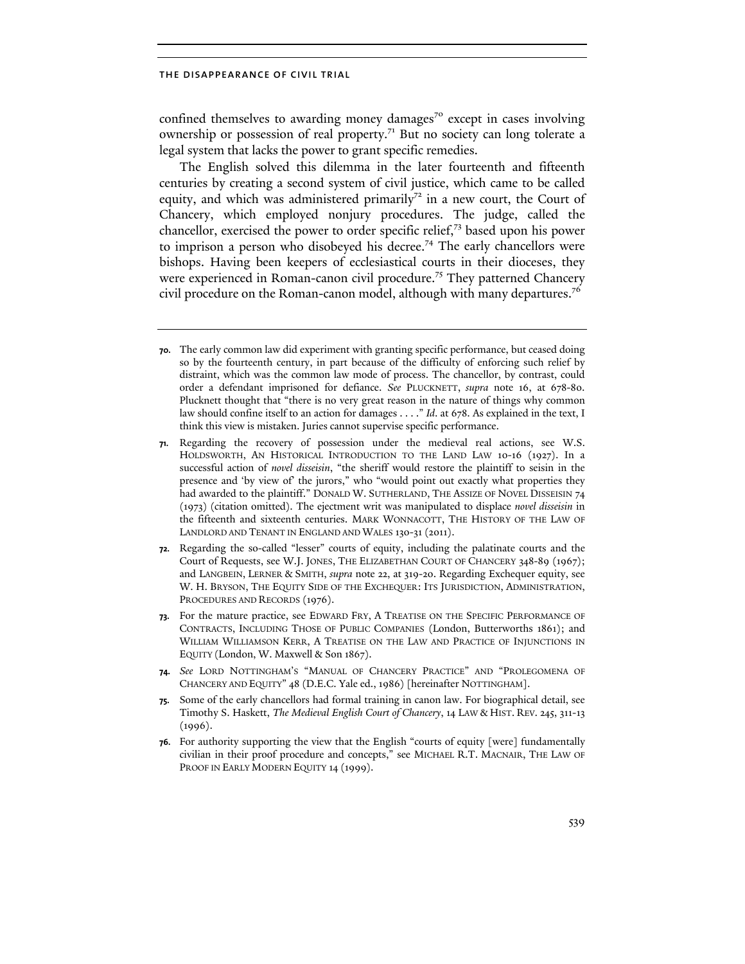confined themselves to awarding money damages<sup>70</sup> except in cases involving ownership or possession of real property.<sup>71</sup> But no society can long tolerate a legal system that lacks the power to grant specific remedies.

The English solved this dilemma in the later fourteenth and fifteenth centuries by creating a second system of civil justice, which came to be called equity, and which was administered primarily<sup>72</sup> in a new court, the Court of Chancery, which employed nonjury procedures. The judge, called the chancellor, exercised the power to order specific relief,73 based upon his power to imprison a person who disobeyed his decree.<sup>74</sup> The early chancellors were bishops. Having been keepers of ecclesiastical courts in their dioceses, they were experienced in Roman-canon civil procedure.<sup>75</sup> They patterned Chancery civil procedure on the Roman-canon model, although with many departures.<sup>76</sup>

- **75.** Some of the early chancellors had formal training in canon law. For biographical detail, see Timothy S. Haskett, *The Medieval English Court of Chancery*, 14 LAW & HIST. REV. 245, 311-13 (1996).
- **76.** For authority supporting the view that the English "courts of equity [were] fundamentally civilian in their proof procedure and concepts," see MICHAEL R.T. MACNAIR, THE LAW OF PROOF IN EARLY MODERN EQUITY 14 (1999).

**<sup>70.</sup>** The early common law did experiment with granting specific performance, but ceased doing so by the fourteenth century, in part because of the difficulty of enforcing such relief by distraint, which was the common law mode of process. The chancellor, by contrast, could order a defendant imprisoned for defiance. *See* PLUCKNETT, *supra* note 16, at 678-80. Plucknett thought that "there is no very great reason in the nature of things why common law should confine itself to an action for damages . . . ." *Id*. at 678. As explained in the text, I think this view is mistaken. Juries cannot supervise specific performance.

**<sup>71.</sup>** Regarding the recovery of possession under the medieval real actions, see W.S. HOLDSWORTH, AN HISTORICAL INTRODUCTION TO THE LAND LAW 10-16 (1927). In a successful action of *novel disseisin*, "the sheriff would restore the plaintiff to seisin in the presence and 'by view of' the jurors," who "would point out exactly what properties they had awarded to the plaintiff." DONALD W. SUTHERLAND, THE ASSIZE OF NOVEL DISSEISIN 74 (1973) (citation omitted). The ejectment writ was manipulated to displace *novel disseisin* in the fifteenth and sixteenth centuries. MARK WONNACOTT, THE HISTORY OF THE LAW OF LANDLORD AND TENANT IN ENGLAND AND WALES 130-31 (2011).

**<sup>72.</sup>** Regarding the so-called "lesser" courts of equity, including the palatinate courts and the Court of Requests, see W.J. JONES, THE ELIZABETHAN COURT OF CHANCERY 348-89 (1967); and LANGBEIN, LERNER & SMITH, *supra* note 22, at 319-20. Regarding Exchequer equity, see W. H. BRYSON, THE EQUITY SIDE OF THE EXCHEQUER: ITS JURISDICTION, ADMINISTRATION, PROCEDURES AND RECORDS (1976).

**<sup>73.</sup>** For the mature practice, see EDWARD FRY, A TREATISE ON THE SPECIFIC PERFORMANCE OF CONTRACTS, INCLUDING THOSE OF PUBLIC COMPANIES (London, Butterworths 1861); and WILLIAM WILLIAMSON KERR, A TREATISE ON THE LAW AND PRACTICE OF INJUNCTIONS IN EQUITY (London, W. Maxwell & Son 1867).

**<sup>74.</sup>** *See* LORD NOTTINGHAM'S "MANUAL OF CHANCERY PRACTICE" AND "PROLEGOMENA OF CHANCERY AND EQUITY" 48 (D.E.C. Yale ed., 1986) [hereinafter NOTTINGHAM].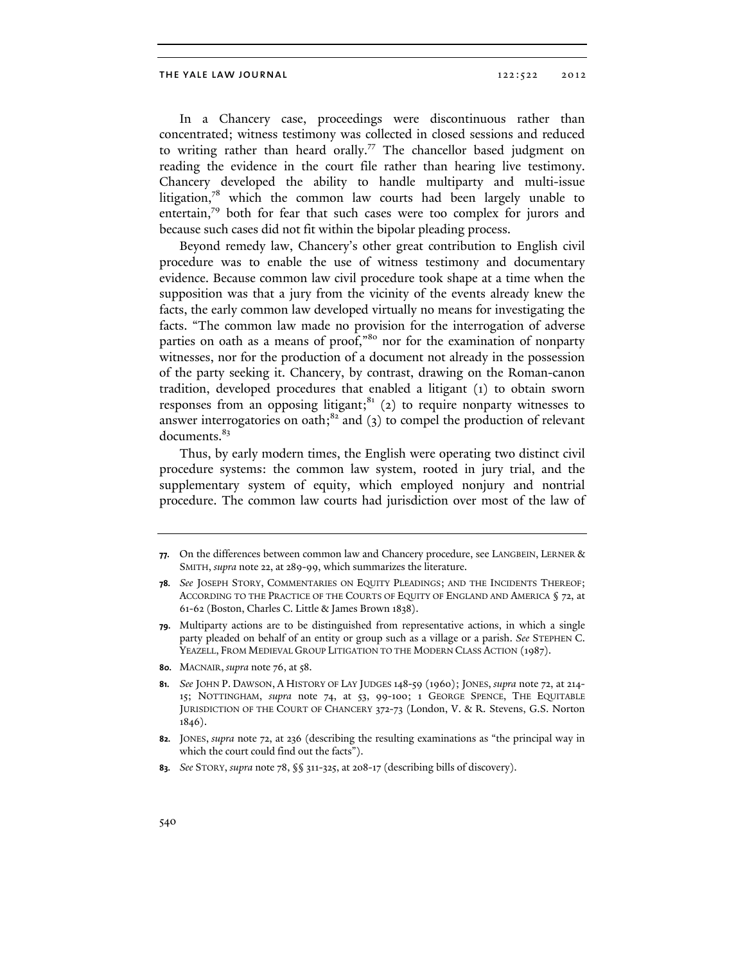In a Chancery case, proceedings were discontinuous rather than concentrated; witness testimony was collected in closed sessions and reduced to writing rather than heard orally.<sup>77</sup> The chancellor based judgment on reading the evidence in the court file rather than hearing live testimony. Chancery developed the ability to handle multiparty and multi-issue litigation, $78$  which the common law courts had been largely unable to entertain,<sup>79</sup> both for fear that such cases were too complex for jurors and because such cases did not fit within the bipolar pleading process.

Beyond remedy law, Chancery's other great contribution to English civil procedure was to enable the use of witness testimony and documentary evidence. Because common law civil procedure took shape at a time when the supposition was that a jury from the vicinity of the events already knew the facts, the early common law developed virtually no means for investigating the facts. "The common law made no provision for the interrogation of adverse parties on oath as a means of proof,"80 nor for the examination of nonparty witnesses, nor for the production of a document not already in the possession of the party seeking it. Chancery, by contrast, drawing on the Roman-canon tradition, developed procedures that enabled a litigant (1) to obtain sworn responses from an opposing litigant; $^{81}$  (2) to require nonparty witnesses to answer interrogatories on oath; $^{82}$  and (3) to compel the production of relevant documents.<sup>83</sup>

Thus, by early modern times, the English were operating two distinct civil procedure systems: the common law system, rooted in jury trial, and the supplementary system of equity, which employed nonjury and nontrial procedure. The common law courts had jurisdiction over most of the law of

**<sup>77.</sup>** On the differences between common law and Chancery procedure, see LANGBEIN, LERNER & SMITH, *supra* note 22, at 289-99, which summarizes the literature.

**<sup>78.</sup>** *See* JOSEPH STORY, COMMENTARIES ON EQUITY PLEADINGS; AND THE INCIDENTS THEREOF; ACCORDING TO THE PRACTICE OF THE COURTS OF EQUITY OF ENGLAND AND AMERICA § 72, at 61-62 (Boston, Charles C. Little & James Brown 1838).

**<sup>79.</sup>** Multiparty actions are to be distinguished from representative actions, in which a single party pleaded on behalf of an entity or group such as a village or a parish. *See* STEPHEN C. YEAZELL, FROM MEDIEVAL GROUP LITIGATION TO THE MODERN CLASS ACTION (1987).

**<sup>80.</sup>** MACNAIR, *supra* note 76, at 58.

**<sup>81.</sup>** *See* JOHN P. DAWSON, A HISTORY OF LAY JUDGES 148-59 (1960); JONES, *supra* note 72, at 214- 15; NOTTINGHAM, *supra* note 74, at 53, 99-100; 1 GEORGE SPENCE, THE EQUITABLE JURISDICTION OF THE COURT OF CHANCERY 372-73 (London, V. & R. Stevens, G.S. Norton 1846).

**<sup>82.</sup>** JONES, *supra* note 72, at 236 (describing the resulting examinations as "the principal way in which the court could find out the facts").

**<sup>83.</sup>** *See* STORY, *supra* note 78, §§ 311-325, at 208-17 (describing bills of discovery).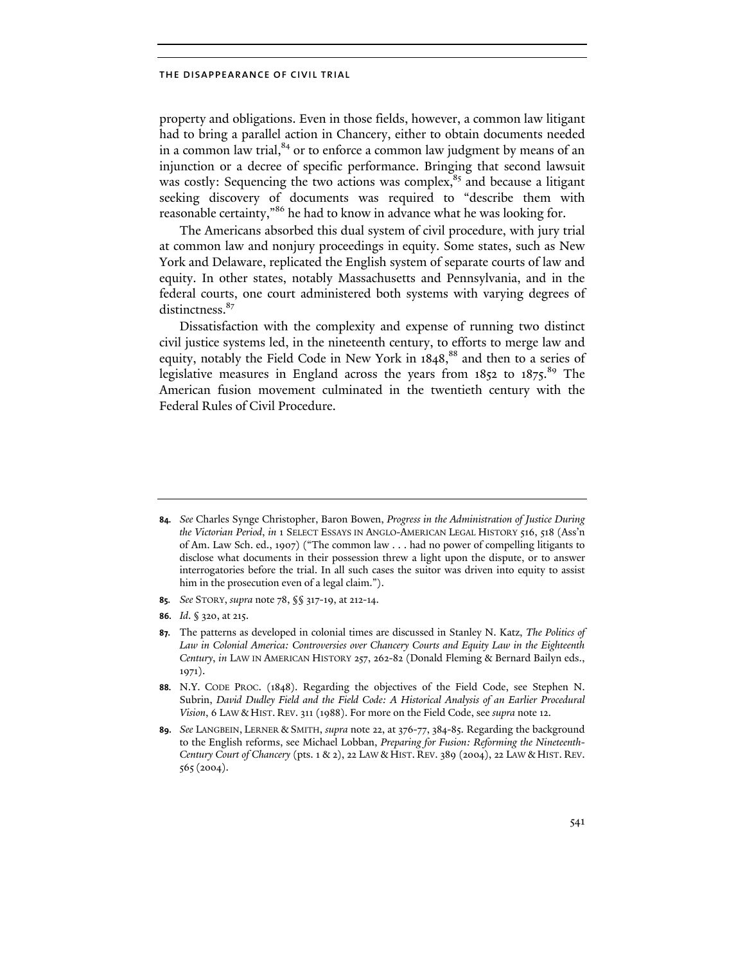property and obligations. Even in those fields, however, a common law litigant had to bring a parallel action in Chancery, either to obtain documents needed in a common law trial, $^{84}$  or to enforce a common law judgment by means of an injunction or a decree of specific performance. Bringing that second lawsuit was costly: Sequencing the two actions was complex,<sup>85</sup> and because a litigant seeking discovery of documents was required to "describe them with reasonable certainty,"<sup>86</sup> he had to know in advance what he was looking for.

The Americans absorbed this dual system of civil procedure, with jury trial at common law and nonjury proceedings in equity. Some states, such as New York and Delaware, replicated the English system of separate courts of law and equity. In other states, notably Massachusetts and Pennsylvania, and in the federal courts, one court administered both systems with varying degrees of distinctness.<sup>87</sup>

Dissatisfaction with the complexity and expense of running two distinct civil justice systems led, in the nineteenth century, to efforts to merge law and equity, notably the Field Code in New York in 1848,<sup>88</sup> and then to a series of legislative measures in England across the years from 1852 to 1875.<sup>89</sup> The American fusion movement culminated in the twentieth century with the Federal Rules of Civil Procedure.

- **85.** *See* STORY, *supra* note 78, §§ 317-19, at 212-14.
- **86.** *Id*. § 320, at 215.

**<sup>84.</sup>** *See* Charles Synge Christopher, Baron Bowen, *Progress in the Administration of Justice During the Victorian Period*, *in* 1 SELECT ESSAYS IN ANGLO-AMERICAN LEGAL HISTORY 516, 518 (Ass'n of Am. Law Sch. ed., 1907) ("The common law . . . had no power of compelling litigants to disclose what documents in their possession threw a light upon the dispute, or to answer interrogatories before the trial. In all such cases the suitor was driven into equity to assist him in the prosecution even of a legal claim.").

**<sup>87.</sup>** The patterns as developed in colonial times are discussed in Stanley N. Katz, *The Politics of Law in Colonial America: Controversies over Chancery Courts and Equity Law in the Eighteenth Century*, *in* LAW IN AMERICAN HISTORY 257, 262-82 (Donald Fleming & Bernard Bailyn eds., 1971).

**<sup>88.</sup>** N.Y. CODE PROC. (1848). Regarding the objectives of the Field Code, see Stephen N. Subrin, *David Dudley Field and the Field Code: A Historical Analysis of an Earlier Procedural Vision*, 6 LAW & HIST. REV. 311 (1988). For more on the Field Code, see *supra* note 12.

**<sup>89.</sup>** *See* LANGBEIN, LERNER & SMITH, *supra* note 22, at 376-77, 384-85. Regarding the background to the English reforms, see Michael Lobban, *Preparing for Fusion: Reforming the Nineteenth-Century Court of Chancery* (pts. 1 & 2), 22 LAW & HIST. REV. 389 (2004), 22 LAW & HIST. REV. 565(2004).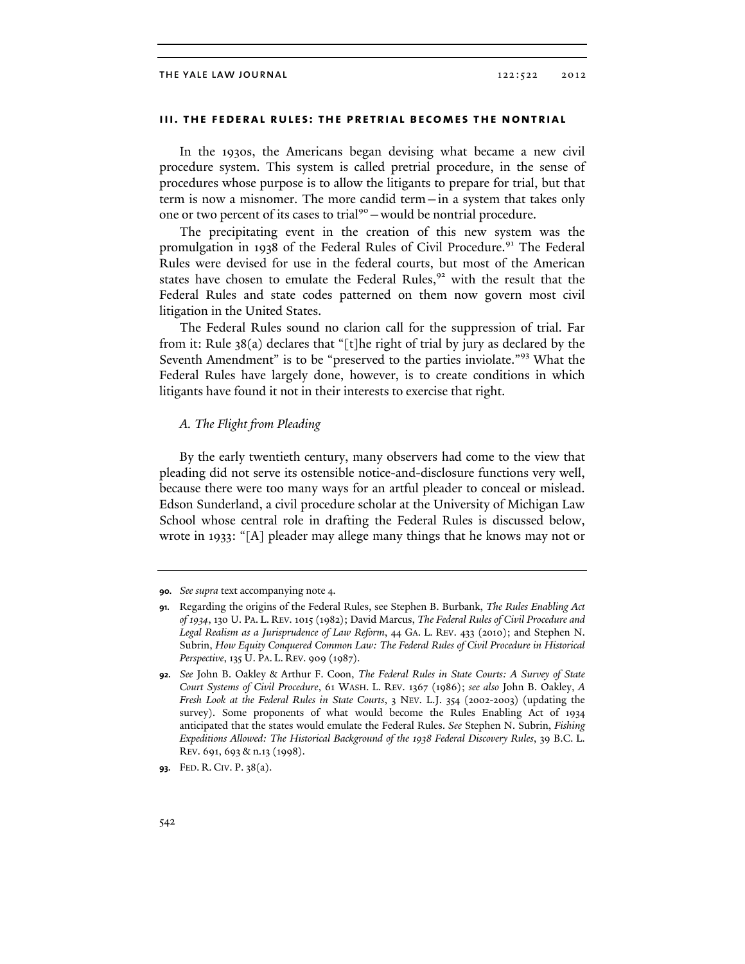# **iii. the federal rules: the pretrial becomes the nontrial**

In the 1930s, the Americans began devising what became a new civil procedure system. This system is called pretrial procedure, in the sense of procedures whose purpose is to allow the litigants to prepare for trial, but that term is now a misnomer. The more candid term—in a system that takes only one or two percent of its cases to trial<sup>90</sup> – would be nontrial procedure.

The precipitating event in the creation of this new system was the promulgation in 1938 of the Federal Rules of Civil Procedure.<sup>91</sup> The Federal Rules were devised for use in the federal courts, but most of the American states have chosen to emulate the Federal Rules,<sup>92</sup> with the result that the Federal Rules and state codes patterned on them now govern most civil litigation in the United States.

The Federal Rules sound no clarion call for the suppression of trial. Far from it: Rule 38(a) declares that "[t]he right of trial by jury as declared by the Seventh Amendment" is to be "preserved to the parties inviolate."93 What the Federal Rules have largely done, however, is to create conditions in which litigants have found it not in their interests to exercise that right.

# *A. The Flight from Pleading*

By the early twentieth century, many observers had come to the view that pleading did not serve its ostensible notice-and-disclosure functions very well, because there were too many ways for an artful pleader to conceal or mislead. Edson Sunderland, a civil procedure scholar at the University of Michigan Law School whose central role in drafting the Federal Rules is discussed below, wrote in 1933: "[A] pleader may allege many things that he knows may not or

**<sup>90.</sup>** *See supra* text accompanying note 4.

**<sup>91.</sup>** Regarding the origins of the Federal Rules, see Stephen B. Burbank, *The Rules Enabling Act of 1934*, 130 U. PA. L. REV. 1015 (1982); David Marcus, *The Federal Rules of Civil Procedure and Legal Realism as a Jurisprudence of Law Reform*, 44 GA. L. REV. 433 (2010); and Stephen N. Subrin, *How Equity Conquered Common Law: The Federal Rules of Civil Procedure in Historical Perspective*, 135 U. PA. L. REV. 909 (1987).

**<sup>92.</sup>** *See* John B. Oakley & Arthur F. Coon, *The Federal Rules in State Courts: A Survey of State Court Systems of Civil Procedure*, 61 WASH. L. REV. 1367 (1986); *see also* John B. Oakley, *A Fresh Look at the Federal Rules in State Courts*, 3 NEV. L.J. 354 (2002-2003) (updating the survey). Some proponents of what would become the Rules Enabling Act of 1934 anticipated that the states would emulate the Federal Rules. *See* Stephen N. Subrin, *Fishing Expeditions Allowed: The Historical Background of the 1938 Federal Discovery Rules*, 39 B.C. L. REV. 691, 693 & n.13 (1998).

**<sup>93.</sup>** FED. R. CIV. P. 38(a).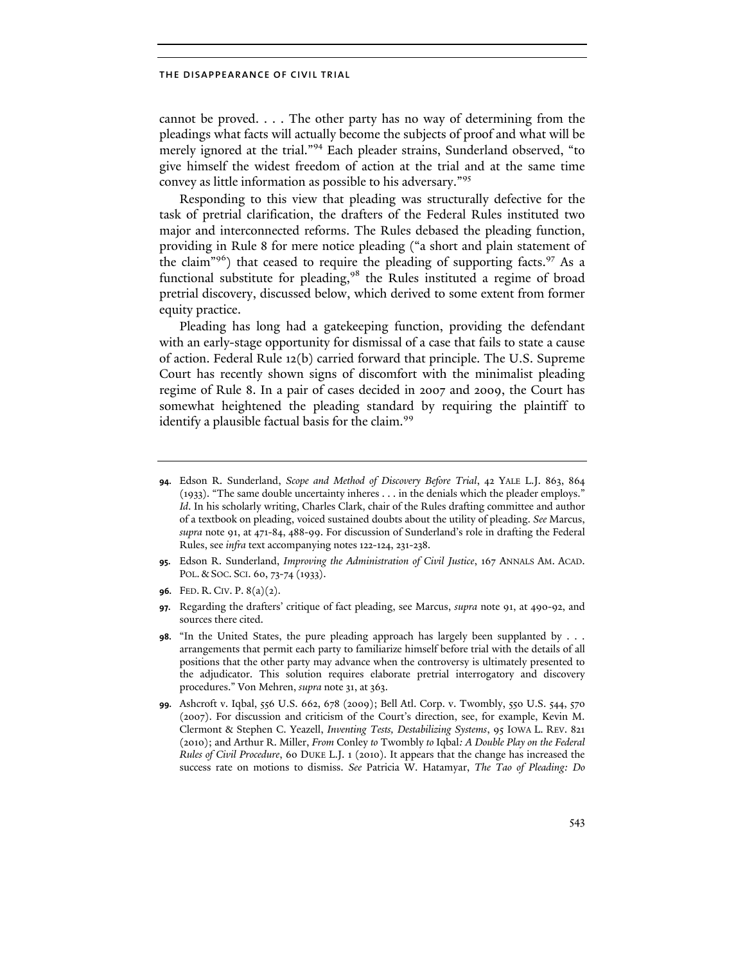cannot be proved. . . . The other party has no way of determining from the pleadings what facts will actually become the subjects of proof and what will be merely ignored at the trial."94 Each pleader strains, Sunderland observed, "to give himself the widest freedom of action at the trial and at the same time convey as little information as possible to his adversary."<sup>95</sup>

Responding to this view that pleading was structurally defective for the task of pretrial clarification, the drafters of the Federal Rules instituted two major and interconnected reforms. The Rules debased the pleading function, providing in Rule 8 for mere notice pleading ("a short and plain statement of the claim"<sup>96</sup>) that ceased to require the pleading of supporting facts.<sup>97</sup> As a functional substitute for pleading, $98$  the Rules instituted a regime of broad pretrial discovery, discussed below, which derived to some extent from former equity practice.

Pleading has long had a gatekeeping function, providing the defendant with an early-stage opportunity for dismissal of a case that fails to state a cause of action. Federal Rule 12(b) carried forward that principle. The U.S. Supreme Court has recently shown signs of discomfort with the minimalist pleading regime of Rule 8. In a pair of cases decided in 2007 and 2009, the Court has somewhat heightened the pleading standard by requiring the plaintiff to identify a plausible factual basis for the claim.<sup>99</sup>

**95.** Edson R. Sunderland, *Improving the Administration of Civil Justice*, 167 ANNALS AM. ACAD. POL. & SOC. SCI. 60, 73-74 (1933).

- **97.** Regarding the drafters' critique of fact pleading, see Marcus, *supra* note 91, at 490-92, and sources there cited.
- **98.** "In the United States, the pure pleading approach has largely been supplanted by . . . arrangements that permit each party to familiarize himself before trial with the details of all positions that the other party may advance when the controversy is ultimately presented to the adjudicator. This solution requires elaborate pretrial interrogatory and discovery procedures." Von Mehren, *supra* note 31, at 363.
- **99.** Ashcroft v. Iqbal, 556 U.S. 662, 678 (2009); Bell Atl. Corp. v. Twombly, 550 U.S. 544, 570 (2007). For discussion and criticism of the Court's direction, see, for example, Kevin M. Clermont & Stephen C. Yeazell, *Inventing Tests, Destabilizing Systems*, 95 IOWA L. REV. 821 (2010); and Arthur R. Miller, *From* Conley *to* Twombly *to* Iqbal*: A Double Play on the Federal Rules of Civil Procedure*, 60 DUKE L.J. 1 (2010). It appears that the change has increased the success rate on motions to dismiss. *See* Patricia W. Hatamyar, *The Tao of Pleading: Do*

**<sup>94.</sup>** Edson R. Sunderland, *Scope and Method of Discovery Before Trial*, 42 YALE L.J. 863, 864 (1933). "The same double uncertainty inheres . . . in the denials which the pleader employs." *Id*. In his scholarly writing, Charles Clark, chair of the Rules drafting committee and author of a textbook on pleading, voiced sustained doubts about the utility of pleading. *See* Marcus, *supra* note 91, at 471-84, 488-99. For discussion of Sunderland's role in drafting the Federal Rules, see *infra* text accompanying notes 122-124, 231-238.

**<sup>96.</sup>** FED. R. CIV. P. 8(a)(2).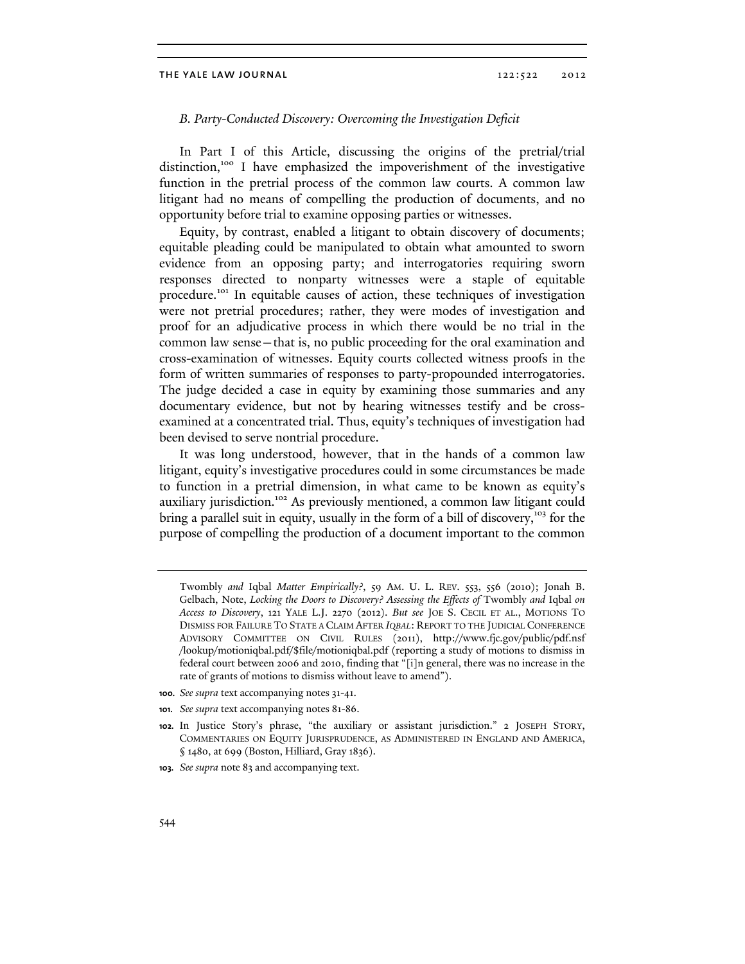# *B. Party-Conducted Discovery: Overcoming the Investigation Deficit*

In Part I of this Article, discussing the origins of the pretrial/trial distinction,<sup>100</sup> I have emphasized the impoverishment of the investigative function in the pretrial process of the common law courts. A common law litigant had no means of compelling the production of documents, and no opportunity before trial to examine opposing parties or witnesses.

Equity, by contrast, enabled a litigant to obtain discovery of documents; equitable pleading could be manipulated to obtain what amounted to sworn evidence from an opposing party; and interrogatories requiring sworn responses directed to nonparty witnesses were a staple of equitable procedure.<sup>101</sup> In equitable causes of action, these techniques of investigation were not pretrial procedures; rather, they were modes of investigation and proof for an adjudicative process in which there would be no trial in the common law sense—that is, no public proceeding for the oral examination and cross-examination of witnesses. Equity courts collected witness proofs in the form of written summaries of responses to party-propounded interrogatories. The judge decided a case in equity by examining those summaries and any documentary evidence, but not by hearing witnesses testify and be crossexamined at a concentrated trial. Thus, equity's techniques of investigation had been devised to serve nontrial procedure.

It was long understood, however, that in the hands of a common law litigant, equity's investigative procedures could in some circumstances be made to function in a pretrial dimension, in what came to be known as equity's auxiliary jurisdiction.<sup>102</sup> As previously mentioned, a common law litigant could bring a parallel suit in equity, usually in the form of a bill of discovery,<sup>103</sup> for the purpose of compelling the production of a document important to the common

- **100.** *See supra* text accompanying notes 31-41.
- **101.** *See supra* text accompanying notes 81-86.

Twombly *and* Iqbal *Matter Empirically?*, 59 AM. U. L. REV. 553, 556 (2010); Jonah B. Gelbach, Note, *Locking the Doors to Discovery? Assessing the Effects of Twombly and Iqbal on Access to Discovery*, 121 YALE L.J. 2270 (2012). *But see* JOE S. CECIL ET AL., MOTIONS TO DISMISS FOR FAILURE TO STATE A CLAIM AFTER *IQBAL*: REPORT TO THE JUDICIAL CONFERENCE ADVISORY COMMITTEE ON CIVIL RULES (2011), http://www.fjc.gov/public/pdf.nsf /lookup/motioniqbal.pdf/\$file/motioniqbal.pdf (reporting a study of motions to dismiss in federal court between 2006 and 2010, finding that "[i]n general, there was no increase in the rate of grants of motions to dismiss without leave to amend").

**<sup>102.</sup>** In Justice Story's phrase, "the auxiliary or assistant jurisdiction." 2 JOSEPH STORY, COMMENTARIES ON EQUITY JURISPRUDENCE, AS ADMINISTERED IN ENGLAND AND AMERICA, § 1480, at 699 (Boston, Hilliard, Gray 1836).

**<sup>103.</sup>** *See supra* note 83 and accompanying text.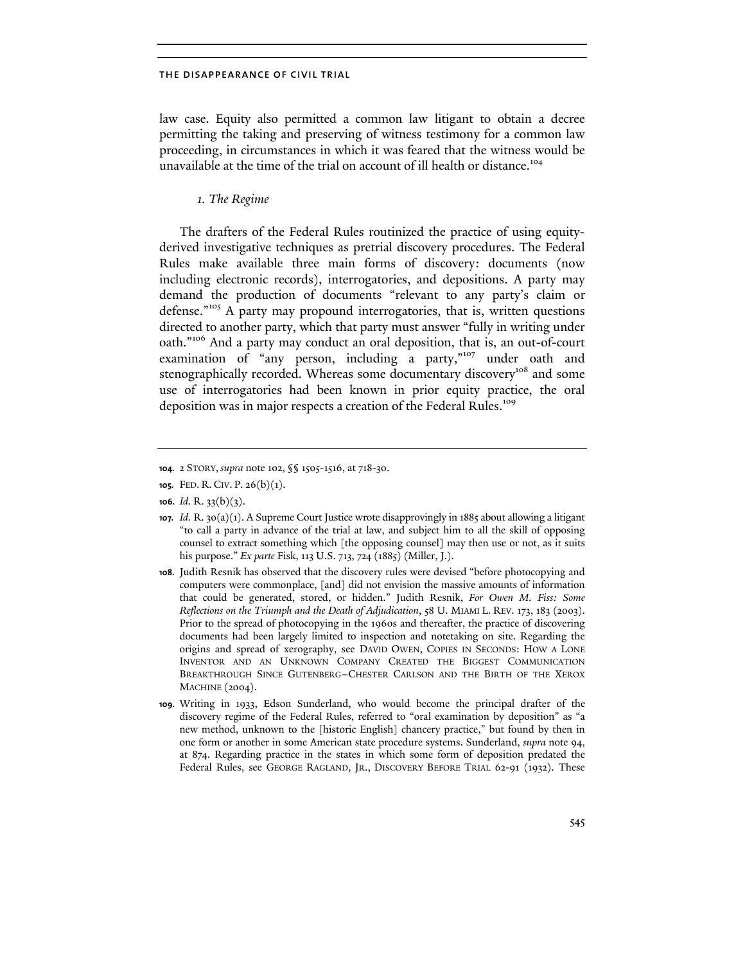law case. Equity also permitted a common law litigant to obtain a decree permitting the taking and preserving of witness testimony for a common law proceeding, in circumstances in which it was feared that the witness would be unavailable at the time of the trial on account of ill health or distance.<sup>104</sup>

# *1. The Regime*

The drafters of the Federal Rules routinized the practice of using equityderived investigative techniques as pretrial discovery procedures. The Federal Rules make available three main forms of discovery: documents (now including electronic records), interrogatories, and depositions. A party may demand the production of documents "relevant to any party's claim or defense."105 A party may propound interrogatories, that is, written questions directed to another party, which that party must answer "fully in writing under oath."106 And a party may conduct an oral deposition, that is, an out-of-court examination of "any person, including a party,"<sup>107</sup> under oath and stenographically recorded. Whereas some documentary discovery<sup>108</sup> and some use of interrogatories had been known in prior equity practice, the oral deposition was in major respects a creation of the Federal Rules.<sup>109</sup>

**<sup>104.</sup>** 2 STORY, *supra* note 102, §§ 1505-1516, at 718-30.

**<sup>105.</sup>** FED. R. CIV. P. 26(b)(1).

**<sup>106.</sup>** *Id.* R. 33(b)(3).

**<sup>107.</sup>** *Id.* R. 30(a)(1). A Supreme Court Justice wrote disapprovingly in 1885 about allowing a litigant "to call a party in advance of the trial at law, and subject him to all the skill of opposing counsel to extract something which [the opposing counsel] may then use or not, as it suits his purpose." *Ex parte* Fisk, 113 U.S. 713, 724 (1885) (Miller, J.).

**<sup>108.</sup>** Judith Resnik has observed that the discovery rules were devised "before photocopying and computers were commonplace, [and] did not envision the massive amounts of information that could be generated, stored, or hidden." Judith Resnik, *For Owen M. Fiss: Some Reflections on the Triumph and the Death of Adjudication*, 58 U. MIAMI L. REV. 173, 183 (2003). Prior to the spread of photocopying in the 1960s and thereafter, the practice of discovering documents had been largely limited to inspection and notetaking on site. Regarding the origins and spread of xerography, see DAVID OWEN, COPIES IN SECONDS: HOW A LONE INVENTOR AND AN UNKNOWN COMPANY CREATED THE BIGGEST COMMUNICATION BREAKTHROUGH SINCE GUTENBERG–CHESTER CARLSON AND THE BIRTH OF THE XEROX MACHINE (2004).

**<sup>109.</sup>** Writing in 1933, Edson Sunderland, who would become the principal drafter of the discovery regime of the Federal Rules, referred to "oral examination by deposition" as "a new method, unknown to the [historic English] chancery practice," but found by then in one form or another in some American state procedure systems. Sunderland, *supra* note 94, at 874. Regarding practice in the states in which some form of deposition predated the Federal Rules, see GEORGE RAGLAND, JR., DISCOVERY BEFORE TRIAL 62-91 (1932). These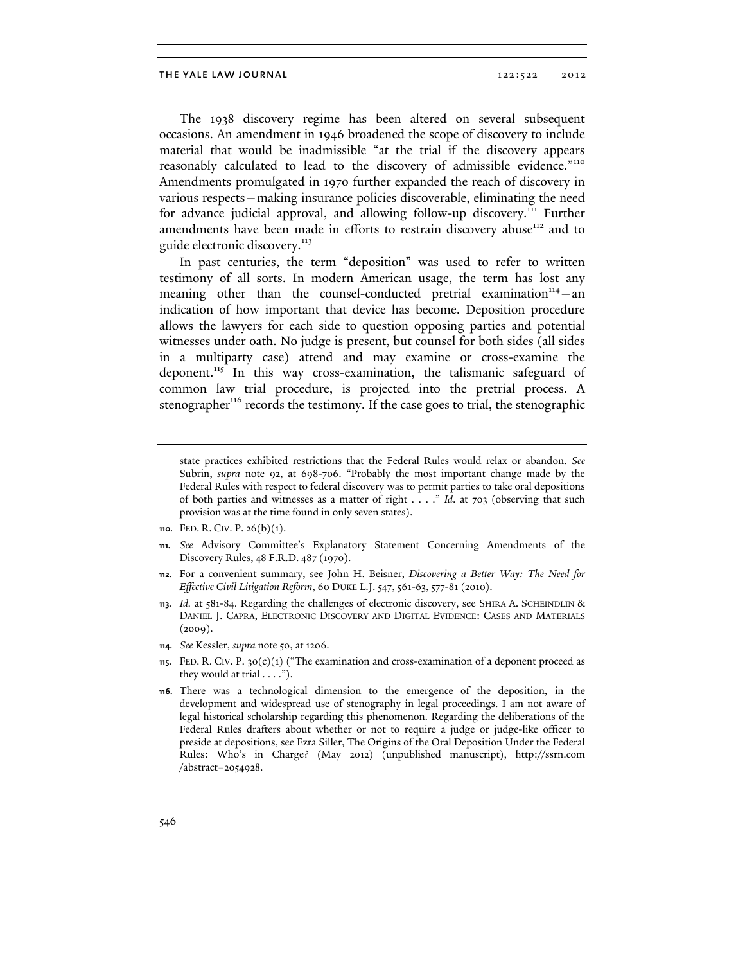The 1938 discovery regime has been altered on several subsequent occasions. An amendment in 1946 broadened the scope of discovery to include material that would be inadmissible "at the trial if the discovery appears reasonably calculated to lead to the discovery of admissible evidence."<sup>110</sup> Amendments promulgated in 1970 further expanded the reach of discovery in various respects—making insurance policies discoverable, eliminating the need for advance judicial approval, and allowing follow-up discovery.<sup>111</sup> Further amendments have been made in efforts to restrain discovery abuse<sup>112</sup> and to guide electronic discovery.<sup>113</sup>

In past centuries, the term "deposition" was used to refer to written testimony of all sorts. In modern American usage, the term has lost any meaning other than the counsel-conducted pretrial examination $n_{14}$  – an indication of how important that device has become. Deposition procedure allows the lawyers for each side to question opposing parties and potential witnesses under oath. No judge is present, but counsel for both sides (all sides in a multiparty case) attend and may examine or cross-examine the deponent.<sup>115</sup> In this way cross-examination, the talismanic safeguard of common law trial procedure, is projected into the pretrial process. A stenographer<sup>116</sup> records the testimony. If the case goes to trial, the stenographic

- **111.** *See* Advisory Committee's Explanatory Statement Concerning Amendments of the Discovery Rules, 48 F.R.D. 487 (1970).
- **112.** For a convenient summary, see John H. Beisner, *Discovering a Better Way: The Need for Effective Civil Litigation Reform*, 60 DUKE L.J. 547, 561-63, 577-81 (2010).
- **113.** *Id.* at 581-84. Regarding the challenges of electronic discovery, see SHIRA A. SCHEINDLIN & DANIEL J. CAPRA, ELECTRONIC DISCOVERY AND DIGITAL EVIDENCE: CASES AND MATERIALS  $(2009).$
- **114.** *See* Kessler, *supra* note 50, at 1206.
- **115.** FED. R. CIV. P. 30(c)(1) ("The examination and cross-examination of a deponent proceed as they would at trial  $\dots$ .").
- **116.** There was a technological dimension to the emergence of the deposition, in the development and widespread use of stenography in legal proceedings. I am not aware of legal historical scholarship regarding this phenomenon. Regarding the deliberations of the Federal Rules drafters about whether or not to require a judge or judge-like officer to preside at depositions, see Ezra Siller, The Origins of the Oral Deposition Under the Federal Rules: Who's in Charge? (May 2012) (unpublished manuscript), http://ssrn.com /abstract=2054928.

state practices exhibited restrictions that the Federal Rules would relax or abandon. *See* Subrin, *supra* note 92, at 698-706. "Probably the most important change made by the Federal Rules with respect to federal discovery was to permit parties to take oral depositions of both parties and witnesses as a matter of right . . . ." *Id*. at 703 (observing that such provision was at the time found in only seven states).

**<sup>110.</sup>** FED. R. CIV. P. 26(b)(1).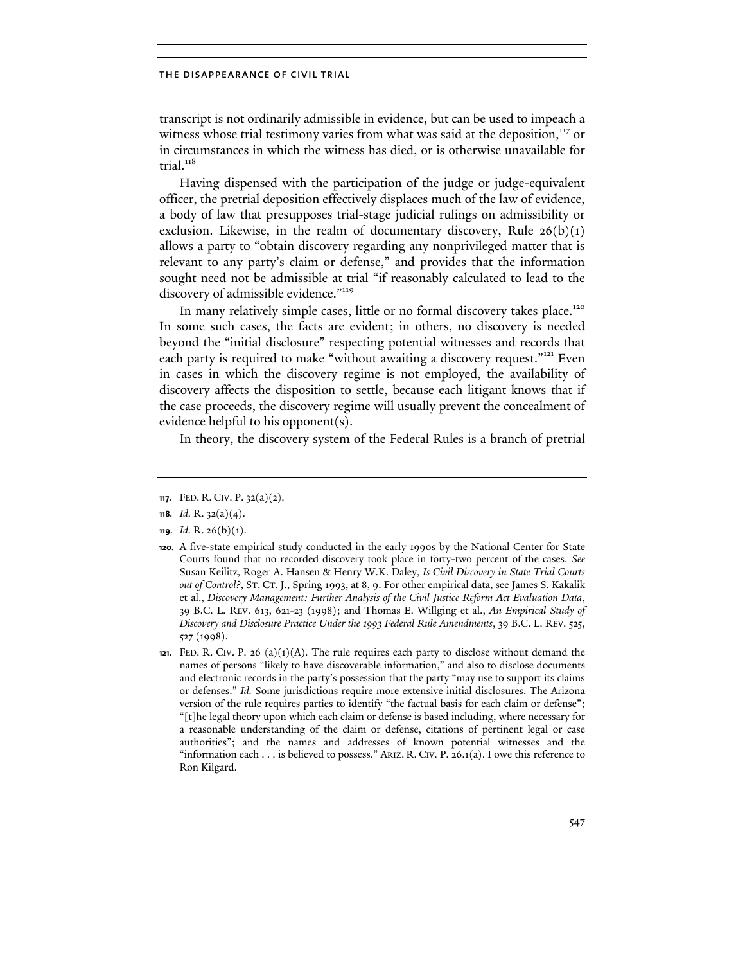transcript is not ordinarily admissible in evidence, but can be used to impeach a witness whose trial testimony varies from what was said at the deposition,<sup>117</sup> or in circumstances in which the witness has died, or is otherwise unavailable for trial. $118$ 

Having dispensed with the participation of the judge or judge-equivalent officer, the pretrial deposition effectively displaces much of the law of evidence, a body of law that presupposes trial-stage judicial rulings on admissibility or exclusion. Likewise, in the realm of documentary discovery, Rule  $26(b)(1)$ allows a party to "obtain discovery regarding any nonprivileged matter that is relevant to any party's claim or defense," and provides that the information sought need not be admissible at trial "if reasonably calculated to lead to the discovery of admissible evidence."<sup>119</sup>

In many relatively simple cases, little or no formal discovery takes place.<sup>120</sup> In some such cases, the facts are evident; in others, no discovery is needed beyond the "initial disclosure" respecting potential witnesses and records that each party is required to make "without awaiting a discovery request."<sup>121</sup> Even in cases in which the discovery regime is not employed, the availability of discovery affects the disposition to settle, because each litigant knows that if the case proceeds, the discovery regime will usually prevent the concealment of evidence helpful to his opponent(s).

In theory, the discovery system of the Federal Rules is a branch of pretrial

**<sup>117.</sup>** FED. R. CIV. P. 32(a)(2).

**<sup>118.</sup>** *Id.* R. 32(a)(4).

**<sup>119.</sup>** *Id.* R. 26(b)(1).

**<sup>120.</sup>** A five-state empirical study conducted in the early 1990s by the National Center for State Courts found that no recorded discovery took place in forty-two percent of the cases. *See* Susan Keilitz, Roger A. Hansen & Henry W.K. Daley, *Is Civil Discovery in State Trial Courts out of Control?*, ST. CT. J., Spring 1993, at 8, 9. For other empirical data, see James S. Kakalik et al., *Discovery Management: Further Analysis of the Civil Justice Reform Act Evaluation Data*, 39 B.C. L. REV. 613, 621-23 (1998); and Thomas E. Willging et al., *An Empirical Study of Discovery and Disclosure Practice Under the 1993 Federal Rule Amendments*, 39 B.C. L. REV. 525, 527 (1998).

**<sup>121.</sup>** FED. R. CIV. P. 26 (a) $(1)(A)$ . The rule requires each party to disclose without demand the names of persons "likely to have discoverable information," and also to disclose documents and electronic records in the party's possession that the party "may use to support its claims or defenses." *Id.* Some jurisdictions require more extensive initial disclosures. The Arizona version of the rule requires parties to identify "the factual basis for each claim or defense"; "[t]he legal theory upon which each claim or defense is based including, where necessary for a reasonable understanding of the claim or defense, citations of pertinent legal or case authorities"; and the names and addresses of known potential witnesses and the "information each . . . is believed to possess." ARIZ. R. CIV. P. 26.1(a). I owe this reference to Ron Kilgard.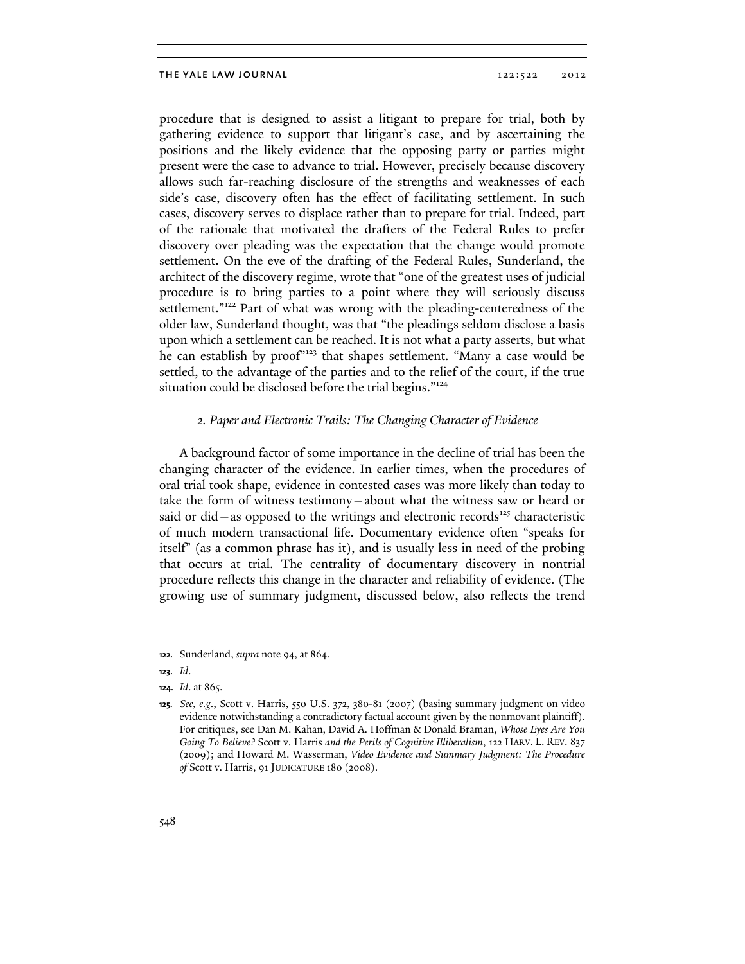procedure that is designed to assist a litigant to prepare for trial, both by gathering evidence to support that litigant's case, and by ascertaining the positions and the likely evidence that the opposing party or parties might present were the case to advance to trial. However, precisely because discovery allows such far-reaching disclosure of the strengths and weaknesses of each side's case, discovery often has the effect of facilitating settlement. In such cases, discovery serves to displace rather than to prepare for trial. Indeed, part of the rationale that motivated the drafters of the Federal Rules to prefer discovery over pleading was the expectation that the change would promote settlement. On the eve of the drafting of the Federal Rules, Sunderland, the architect of the discovery regime, wrote that "one of the greatest uses of judicial procedure is to bring parties to a point where they will seriously discuss settlement."<sup>122</sup> Part of what was wrong with the pleading-centeredness of the older law, Sunderland thought, was that "the pleadings seldom disclose a basis upon which a settlement can be reached. It is not what a party asserts, but what he can establish by proof"<sup>123</sup> that shapes settlement. "Many a case would be settled, to the advantage of the parties and to the relief of the court, if the true situation could be disclosed before the trial begins."<sup>124</sup>

# *2. Paper and Electronic Trails: The Changing Character of Evidence*

A background factor of some importance in the decline of trial has been the changing character of the evidence. In earlier times, when the procedures of oral trial took shape, evidence in contested cases was more likely than today to take the form of witness testimony—about what the witness saw or heard or said or did—as opposed to the writings and electronic records<sup>125</sup> characteristic of much modern transactional life. Documentary evidence often "speaks for itself" (as a common phrase has it), and is usually less in need of the probing that occurs at trial. The centrality of documentary discovery in nontrial procedure reflects this change in the character and reliability of evidence. (The growing use of summary judgment, discussed below, also reflects the trend

**<sup>122.</sup>** Sunderland, *supra* note 94, at 864.

**<sup>123.</sup>** *Id*.

**<sup>124.</sup>** *Id*. at 865.

**<sup>125.</sup>** *See, e.g*., Scott v. Harris, 550 U.S. 372, 380-81 (2007) (basing summary judgment on video evidence notwithstanding a contradictory factual account given by the nonmovant plaintiff). For critiques, see Dan M. Kahan, David A. Hoffman & Donald Braman, *Whose Eyes Are You Going To Believe?* Scott v. Harris *and the Perils of Cognitive Illiberalism*, 122 HARV. L. REV. 837 (2009); and Howard M. Wasserman, *Video Evidence and Summary Judgment: The Procedure of* Scott v. Harris, 91 JUDICATURE 180 (2008).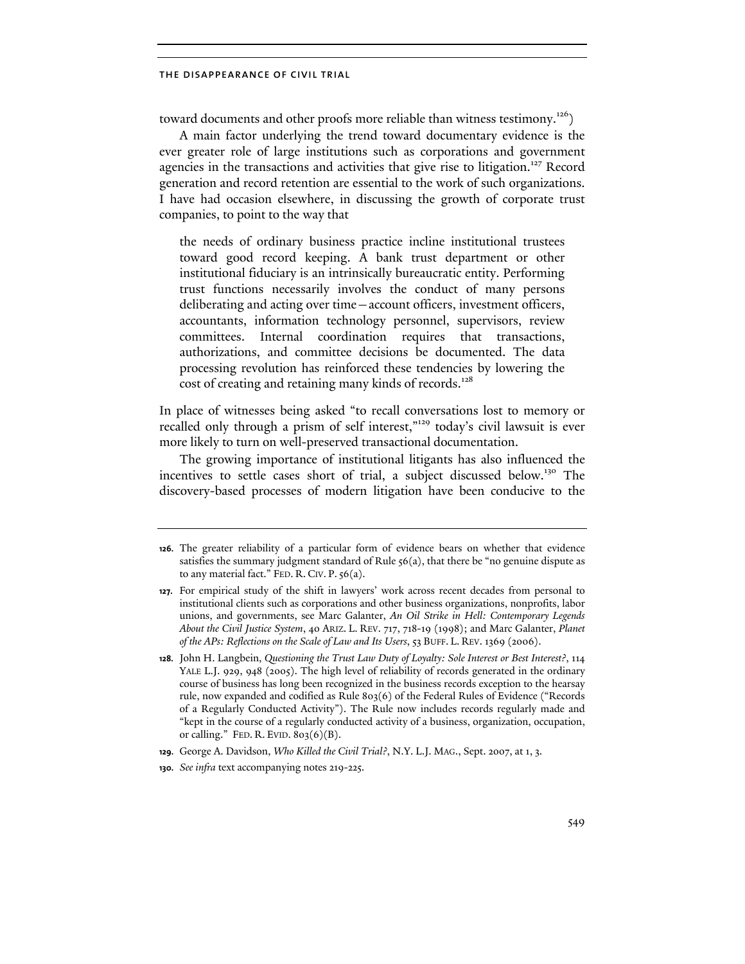toward documents and other proofs more reliable than witness testimony.<sup>126</sup>)

A main factor underlying the trend toward documentary evidence is the ever greater role of large institutions such as corporations and government agencies in the transactions and activities that give rise to litigation.<sup>127</sup> Record generation and record retention are essential to the work of such organizations. I have had occasion elsewhere, in discussing the growth of corporate trust companies, to point to the way that

the needs of ordinary business practice incline institutional trustees toward good record keeping. A bank trust department or other institutional fiduciary is an intrinsically bureaucratic entity. Performing trust functions necessarily involves the conduct of many persons deliberating and acting over time—account officers, investment officers, accountants, information technology personnel, supervisors, review committees. Internal coordination requires that transactions, authorizations, and committee decisions be documented. The data processing revolution has reinforced these tendencies by lowering the cost of creating and retaining many kinds of records.<sup>128</sup>

In place of witnesses being asked "to recall conversations lost to memory or recalled only through a prism of self interest,"<sup>129</sup> today's civil lawsuit is ever more likely to turn on well-preserved transactional documentation.

The growing importance of institutional litigants has also influenced the incentives to settle cases short of trial, a subject discussed below.<sup>130</sup> The discovery-based processes of modern litigation have been conducive to the

**<sup>126.</sup>** The greater reliability of a particular form of evidence bears on whether that evidence satisfies the summary judgment standard of Rule 56(a), that there be "no genuine dispute as to any material fact." FED. R. CIV. P. 56(a).

**<sup>127.</sup>** For empirical study of the shift in lawyers' work across recent decades from personal to institutional clients such as corporations and other business organizations, nonprofits, labor unions, and governments, see Marc Galanter, *An Oil Strike in Hell: Contemporary Legends About the Civil Justice System*, 40 ARIZ. L. REV. 717, 718-19 (1998); and Marc Galanter, *Planet of the APs: Reflections on the Scale of Law and Its Users*, 53 BUFF. L. REV. 1369 (2006).

**<sup>128.</sup>** John H. Langbein, *Questioning the Trust Law Duty of Loyalty: Sole Interest or Best Interest?*, 114 YALE L.J. 929, 948 (2005). The high level of reliability of records generated in the ordinary course of business has long been recognized in the business records exception to the hearsay rule, now expanded and codified as Rule 803(6) of the Federal Rules of Evidence ("Records of a Regularly Conducted Activity"). The Rule now includes records regularly made and "kept in the course of a regularly conducted activity of a business, organization, occupation, or calling." FED. R. EVID. 803(6)(B).

**<sup>129.</sup>** George A. Davidson, *Who Killed the Civil Trial?*, N.Y. L.J. MAG., Sept. 2007, at 1, 3.

**<sup>130.</sup>** *See infra* text accompanying notes 219-225.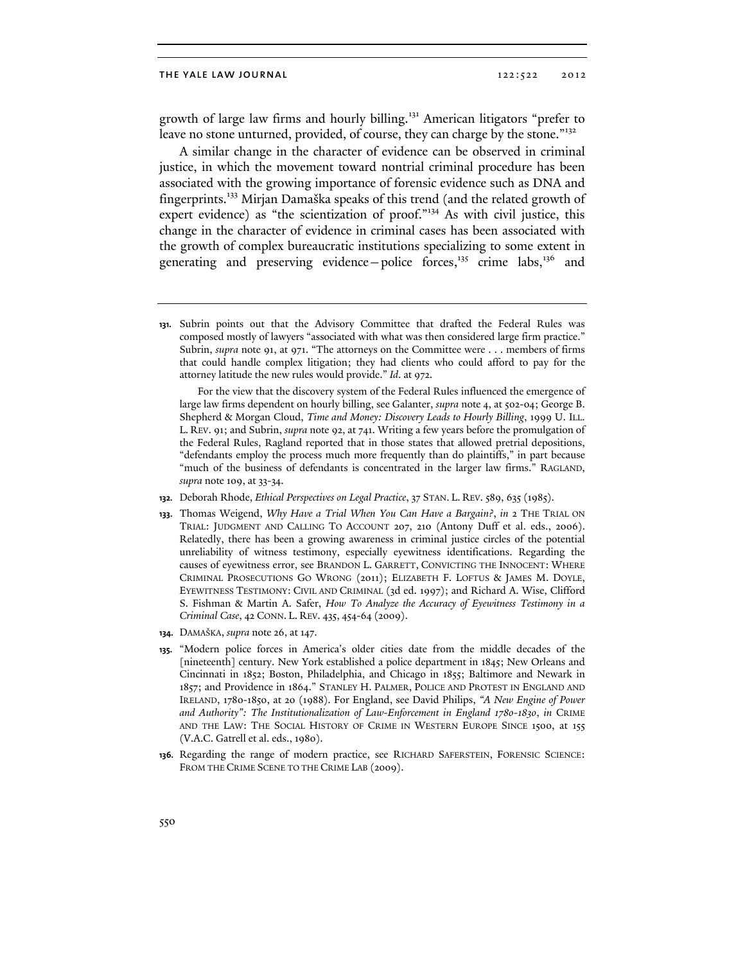growth of large law firms and hourly billing.<sup>131</sup> American litigators "prefer to leave no stone unturned, provided, of course, they can charge by the stone."<sup>132</sup>

A similar change in the character of evidence can be observed in criminal justice, in which the movement toward nontrial criminal procedure has been associated with the growing importance of forensic evidence such as DNA and fingerprints.133 Mirjan Damaška speaks of this trend (and the related growth of expert evidence) as "the scientization of proof."134 As with civil justice, this change in the character of evidence in criminal cases has been associated with the growth of complex bureaucratic institutions specializing to some extent in generating and preserving evidence—police forces,<sup>135</sup> crime labs,<sup>136</sup> and

 For the view that the discovery system of the Federal Rules influenced the emergence of large law firms dependent on hourly billing, see Galanter, *supra* note 4, at 502-04; George B. Shepherd & Morgan Cloud, *Time and Money: Discovery Leads to Hourly Billing*, 1999 U. ILL. L. REV. 91; and Subrin, *supra* note 92, at 741. Writing a few years before the promulgation of the Federal Rules, Ragland reported that in those states that allowed pretrial depositions, "defendants employ the process much more frequently than do plaintiffs," in part because "much of the business of defendants is concentrated in the larger law firms." RAGLAND, *supra* note 109, at 33-34.

- **132.** Deborah Rhode, *Ethical Perspectives on Legal Practice*, 37 STAN. L. REV. 589, 635 (1985).
- **133.** Thomas Weigend, *Why Have a Trial When You Can Have a Bargain?*, *in* 2 THE TRIAL ON TRIAL: JUDGMENT AND CALLING TO ACCOUNT 207, 210 (Antony Duff et al. eds., 2006). Relatedly, there has been a growing awareness in criminal justice circles of the potential unreliability of witness testimony, especially eyewitness identifications. Regarding the causes of eyewitness error, see BRANDON L. GARRETT, CONVICTING THE INNOCENT: WHERE CRIMINAL PROSECUTIONS GO WRONG (2011); ELIZABETH F. LOFTUS & JAMES M. DOYLE, EYEWITNESS TESTIMONY: CIVIL AND CRIMINAL (3d ed. 1997); and Richard A. Wise, Clifford S. Fishman & Martin A. Safer, *How To Analyze the Accuracy of Eyewitness Testimony in a Criminal Case*, 42 CONN. L. REV. 435, 454-64 (2009).
- **134.** DAMAŠKA, *supra* note 26, at 147.
- **135.** "Modern police forces in America's older cities date from the middle decades of the [nineteenth] century. New York established a police department in 1845; New Orleans and Cincinnati in 1852; Boston, Philadelphia, and Chicago in 1855; Baltimore and Newark in 1857; and Providence in 1864." STANLEY H. PALMER, POLICE AND PROTEST IN ENGLAND AND IRELAND, 1780-1850, at 20 (1988). For England, see David Philips, *"A New Engine of Power and Authority": The Institutionalization of Law-Enforcement in England 1780-1830*, *in* CRIME AND THE LAW: THE SOCIAL HISTORY OF CRIME IN WESTERN EUROPE SINCE 1500, at 155 (V.A.C. Gatrell et al. eds., 1980).
- **136.** Regarding the range of modern practice, see RICHARD SAFERSTEIN, FORENSIC SCIENCE: FROM THE CRIME SCENE TO THE CRIME LAB (2009).

**<sup>131.</sup>** Subrin points out that the Advisory Committee that drafted the Federal Rules was composed mostly of lawyers "associated with what was then considered large firm practice." Subrin, *supra* note 91, at 971. "The attorneys on the Committee were . . . members of firms that could handle complex litigation; they had clients who could afford to pay for the attorney latitude the new rules would provide." *Id*. at 972.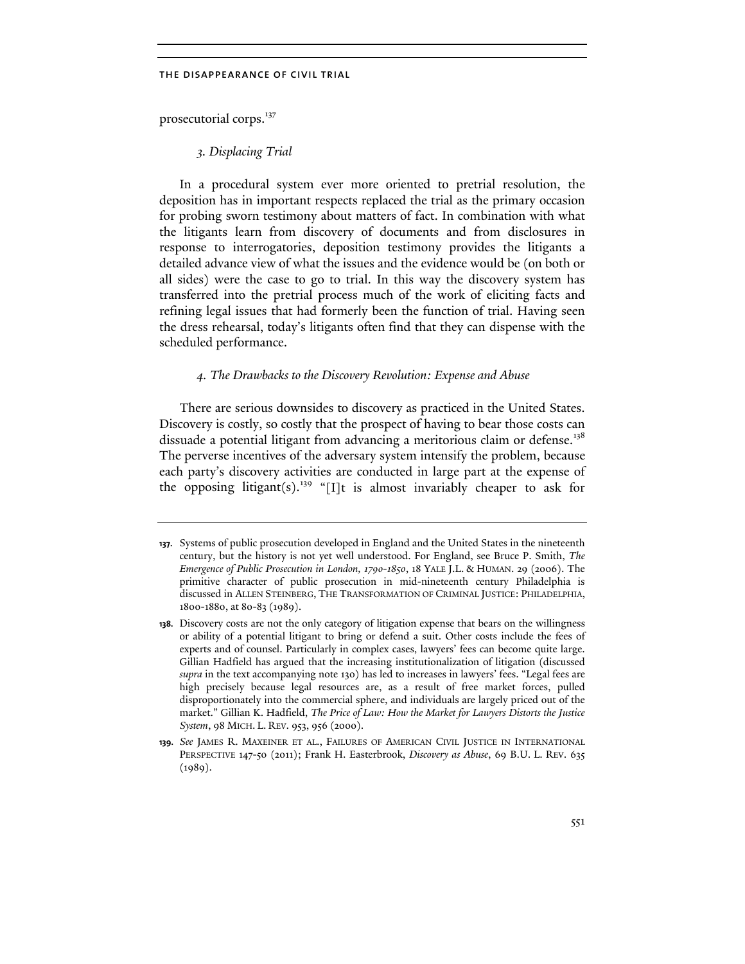prosecutorial corps.<sup>137</sup>

# *3. Displacing Trial*

In a procedural system ever more oriented to pretrial resolution, the deposition has in important respects replaced the trial as the primary occasion for probing sworn testimony about matters of fact. In combination with what the litigants learn from discovery of documents and from disclosures in response to interrogatories, deposition testimony provides the litigants a detailed advance view of what the issues and the evidence would be (on both or all sides) were the case to go to trial. In this way the discovery system has transferred into the pretrial process much of the work of eliciting facts and refining legal issues that had formerly been the function of trial. Having seen the dress rehearsal, today's litigants often find that they can dispense with the scheduled performance.

# *4. The Drawbacks to the Discovery Revolution: Expense and Abuse*

There are serious downsides to discovery as practiced in the United States. Discovery is costly, so costly that the prospect of having to bear those costs can dissuade a potential litigant from advancing a meritorious claim or defense.<sup>138</sup> The perverse incentives of the adversary system intensify the problem, because each party's discovery activities are conducted in large part at the expense of the opposing litigant(s).<sup>139</sup> "[I]t is almost invariably cheaper to ask for

**<sup>137.</sup>** Systems of public prosecution developed in England and the United States in the nineteenth century, but the history is not yet well understood. For England, see Bruce P. Smith, *The Emergence of Public Prosecution in London, 1790-1850*, 18 YALE J.L. & HUMAN. 29 (2006). The primitive character of public prosecution in mid-nineteenth century Philadelphia is discussed in ALLEN STEINBERG, THE TRANSFORMATION OF CRIMINAL JUSTICE: PHILADELPHIA, 1800-1880, at 80-83 (1989).

**<sup>138.</sup>** Discovery costs are not the only category of litigation expense that bears on the willingness or ability of a potential litigant to bring or defend a suit. Other costs include the fees of experts and of counsel. Particularly in complex cases, lawyers' fees can become quite large. Gillian Hadfield has argued that the increasing institutionalization of litigation (discussed *supra* in the text accompanying note 130) has led to increases in lawyers' fees. "Legal fees are high precisely because legal resources are, as a result of free market forces, pulled disproportionately into the commercial sphere, and individuals are largely priced out of the market." Gillian K. Hadfield, *The Price of Law: How the Market for Lawyers Distorts the Justice System*, 98 MICH. L. REV. 953, 956 (2000).

**<sup>139.</sup>** *See* JAMES R. MAXEINER ET AL., FAILURES OF AMERICAN CIVIL JUSTICE IN INTERNATIONAL PERSPECTIVE 147-50 (2011); Frank H. Easterbrook, *Discovery as Abuse*, 69 B.U. L. REV. 635  $(1989).$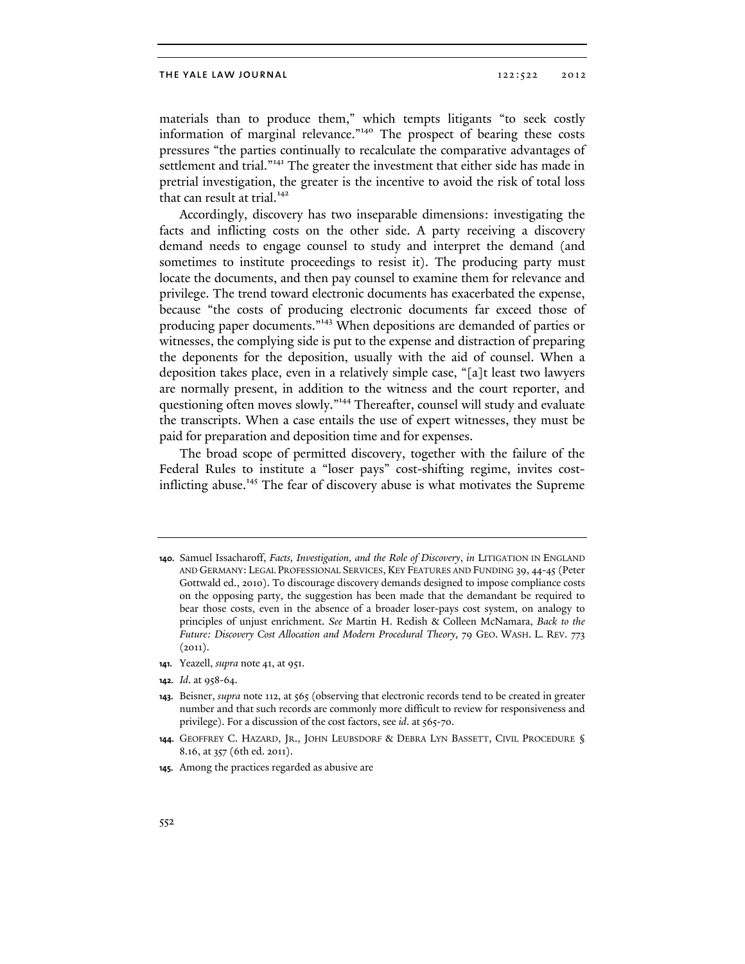materials than to produce them," which tempts litigants "to seek costly information of marginal relevance."140 The prospect of bearing these costs pressures "the parties continually to recalculate the comparative advantages of settlement and trial."<sup>141</sup> The greater the investment that either side has made in pretrial investigation, the greater is the incentive to avoid the risk of total loss that can result at trial.<sup>142</sup>

Accordingly, discovery has two inseparable dimensions: investigating the facts and inflicting costs on the other side. A party receiving a discovery demand needs to engage counsel to study and interpret the demand (and sometimes to institute proceedings to resist it). The producing party must locate the documents, and then pay counsel to examine them for relevance and privilege. The trend toward electronic documents has exacerbated the expense, because "the costs of producing electronic documents far exceed those of producing paper documents."143 When depositions are demanded of parties or witnesses, the complying side is put to the expense and distraction of preparing the deponents for the deposition, usually with the aid of counsel. When a deposition takes place, even in a relatively simple case, "[a]t least two lawyers are normally present, in addition to the witness and the court reporter, and questioning often moves slowly."<sup>144</sup> Thereafter, counsel will study and evaluate the transcripts. When a case entails the use of expert witnesses, they must be paid for preparation and deposition time and for expenses.

The broad scope of permitted discovery, together with the failure of the Federal Rules to institute a "loser pays" cost-shifting regime, invites costinflicting abuse.<sup>145</sup> The fear of discovery abuse is what motivates the Supreme

**141.** Yeazell, *supra* note 41, at 951.

**<sup>140.</sup>** Samuel Issacharoff, *Facts, Investigation, and the Role of Discovery*, *in* LITIGATION IN ENGLAND AND GERMANY: LEGAL PROFESSIONAL SERVICES, KEY FEATURES AND FUNDING 39, 44-45 (Peter Gottwald ed., 2010). To discourage discovery demands designed to impose compliance costs on the opposing party, the suggestion has been made that the demandant be required to bear those costs, even in the absence of a broader loser-pays cost system, on analogy to principles of unjust enrichment. *See* Martin H. Redish & Colleen McNamara, *Back to the Future: Discovery Cost Allocation and Modern Procedural Theory*, 79 GEO. WASH. L. REV. 773  $(2011).$ 

**<sup>142.</sup>** *Id*. at 958-64.

**<sup>143.</sup>** Beisner, *supra* note 112, at 565 (observing that electronic records tend to be created in greater number and that such records are commonly more difficult to review for responsiveness and privilege). For a discussion of the cost factors, see *id*. at 565-70.

**<sup>144.</sup>** GEOFFREY C. HAZARD, JR., JOHN LEUBSDORF & DEBRA LYN BASSETT, CIVIL PROCEDURE § 8.16, at 357 (6th ed. 2011).

**<sup>145.</sup>** Among the practices regarded as abusive are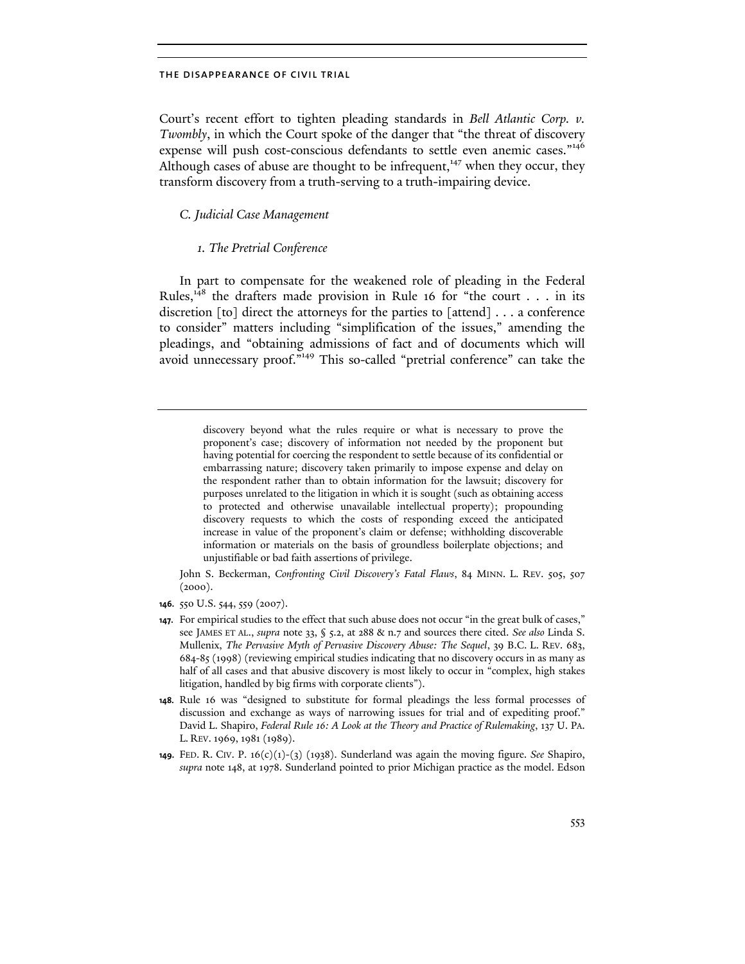Court's recent effort to tighten pleading standards in *Bell Atlantic Corp. v. Twombly*, in which the Court spoke of the danger that "the threat of discovery expense will push cost-conscious defendants to settle even anemic cases."<sup>146</sup> Although cases of abuse are thought to be infrequent, $147$  when they occur, they transform discovery from a truth-serving to a truth-impairing device.

# *C. Judicial Case Management*

# *1. The Pretrial Conference*

In part to compensate for the weakened role of pleading in the Federal Rules, $148$  the drafters made provision in Rule 16 for "the court . . . in its discretion [to] direct the attorneys for the parties to [attend] . . . a conference to consider" matters including "simplification of the issues," amending the pleadings, and "obtaining admissions of fact and of documents which will avoid unnecessary proof."149 This so-called "pretrial conference" can take the

 John S. Beckerman, *Confronting Civil Discovery's Fatal Flaws*, 84 MINN. L. REV. 505, 507  $(2000).$ 

**146.** 550 U.S. 544, 559 (2007).

discovery beyond what the rules require or what is necessary to prove the proponent's case; discovery of information not needed by the proponent but having potential for coercing the respondent to settle because of its confidential or embarrassing nature; discovery taken primarily to impose expense and delay on the respondent rather than to obtain information for the lawsuit; discovery for purposes unrelated to the litigation in which it is sought (such as obtaining access to protected and otherwise unavailable intellectual property); propounding discovery requests to which the costs of responding exceed the anticipated increase in value of the proponent's claim or defense; withholding discoverable information or materials on the basis of groundless boilerplate objections; and unjustifiable or bad faith assertions of privilege.

**<sup>147.</sup>** For empirical studies to the effect that such abuse does not occur "in the great bulk of cases," see JAMES ET AL., *supra* note 33, § 5.2, at 288 & n.7 and sources there cited. *See also* Linda S. Mullenix, *The Pervasive Myth of Pervasive Discovery Abuse: The Sequel*, 39 B.C. L. REV. 683, 684-85 (1998) (reviewing empirical studies indicating that no discovery occurs in as many as half of all cases and that abusive discovery is most likely to occur in "complex, high stakes litigation, handled by big firms with corporate clients").

**<sup>148.</sup>** Rule 16 was "designed to substitute for formal pleadings the less formal processes of discussion and exchange as ways of narrowing issues for trial and of expediting proof." David L. Shapiro, *Federal Rule 16: A Look at the Theory and Practice of Rulemaking*, 137 U. PA. L. REV. 1969, 1981 (1989).

**<sup>149.</sup>** FED. R. CIV. P. 16(c)(1)-(3) (1938). Sunderland was again the moving figure. *See* Shapiro, *supra* note 148, at 1978. Sunderland pointed to prior Michigan practice as the model. Edson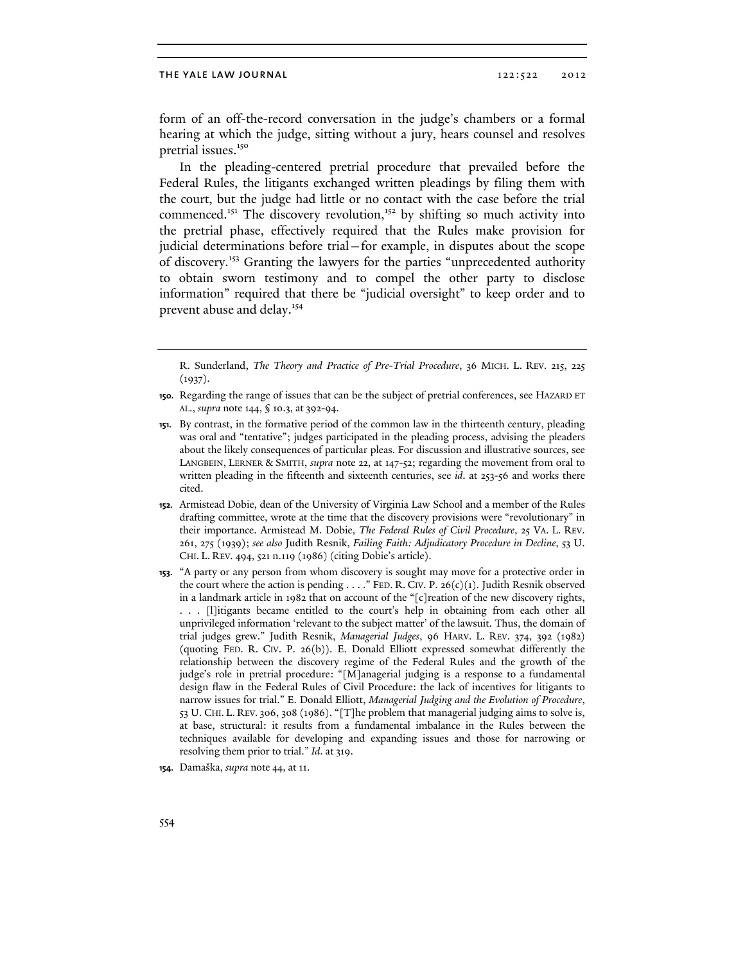form of an off-the-record conversation in the judge's chambers or a formal hearing at which the judge, sitting without a jury, hears counsel and resolves pretrial issues.<sup>150</sup>

In the pleading-centered pretrial procedure that prevailed before the Federal Rules, the litigants exchanged written pleadings by filing them with the court, but the judge had little or no contact with the case before the trial commenced.<sup>151</sup> The discovery revolution,<sup>152</sup> by shifting so much activity into the pretrial phase, effectively required that the Rules make provision for judicial determinations before trial—for example, in disputes about the scope of discovery.153 Granting the lawyers for the parties "unprecedented authority to obtain sworn testimony and to compel the other party to disclose information" required that there be "judicial oversight" to keep order and to prevent abuse and delay.<sup>154</sup>

R. Sunderland, *The Theory and Practice of Pre-Trial Procedure*, 36 MICH. L. REV. 215, 225  $(1937).$ 

**152.** Armistead Dobie, dean of the University of Virginia Law School and a member of the Rules drafting committee, wrote at the time that the discovery provisions were "revolutionary" in their importance. Armistead M. Dobie, *The Federal Rules of Civil Procedure*, 25 VA. L. REV. 261, 275 (1939); *see also* Judith Resnik, *Failing Faith: Adjudicatory Procedure in Decline*, 53 U. CHI. L. REV. 494, 521 n.119 (1986) (citing Dobie's article).

**153.** "A party or any person from whom discovery is sought may move for a protective order in the court where the action is pending . . . ." FED. R. CIV. P. 26(c)(1). Judith Resnik observed in a landmark article in 1982 that on account of the "[c]reation of the new discovery rights, . . . [l]itigants became entitled to the court's help in obtaining from each other all unprivileged information 'relevant to the subject matter' of the lawsuit. Thus, the domain of trial judges grew." Judith Resnik, *Managerial Judges*, 96 HARV. L. REV. 374, 392 (1982) (quoting FED. R. CIV. P. 26(b)). E. Donald Elliott expressed somewhat differently the relationship between the discovery regime of the Federal Rules and the growth of the judge's role in pretrial procedure: "[M]anagerial judging is a response to a fundamental design flaw in the Federal Rules of Civil Procedure: the lack of incentives for litigants to narrow issues for trial." E. Donald Elliott, *Managerial Judging and the Evolution of Procedure*, 53 U. CHI. L. REV. 306, 308 (1986). "[T]he problem that managerial judging aims to solve is, at base, structural: it results from a fundamental imbalance in the Rules between the techniques available for developing and expanding issues and those for narrowing or resolving them prior to trial." *Id*. at 319.

**<sup>150.</sup>** Regarding the range of issues that can be the subject of pretrial conferences, see HAZARD ET AL., *supra* note 144, § 10.3, at 392-94.

**<sup>151.</sup>** By contrast, in the formative period of the common law in the thirteenth century, pleading was oral and "tentative"; judges participated in the pleading process, advising the pleaders about the likely consequences of particular pleas. For discussion and illustrative sources, see LANGBEIN, LERNER & SMITH, *supra* note 22, at 147-52; regarding the movement from oral to written pleading in the fifteenth and sixteenth centuries, see *id*. at 253-56 and works there cited.

**<sup>154.</sup>** Damaška, *supra* note 44, at 11.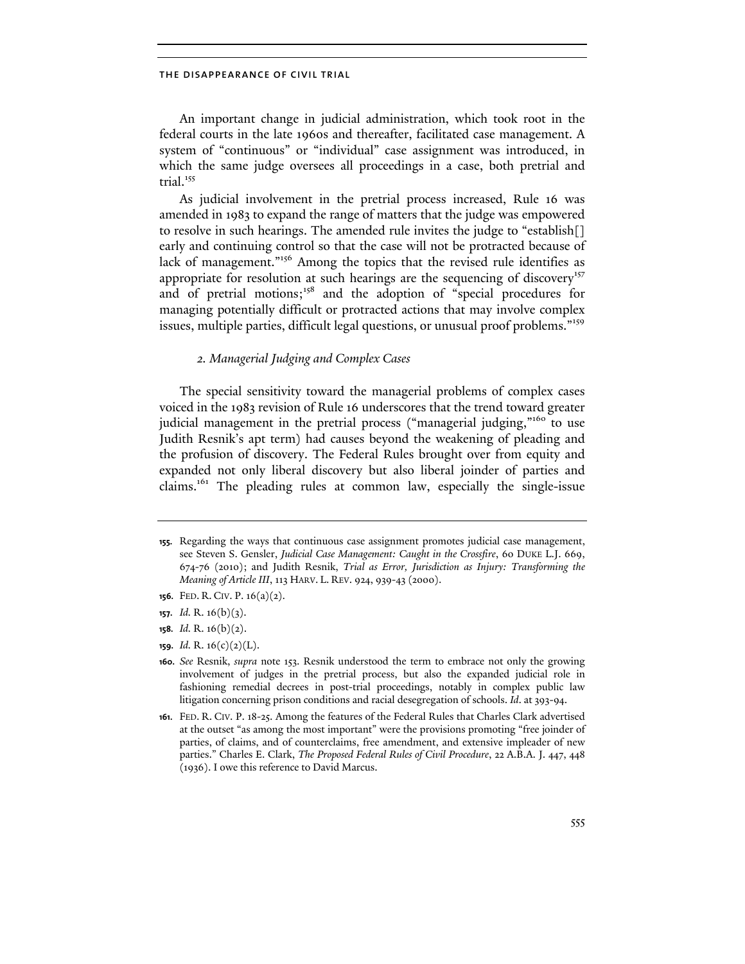An important change in judicial administration, which took root in the federal courts in the late 1960s and thereafter, facilitated case management. A system of "continuous" or "individual" case assignment was introduced, in which the same judge oversees all proceedings in a case, both pretrial and trial.<sup>155</sup>

As judicial involvement in the pretrial process increased, Rule 16 was amended in 1983 to expand the range of matters that the judge was empowered to resolve in such hearings. The amended rule invites the judge to "establish[] early and continuing control so that the case will not be protracted because of lack of management."<sup>156</sup> Among the topics that the revised rule identifies as appropriate for resolution at such hearings are the sequencing of discovery<sup>157</sup> and of pretrial motions;<sup>158</sup> and the adoption of "special procedures for managing potentially difficult or protracted actions that may involve complex issues, multiple parties, difficult legal questions, or unusual proof problems."<sup>159</sup>

# *2. Managerial Judging and Complex Cases*

The special sensitivity toward the managerial problems of complex cases voiced in the 1983 revision of Rule 16 underscores that the trend toward greater judicial management in the pretrial process ("managerial judging,"<sup>160</sup> to use Judith Resnik's apt term) had causes beyond the weakening of pleading and the profusion of discovery. The Federal Rules brought over from equity and expanded not only liberal discovery but also liberal joinder of parties and claims.<sup>161</sup> The pleading rules at common law, especially the single-issue

- **158.** *Id.* R. 16(b)(2).
- **159.** *Id.* R. 16(c)(2)(L).

**<sup>155.</sup>** Regarding the ways that continuous case assignment promotes judicial case management, see Steven S. Gensler, *Judicial Case Management: Caught in the Crossfire*, 60 DUKE L.J. 669, 674-76 (2010); and Judith Resnik, *Trial as Error, Jurisdiction as Injury: Transforming the Meaning of Article III*, 113 HARV. L. REV. 924, 939-43 (2000).

**<sup>156.</sup>** FED. R. CIV. P. 16(a)(2).

**<sup>157.</sup>** *Id.* R. 16(b)(3).

**<sup>160.</sup>** *See* Resnik, *supra* note 153. Resnik understood the term to embrace not only the growing involvement of judges in the pretrial process, but also the expanded judicial role in fashioning remedial decrees in post-trial proceedings, notably in complex public law litigation concerning prison conditions and racial desegregation of schools. *Id*. at 393-94.

**<sup>161.</sup>** FED. R. CIV. P. 18-25. Among the features of the Federal Rules that Charles Clark advertised at the outset "as among the most important" were the provisions promoting "free joinder of parties, of claims, and of counterclaims, free amendment, and extensive impleader of new parties." Charles E. Clark, *The Proposed Federal Rules of Civil Procedure*, 22 A.B.A. J. 447, 448 (1936). I owe this reference to David Marcus.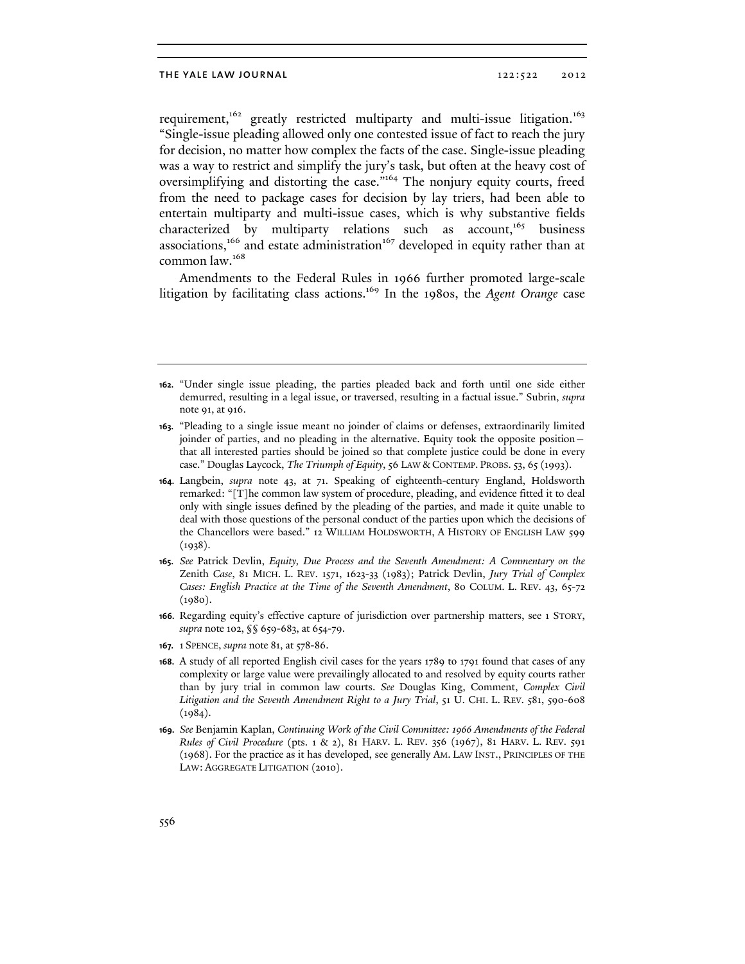requirement,<sup>162</sup> greatly restricted multiparty and multi-issue litigation.<sup>163</sup> "Single-issue pleading allowed only one contested issue of fact to reach the jury for decision, no matter how complex the facts of the case. Single-issue pleading was a way to restrict and simplify the jury's task, but often at the heavy cost of oversimplifying and distorting the case."<sup>164</sup> The nonjury equity courts, freed from the need to package cases for decision by lay triers, had been able to entertain multiparty and multi-issue cases, which is why substantive fields characterized by multiparty relations such as account,<sup>165</sup> business associations,<sup>166</sup> and estate administration<sup>167</sup> developed in equity rather than at common law.<sup>168</sup>

Amendments to the Federal Rules in 1966 further promoted large-scale litigation by facilitating class actions.169 In the 1980s, the *Agent Orange* case

- **165.** *See* Patrick Devlin, *Equity, Due Process and the Seventh Amendment: A Commentary on the*  Zenith *Case*, 81 MICH. L. REV. 1571, 1623-33 (1983); Patrick Devlin, *Jury Trial of Complex Cases: English Practice at the Time of the Seventh Amendment*, 80 COLUM. L. REV. 43, 65-72 (1980).
- **166.** Regarding equity's effective capture of jurisdiction over partnership matters, see 1 STORY, *supra* note 102, §§ 659-683, at 654-79.
- **167.** 1 SPENCE, *supra* note 81, at 578-86.
- **168.** A study of all reported English civil cases for the years 1789 to 1791 found that cases of any complexity or large value were prevailingly allocated to and resolved by equity courts rather than by jury trial in common law courts. *See* Douglas King, Comment, *Complex Civil Litigation and the Seventh Amendment Right to a Jury Trial*, 51 U. CHI. L. REV. 581, 590-608  $(1984).$
- **169.** *See* Benjamin Kaplan, *Continuing Work of the Civil Committee: 1966 Amendments of the Federal Rules of Civil Procedure* (pts. 1 & 2), 81 HARV. L. REV. 356 (1967), 81 HARV. L. REV. 591 (1968). For the practice as it has developed, see generally AM. LAW INST., PRINCIPLES OF THE LAW: AGGREGATE LITIGATION (2010).

**<sup>162.</sup>** "Under single issue pleading, the parties pleaded back and forth until one side either demurred, resulting in a legal issue, or traversed, resulting in a factual issue." Subrin, *supra* note 91, at 916.

**<sup>163.</sup>** "Pleading to a single issue meant no joinder of claims or defenses, extraordinarily limited joinder of parties, and no pleading in the alternative. Equity took the opposite position that all interested parties should be joined so that complete justice could be done in every case." Douglas Laycock, *The Triumph of Equity*, 56 LAW & CONTEMP. PROBS. 53, 65 (1993).

**<sup>164.</sup>** Langbein, *supra* note 43, at 71. Speaking of eighteenth-century England, Holdsworth remarked: "[T]he common law system of procedure, pleading, and evidence fitted it to deal only with single issues defined by the pleading of the parties, and made it quite unable to deal with those questions of the personal conduct of the parties upon which the decisions of the Chancellors were based." 12 WILLIAM HOLDSWORTH, A HISTORY OF ENGLISH LAW 599 (1938).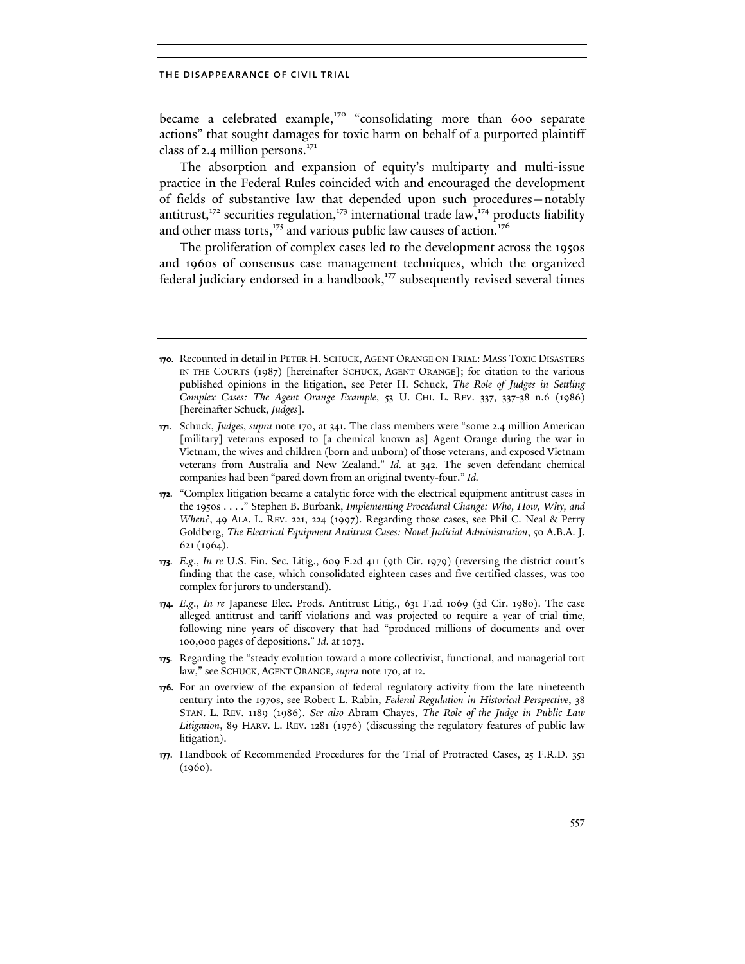became a celebrated example,<sup>170</sup> "consolidating more than 600 separate actions" that sought damages for toxic harm on behalf of a purported plaintiff class of 2.4 million persons. $171$ 

The absorption and expansion of equity's multiparty and multi-issue practice in the Federal Rules coincided with and encouraged the development of fields of substantive law that depended upon such procedures—notably antitrust,<sup>172</sup> securities regulation,<sup>173</sup> international trade law,<sup>174</sup> products liability and other mass torts,<sup>175</sup> and various public law causes of action.<sup>176</sup>

The proliferation of complex cases led to the development across the 1950s and 1960s of consensus case management techniques, which the organized federal judiciary endorsed in a handbook,<sup>177</sup> subsequently revised several times

**<sup>170.</sup>** Recounted in detail in PETER H. SCHUCK, AGENT ORANGE ON TRIAL: MASS TOXIC DISASTERS IN THE COURTS (1987) [hereinafter SCHUCK, AGENT ORANGE]; for citation to the various published opinions in the litigation, see Peter H. Schuck, *The Role of Judges in Settling Complex Cases: The Agent Orange Example*, 53 U. CHI. L. REV. 337, 337-38 n.6 (1986) [hereinafter Schuck, *Judges*].

**<sup>171.</sup>** Schuck, *Judges*, *supra* note 170, at 341. The class members were "some 2.4 million American [military] veterans exposed to [a chemical known as] Agent Orange during the war in Vietnam, the wives and children (born and unborn) of those veterans, and exposed Vietnam veterans from Australia and New Zealand." *Id.* at 342. The seven defendant chemical companies had been "pared down from an original twenty-four." *Id.*

**<sup>172.</sup>** "Complex litigation became a catalytic force with the electrical equipment antitrust cases in the 1950s . . . ." Stephen B. Burbank, *Implementing Procedural Change: Who, How, Why, and When?*, 49 ALA. L. REV. 221, 224 (1997). Regarding those cases, see Phil C. Neal & Perry Goldberg, *The Electrical Equipment Antitrust Cases: Novel Judicial Administration*, 50 A.B.A. J. 621 (1964).

**<sup>173.</sup>** *E.g*., *In re* U.S. Fin. Sec. Litig., 609 F.2d 411 (9th Cir. 1979) (reversing the district court's finding that the case, which consolidated eighteen cases and five certified classes, was too complex for jurors to understand).

**<sup>174.</sup>** *E.g*., *In re* Japanese Elec. Prods. Antitrust Litig., 631 F.2d 1069 (3d Cir. 1980). The case alleged antitrust and tariff violations and was projected to require a year of trial time, following nine years of discovery that had "produced millions of documents and over 100,000 pages of depositions." *Id*. at 1073.

**<sup>175.</sup>** Regarding the "steady evolution toward a more collectivist, functional, and managerial tort law," see SCHUCK, AGENT ORANGE, *supra* note 170, at 12.

**<sup>176.</sup>** For an overview of the expansion of federal regulatory activity from the late nineteenth century into the 1970s, see Robert L. Rabin, *Federal Regulation in Historical Perspective*, 38 STAN. L. REV. 1189 (1986). *See also* Abram Chayes, *The Role of the Judge in Public Law Litigation*, 89 HARV. L. REV. 1281 (1976) (discussing the regulatory features of public law litigation).

**<sup>177.</sup>** Handbook of Recommended Procedures for the Trial of Protracted Cases, 25 F.R.D. 351 (1960).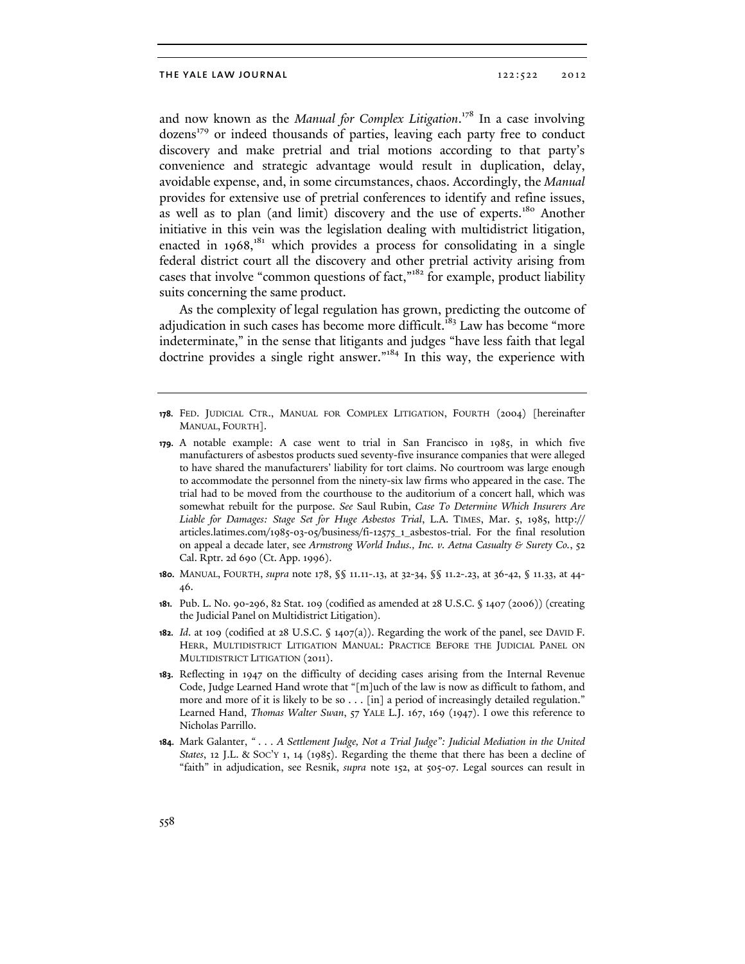and now known as the *Manual for Complex Litigation*. 178 In a case involving dozens<sup>179</sup> or indeed thousands of parties, leaving each party free to conduct discovery and make pretrial and trial motions according to that party's convenience and strategic advantage would result in duplication, delay, avoidable expense, and, in some circumstances, chaos. Accordingly, the *Manual* provides for extensive use of pretrial conferences to identify and refine issues, as well as to plan (and limit) discovery and the use of experts.<sup>180</sup> Another initiative in this vein was the legislation dealing with multidistrict litigation, enacted in  $1968$ ,<sup>181</sup> which provides a process for consolidating in a single federal district court all the discovery and other pretrial activity arising from cases that involve "common questions of fact,"182 for example, product liability suits concerning the same product.

As the complexity of legal regulation has grown, predicting the outcome of adjudication in such cases has become more difficult.<sup>183</sup> Law has become "more indeterminate," in the sense that litigants and judges "have less faith that legal doctrine provides a single right answer."184 In this way, the experience with

- **178.** FED. JUDICIAL CTR., MANUAL FOR COMPLEX LITIGATION, FOURTH (2004) [hereinafter MANUAL, FOURTH].
- **179.** A notable example: A case went to trial in San Francisco in 1985, in which five manufacturers of asbestos products sued seventy-five insurance companies that were alleged to have shared the manufacturers' liability for tort claims. No courtroom was large enough to accommodate the personnel from the ninety-six law firms who appeared in the case. The trial had to be moved from the courthouse to the auditorium of a concert hall, which was somewhat rebuilt for the purpose. *See* Saul Rubin, *Case To Determine Which Insurers Are Liable for Damages: Stage Set for Huge Asbestos Trial*, L.A. TIMES, Mar. 5, 1985, http:// articles.latimes.com/1985-03-05/business/fi-12575\_1\_asbestos-trial. For the final resolution on appeal a decade later, see *Armstrong World Indus., Inc. v. Aetna Casualty & Surety Co.*, 52 Cal. Rptr. 2d 690 (Ct. App. 1996).
- **180.** MANUAL, FOURTH, *supra* note 178, §§ 11.11-.13, at 32-34, §§ 11.2-.23, at 36-42, § 11.33, at 44- 46.
- **181.** Pub. L. No. 90-296, 82 Stat. 109 (codified as amended at 28 U.S.C. § 1407 (2006)) (creating the Judicial Panel on Multidistrict Litigation).
- **182.** *Id*. at 109 (codified at 28 U.S.C. § 1407(a)). Regarding the work of the panel, see DAVID F. HERR, MULTIDISTRICT LITIGATION MANUAL: PRACTICE BEFORE THE JUDICIAL PANEL ON MULTIDISTRICT LITIGATION (2011).
- **183.** Reflecting in 1947 on the difficulty of deciding cases arising from the Internal Revenue Code, Judge Learned Hand wrote that "[m]uch of the law is now as difficult to fathom, and more and more of it is likely to be so . . . [in] a period of increasingly detailed regulation." Learned Hand, *Thomas Walter Swan*, 57 YALE L.J. 167, 169 (1947). I owe this reference to Nicholas Parrillo.
- **184.** Mark Galanter, *" . . . A Settlement Judge, Not a Trial Judge": Judicial Mediation in the United States*, 12 J.L. & SOC'Y 1, 14 (1985). Regarding the theme that there has been a decline of "faith" in adjudication, see Resnik, *supra* note 152, at 505-07. Legal sources can result in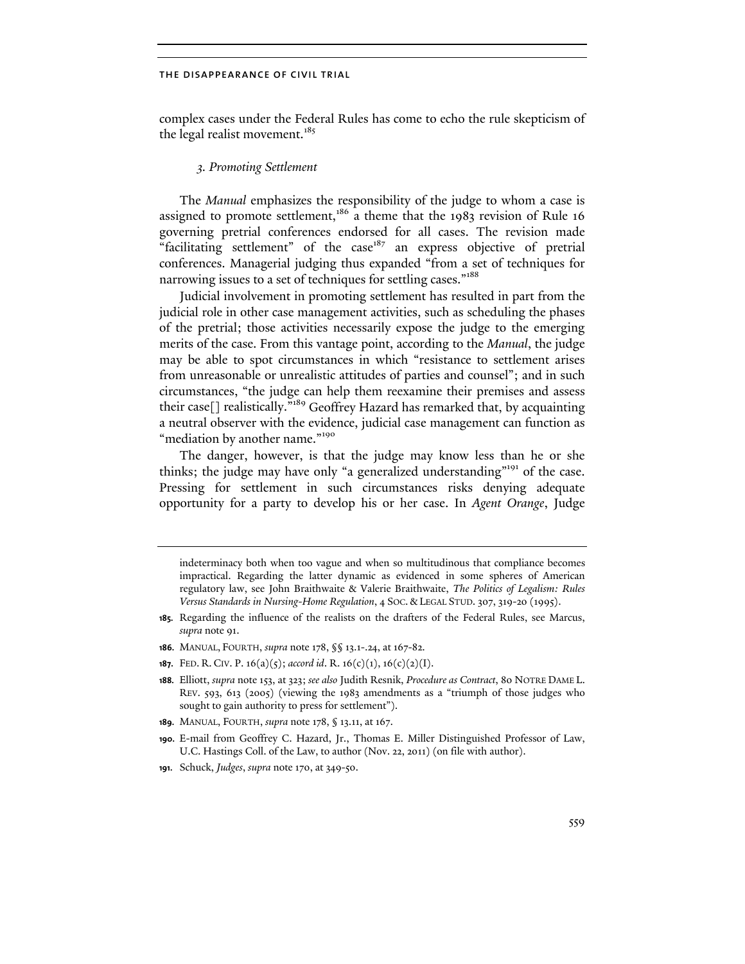complex cases under the Federal Rules has come to echo the rule skepticism of the legal realist movement.<sup>185</sup>

# *3. Promoting Settlement*

The *Manual* emphasizes the responsibility of the judge to whom a case is assigned to promote settlement,<sup>186</sup> a theme that the 1983 revision of Rule 16 governing pretrial conferences endorsed for all cases. The revision made "facilitating settlement" of the case $187$  an express objective of pretrial conferences. Managerial judging thus expanded "from a set of techniques for narrowing issues to a set of techniques for settling cases."<sup>188</sup>

Judicial involvement in promoting settlement has resulted in part from the judicial role in other case management activities, such as scheduling the phases of the pretrial; those activities necessarily expose the judge to the emerging merits of the case. From this vantage point, according to the *Manual*, the judge may be able to spot circumstances in which "resistance to settlement arises from unreasonable or unrealistic attitudes of parties and counsel"; and in such circumstances, "the judge can help them reexamine their premises and assess their case<sup>[]</sup> realistically.<sup>"189</sup> Geoffrey Hazard has remarked that, by acquainting a neutral observer with the evidence, judicial case management can function as "mediation by another name."<sup>190</sup>

The danger, however, is that the judge may know less than he or she thinks; the judge may have only "a generalized understanding"<sup>191</sup> of the case. Pressing for settlement in such circumstances risks denying adequate opportunity for a party to develop his or her case. In *Agent Orange*, Judge

**187.** FED. R. CIV. P. 16(a)(5); *accord id*. R. 16(c)(1), 16(c)(2)(I).

**191.** Schuck, *Judges*, *supra* note 170, at 349-50.

indeterminacy both when too vague and when so multitudinous that compliance becomes impractical. Regarding the latter dynamic as evidenced in some spheres of American regulatory law, see John Braithwaite & Valerie Braithwaite, *The Politics of Legalism: Rules Versus Standards in Nursing-Home Regulation*, 4 SOC. & LEGAL STUD. 307, 319-20 (1995).

**<sup>185.</sup>** Regarding the influence of the realists on the drafters of the Federal Rules, see Marcus, *supra* note 91.

**<sup>186.</sup>** MANUAL, FOURTH, *supra* note 178, §§ 13.1-.24, at 167-82.

**<sup>188.</sup>** Elliott, *supra* note 153, at 323; *see also* Judith Resnik, *Procedure as Contract*, 80 NOTRE DAME L. REV. 593, 613 (2005) (viewing the 1983 amendments as a "triumph of those judges who sought to gain authority to press for settlement").

**<sup>189.</sup>** MANUAL, FOURTH, *supra* note 178, § 13.11, at 167.

**<sup>190.</sup>** E-mail from Geoffrey C. Hazard, Jr., Thomas E. Miller Distinguished Professor of Law, U.C. Hastings Coll. of the Law, to author (Nov. 22, 2011) (on file with author).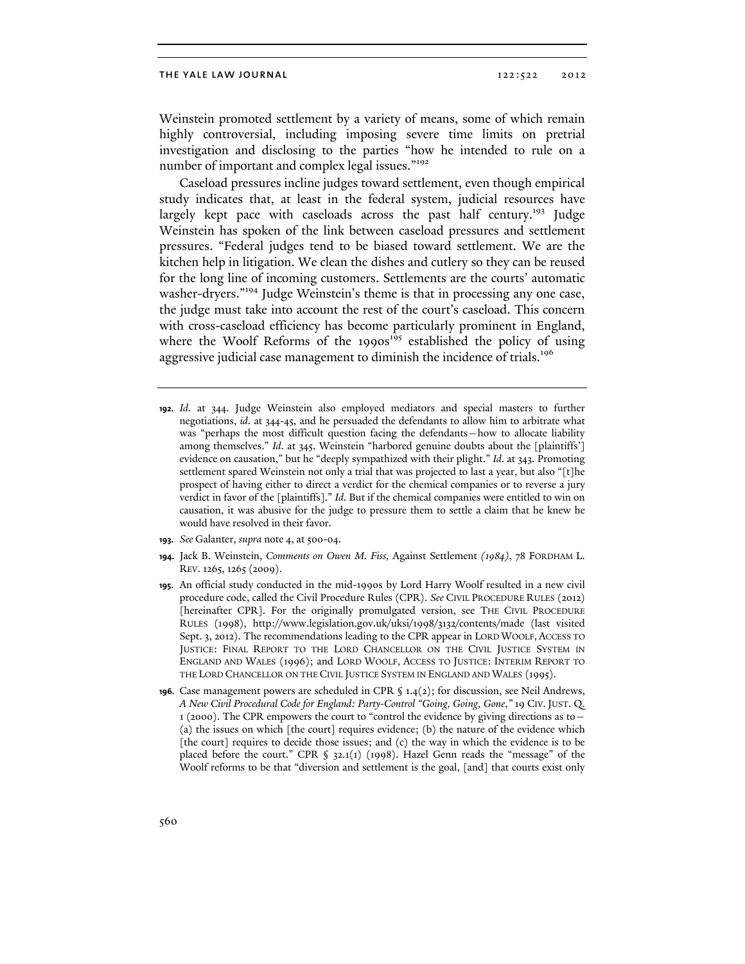Weinstein promoted settlement by a variety of means, some of which remain highly controversial, including imposing severe time limits on pretrial investigation and disclosing to the parties "how he intended to rule on a number of important and complex legal issues."<sup>192</sup>

Caseload pressures incline judges toward settlement, even though empirical study indicates that, at least in the federal system, judicial resources have largely kept pace with caseloads across the past half century.<sup>193</sup> Judge Weinstein has spoken of the link between caseload pressures and settlement pressures. "Federal judges tend to be biased toward settlement. We are the kitchen help in litigation. We clean the dishes and cutlery so they can be reused for the long line of incoming customers. Settlements are the courts' automatic washer-dryers."<sup>194</sup> Judge Weinstein's theme is that in processing any one case, the judge must take into account the rest of the court's caseload. This concern with cross-caseload efficiency has become particularly prominent in England, where the Woolf Reforms of the  $1990s<sup>195</sup>$  established the policy of using aggressive judicial case management to diminish the incidence of trials.<sup>196</sup>

- **192.** *Id*. at 344. Judge Weinstein also employed mediators and special masters to further negotiations, *id*. at 344-45, and he persuaded the defendants to allow him to arbitrate what was "perhaps the most difficult question facing the defendants—how to allocate liability among themselves." *Id*. at 345. Weinstein "harbored genuine doubts about the [plaintiffs'] evidence on causation," but he "deeply sympathized with their plight." *Id*. at 343. Promoting settlement spared Weinstein not only a trial that was projected to last a year, but also "[t]he prospect of having either to direct a verdict for the chemical companies or to reverse a jury verdict in favor of the [plaintiffs]." *Id*. But if the chemical companies were entitled to win on causation, it was abusive for the judge to pressure them to settle a claim that he knew he would have resolved in their favor.
- **193.** *See* Galanter, *supra* note 4, at 500-04.
- **194.** Jack B. Weinstein, *Comments on Owen M. Fiss,* Against Settlement *(1984)*, 78 FORDHAM L. REV. 1265, 1265 (2009).
- **195.** An official study conducted in the mid-1990s by Lord Harry Woolf resulted in a new civil procedure code, called the Civil Procedure Rules (CPR). *See* CIVIL PROCEDURE RULES (2012) [hereinafter CPR]. For the originally promulgated version, see THE CIVIL PROCEDURE RULES (1998), http://www.legislation.gov.uk/uksi/1998/3132/contents/made (last visited Sept. 3, 2012). The recommendations leading to the CPR appear in LORD WOOLF, ACCESS TO JUSTICE: FINAL REPORT TO THE LORD CHANCELLOR ON THE CIVIL JUSTICE SYSTEM IN ENGLAND AND WALES (1996); and LORD WOOLF, ACCESS TO JUSTICE: INTERIM REPORT TO THE LORD CHANCELLOR ON THE CIVIL JUSTICE SYSTEM IN ENGLAND AND WALES (1995).
- **196.** Case management powers are scheduled in CPR § 1.4(2); for discussion, see Neil Andrews, *A New Civil Procedural Code for England: Party-Control "Going, Going, Gone*,*"* 19 CIV. JUST. Q. 1 (2000). The CPR empowers the court to "control the evidence by giving directions as to— (a) the issues on which [the court] requires evidence; (b) the nature of the evidence which [the court] requires to decide those issues; and (c) the way in which the evidence is to be placed before the court." CPR § 32.1(1) (1998). Hazel Genn reads the "message" of the Woolf reforms to be that "diversion and settlement is the goal, [and] that courts exist only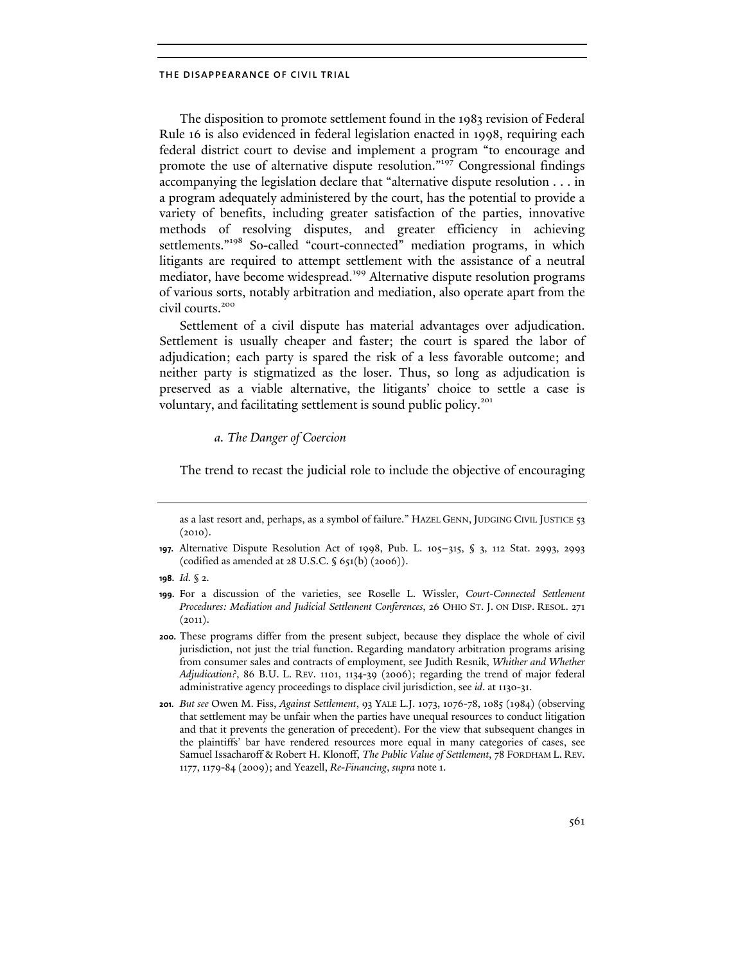The disposition to promote settlement found in the 1983 revision of Federal Rule 16 is also evidenced in federal legislation enacted in 1998, requiring each federal district court to devise and implement a program "to encourage and promote the use of alternative dispute resolution."<sup>197</sup> Congressional findings accompanying the legislation declare that "alternative dispute resolution . . . in a program adequately administered by the court, has the potential to provide a variety of benefits, including greater satisfaction of the parties, innovative methods of resolving disputes, and greater efficiency in achieving settlements."<sup>198</sup> So-called "court-connected" mediation programs, in which litigants are required to attempt settlement with the assistance of a neutral mediator, have become widespread.<sup>199</sup> Alternative dispute resolution programs of various sorts, notably arbitration and mediation, also operate apart from the civil courts.<sup>200</sup>

Settlement of a civil dispute has material advantages over adjudication. Settlement is usually cheaper and faster; the court is spared the labor of adjudication; each party is spared the risk of a less favorable outcome; and neither party is stigmatized as the loser. Thus, so long as adjudication is preserved as a viable alternative, the litigants' choice to settle a case is voluntary, and facilitating settlement is sound public policy.<sup>201</sup>

# *a. The Danger of Coercion*

The trend to recast the judicial role to include the objective of encouraging

as a last resort and, perhaps, as a symbol of failure." HAZEL GENN, JUDGING CIVIL JUSTICE 53  $(2010).$ 

**<sup>197.</sup>** Alternative Dispute Resolution Act of 1998, Pub. L. 105–315, § 3, 112 Stat. 2993, 2993 (codified as amended at 28 U.S.C. § 651(b) (2006)).

**<sup>198.</sup>** *Id.* § 2.

**<sup>199.</sup>** For a discussion of the varieties, see Roselle L. Wissler, *Court-Connected Settlement Procedures: Mediation and Judicial Settlement Conferences*, 26 OHIO ST. J. ON DISP. RESOL. 271  $(2011).$ 

**<sup>200.</sup>** These programs differ from the present subject, because they displace the whole of civil jurisdiction, not just the trial function. Regarding mandatory arbitration programs arising from consumer sales and contracts of employment, see Judith Resnik, *Whither and Whether Adjudication?*, 86 B.U. L. REV. 1101, 1134-39 (2006); regarding the trend of major federal administrative agency proceedings to displace civil jurisdiction, see *id*. at 1130-31.

**<sup>201.</sup>** *But see* Owen M. Fiss, *Against Settlement*, 93 YALE L.J. 1073, 1076-78, 1085 (1984) (observing that settlement may be unfair when the parties have unequal resources to conduct litigation and that it prevents the generation of precedent). For the view that subsequent changes in the plaintiffs' bar have rendered resources more equal in many categories of cases, see Samuel Issacharoff & Robert H. Klonoff, *The Public Value of Settlement*, 78 FORDHAM L. REV. 1177, 1179-84 (2009); and Yeazell, *Re-Financing*, *supra* note 1.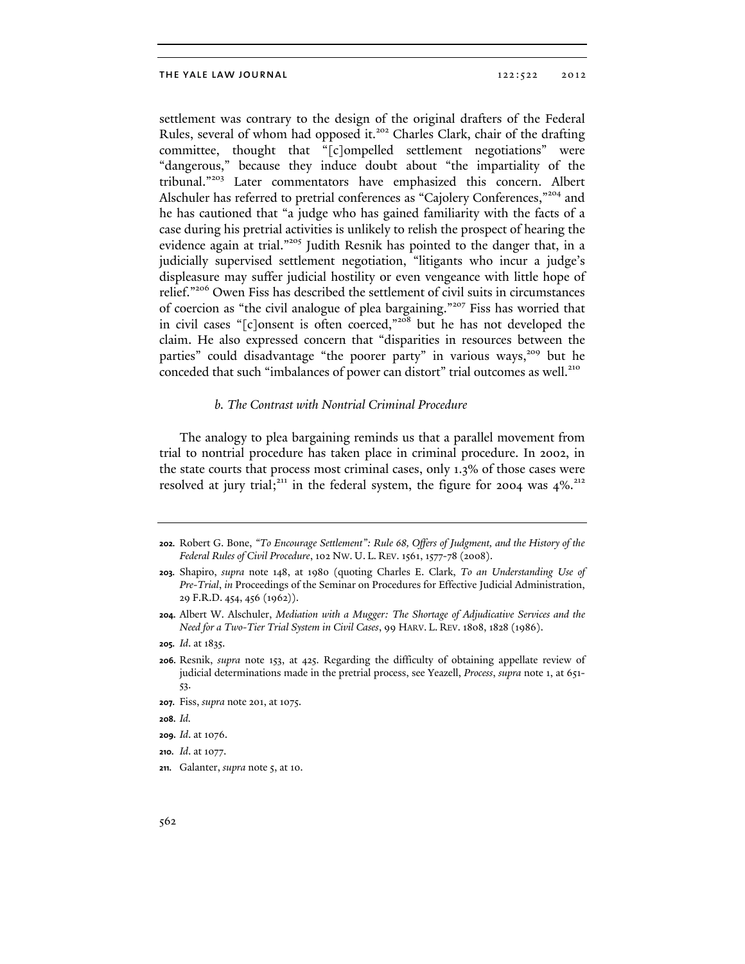settlement was contrary to the design of the original drafters of the Federal Rules, several of whom had opposed it.<sup>202</sup> Charles Clark, chair of the drafting committee, thought that "[c]ompelled settlement negotiations" were "dangerous," because they induce doubt about "the impartiality of the tribunal."203 Later commentators have emphasized this concern. Albert Alschuler has referred to pretrial conferences as "Cajolery Conferences,"<sup>204</sup> and he has cautioned that "a judge who has gained familiarity with the facts of a case during his pretrial activities is unlikely to relish the prospect of hearing the evidence again at trial."<sup>205</sup> Judith Resnik has pointed to the danger that, in a judicially supervised settlement negotiation, "litigants who incur a judge's displeasure may suffer judicial hostility or even vengeance with little hope of relief."206 Owen Fiss has described the settlement of civil suits in circumstances of coercion as "the civil analogue of plea bargaining."207 Fiss has worried that in civil cases "[c]onsent is often coerced,"<sup>208</sup> but he has not developed the claim. He also expressed concern that "disparities in resources between the parties" could disadvantage "the poorer party" in various ways,<sup>209</sup> but he conceded that such "imbalances of power can distort" trial outcomes as well.<sup>210</sup>

# *b. The Contrast with Nontrial Criminal Procedure*

The analogy to plea bargaining reminds us that a parallel movement from trial to nontrial procedure has taken place in criminal procedure. In 2002, in the state courts that process most criminal cases, only 1.3% of those cases were resolved at jury trial;<sup>211</sup> in the federal system, the figure for 2004 was  $4\%$ <sup>212</sup>

**208.** *Id.*

**210.** *Id*. at 1077.

**<sup>202.</sup>** Robert G. Bone, *"To Encourage Settlement": Rule 68, Offers of Judgment, and the History of the Federal Rules of Civil Procedure*, 102 NW. U. L. REV. 1561, 1577-78 (2008).

**<sup>203.</sup>** Shapiro, *supra* note 148, at 1980 (quoting Charles E. Clark, *To an Understanding Use of Pre-Trial*, *in* Proceedings of the Seminar on Procedures for Effective Judicial Administration, 29 F.R.D. 454, 456 (1962)).

**<sup>204.</sup>** Albert W. Alschuler, *Mediation with a Mugger: The Shortage of Adjudicative Services and the Need for a Two-Tier Trial System in Civil Cases*, 99 HARV. L. REV. 1808, 1828 (1986).

**<sup>205.</sup>** *Id*. at 1835.

**<sup>206.</sup>** Resnik, *supra* note 153, at 425. Regarding the difficulty of obtaining appellate review of judicial determinations made in the pretrial process, see Yeazell, *Process*, *supra* note 1, at 651- 53.

**<sup>207.</sup>** Fiss, *supra* note 201, at 1075.

**<sup>209.</sup>** *Id*. at 1076.

**<sup>211.</sup>** Galanter, *supra* note 5, at 10.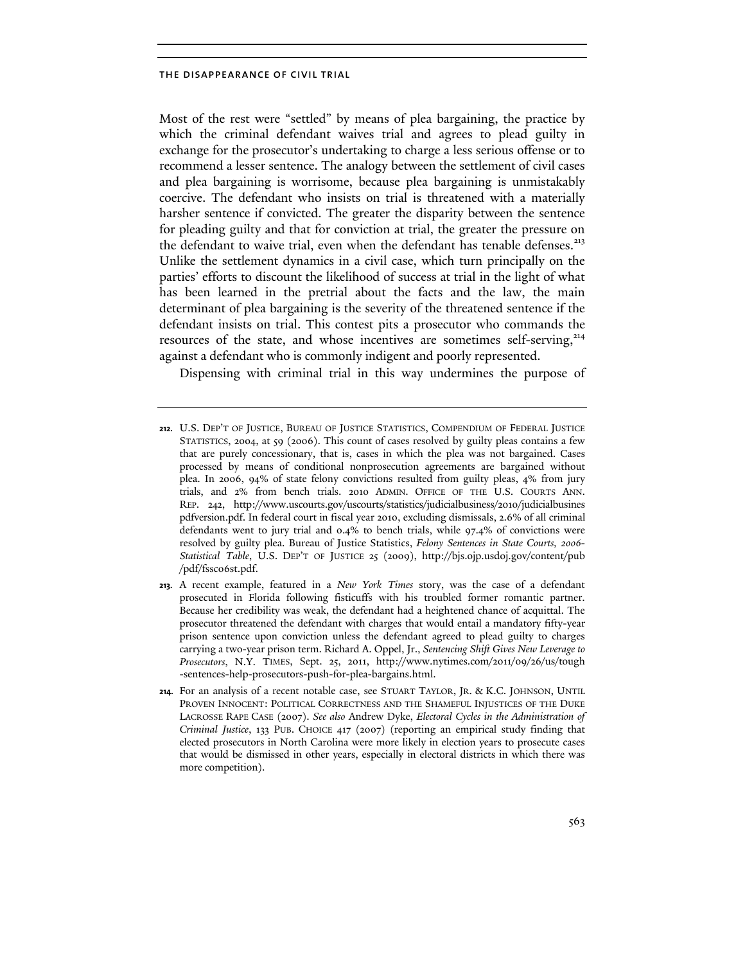Most of the rest were "settled" by means of plea bargaining, the practice by which the criminal defendant waives trial and agrees to plead guilty in exchange for the prosecutor's undertaking to charge a less serious offense or to recommend a lesser sentence. The analogy between the settlement of civil cases and plea bargaining is worrisome, because plea bargaining is unmistakably coercive. The defendant who insists on trial is threatened with a materially harsher sentence if convicted. The greater the disparity between the sentence for pleading guilty and that for conviction at trial, the greater the pressure on the defendant to waive trial, even when the defendant has tenable defenses.<sup>213</sup> Unlike the settlement dynamics in a civil case, which turn principally on the parties' efforts to discount the likelihood of success at trial in the light of what has been learned in the pretrial about the facts and the law, the main determinant of plea bargaining is the severity of the threatened sentence if the defendant insists on trial. This contest pits a prosecutor who commands the resources of the state, and whose incentives are sometimes self-serving, $214$ against a defendant who is commonly indigent and poorly represented.

Dispensing with criminal trial in this way undermines the purpose of

**<sup>212.</sup>** U.S. DEP'T OF JUSTICE, BUREAU OF JUSTICE STATISTICS, COMPENDIUM OF FEDERAL JUSTICE STATISTICS, 2004, at 59 (2006). This count of cases resolved by guilty pleas contains a few that are purely concessionary, that is, cases in which the plea was not bargained. Cases processed by means of conditional nonprosecution agreements are bargained without plea. In 2006, 94% of state felony convictions resulted from guilty pleas, 4% from jury trials, and 2% from bench trials. 2010 ADMIN. OFFICE OF THE U.S. COURTS ANN. REP. 242, http://www.uscourts.gov/uscourts/statistics/judicialbusiness/2010/judicialbusines pdfversion.pdf. In federal court in fiscal year 2010, excluding dismissals, 2.6% of all criminal defendants went to jury trial and 0.4% to bench trials, while 97.4% of convictions were resolved by guilty plea. Bureau of Justice Statistics, *Felony Sentences in State Courts, 2006- Statistical Table*, U.S. DEP'T OF JUSTICE 25 (2009), http://bjs.ojp.usdoj.gov/content/pub /pdf/fssc06st.pdf.

**<sup>213.</sup>** A recent example, featured in a *New York Times* story, was the case of a defendant prosecuted in Florida following fisticuffs with his troubled former romantic partner. Because her credibility was weak, the defendant had a heightened chance of acquittal. The prosecutor threatened the defendant with charges that would entail a mandatory fifty-year prison sentence upon conviction unless the defendant agreed to plead guilty to charges carrying a two-year prison term. Richard A. Oppel, Jr., *Sentencing Shift Gives New Leverage to Prosecutors*, N.Y. TIMES, Sept. 25, 2011, http://www.nytimes.com/2011/09/26/us/tough -sentences-help-prosecutors-push-for-plea-bargains.html.

**<sup>214.</sup>** For an analysis of a recent notable case, see STUART TAYLOR, JR. & K.C. JOHNSON, UNTIL PROVEN INNOCENT: POLITICAL CORRECTNESS AND THE SHAMEFUL INJUSTICES OF THE DUKE LACROSSE RAPE CASE (2007). *See also* Andrew Dyke, *Electoral Cycles in the Administration of Criminal Justice*, 133 PUB. CHOICE 417 (2007) (reporting an empirical study finding that elected prosecutors in North Carolina were more likely in election years to prosecute cases that would be dismissed in other years, especially in electoral districts in which there was more competition).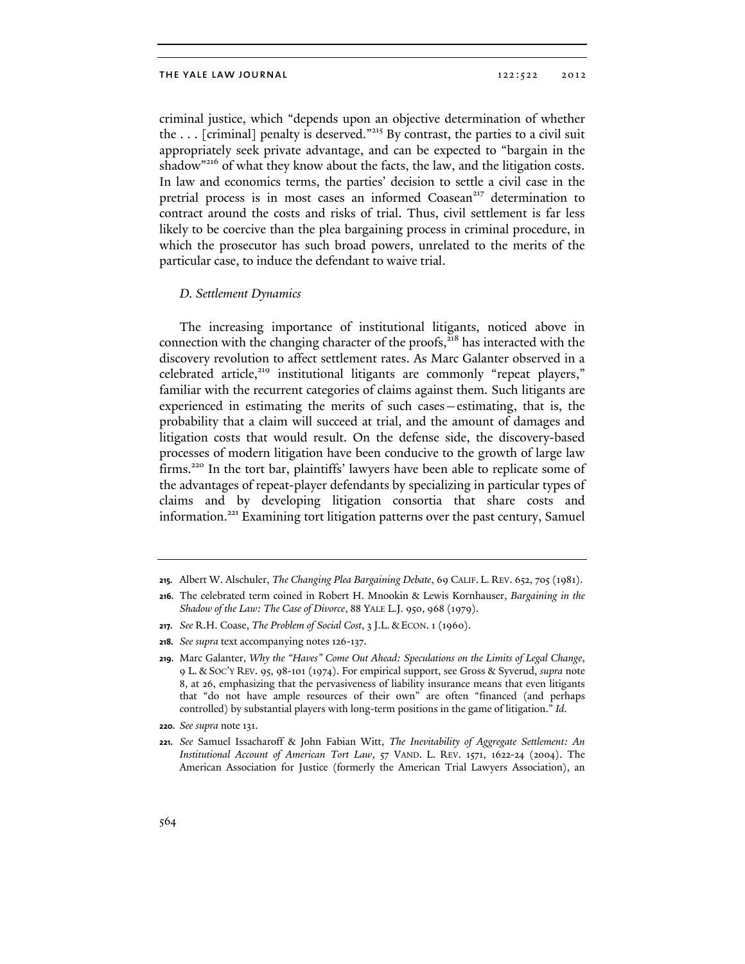criminal justice, which "depends upon an objective determination of whether the  $\ldots$  [criminal] penalty is deserved."<sup>215</sup> By contrast, the parties to a civil suit appropriately seek private advantage, and can be expected to "bargain in the shadow<sup>"216</sup> of what they know about the facts, the law, and the litigation costs. In law and economics terms, the parties' decision to settle a civil case in the pretrial process is in most cases an informed Coasean<sup>217</sup> determination to contract around the costs and risks of trial. Thus, civil settlement is far less likely to be coercive than the plea bargaining process in criminal procedure, in which the prosecutor has such broad powers, unrelated to the merits of the particular case, to induce the defendant to waive trial.

# *D. Settlement Dynamics*

The increasing importance of institutional litigants, noticed above in connection with the changing character of the proofs, $218$  has interacted with the discovery revolution to affect settlement rates. As Marc Galanter observed in a celebrated article,<sup>219</sup> institutional litigants are commonly "repeat players," familiar with the recurrent categories of claims against them. Such litigants are experienced in estimating the merits of such cases—estimating, that is, the probability that a claim will succeed at trial, and the amount of damages and litigation costs that would result. On the defense side, the discovery-based processes of modern litigation have been conducive to the growth of large law firms.<sup>220</sup> In the tort bar, plaintiffs' lawyers have been able to replicate some of the advantages of repeat-player defendants by specializing in particular types of claims and by developing litigation consortia that share costs and information.<sup>221</sup> Examining tort litigation patterns over the past century, Samuel

**217.** *See* R.H. Coase, *The Problem of Social Cost*, 3 J.L. & ECON. 1 (1960).

**<sup>215.</sup>** Albert W. Alschuler, *The Changing Plea Bargaining Debate*, 69 CALIF. L. REV. 652, 705 (1981).

**<sup>216.</sup>** The celebrated term coined in Robert H. Mnookin & Lewis Kornhauser, *Bargaining in the Shadow of the Law: The Case of Divorce*, 88 YALE L.J. 950, 968 (1979).

**<sup>218.</sup>** *See supra* text accompanying notes 126-137.

**<sup>219.</sup>** Marc Galanter, *Why the "Haves" Come Out Ahead: Speculations on the Limits of Legal Change*, 9 L. & SOC'Y REV. 95, 98-101 (1974). For empirical support, see Gross & Syverud, *supra* note 8, at 26, emphasizing that the pervasiveness of liability insurance means that even litigants that "do not have ample resources of their own" are often "financed (and perhaps controlled) by substantial players with long-term positions in the game of litigation." *Id*.

**<sup>220.</sup>** *See supra* note 131.

**<sup>221.</sup>** *See* Samuel Issacharoff & John Fabian Witt, *The Inevitability of Aggregate Settlement: An Institutional Account of American Tort Law*, 57 VAND. L. REV. 1571, 1622-24 (2004). The American Association for Justice (formerly the American Trial Lawyers Association), an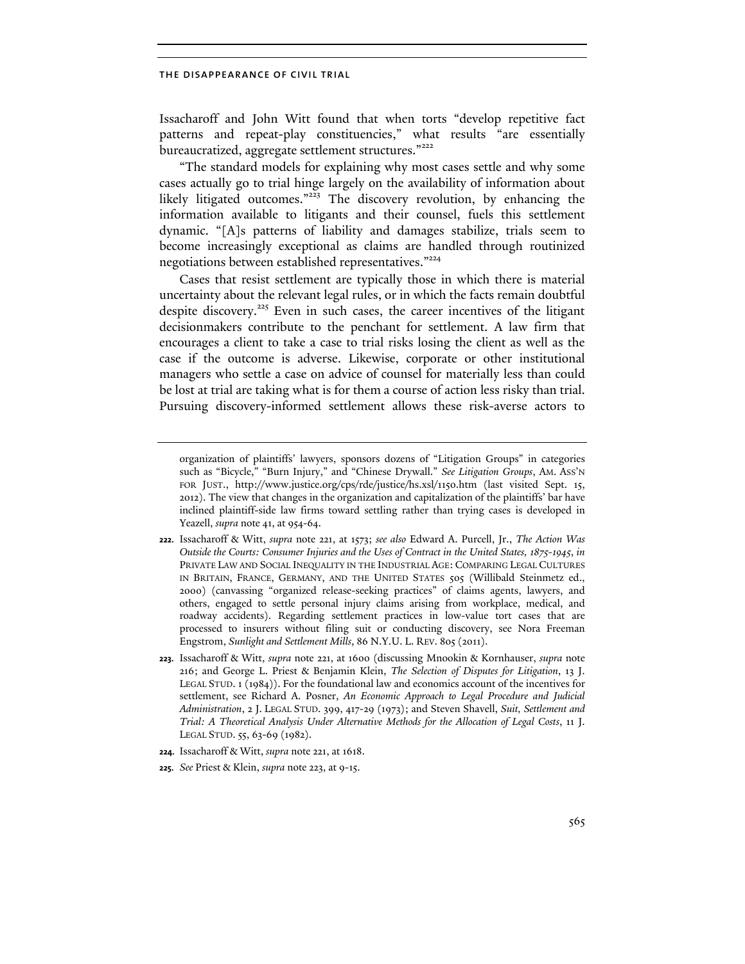Issacharoff and John Witt found that when torts "develop repetitive fact patterns and repeat-play constituencies," what results "are essentially bureaucratized, aggregate settlement structures."<sup>222</sup>

"The standard models for explaining why most cases settle and why some cases actually go to trial hinge largely on the availability of information about likely litigated outcomes."<sup>223</sup> The discovery revolution, by enhancing the information available to litigants and their counsel, fuels this settlement dynamic. "[A]s patterns of liability and damages stabilize, trials seem to become increasingly exceptional as claims are handled through routinized negotiations between established representatives."<sup>224</sup>

Cases that resist settlement are typically those in which there is material uncertainty about the relevant legal rules, or in which the facts remain doubtful despite discovery.<sup>225</sup> Even in such cases, the career incentives of the litigant decisionmakers contribute to the penchant for settlement. A law firm that encourages a client to take a case to trial risks losing the client as well as the case if the outcome is adverse. Likewise, corporate or other institutional managers who settle a case on advice of counsel for materially less than could be lost at trial are taking what is for them a course of action less risky than trial. Pursuing discovery-informed settlement allows these risk-averse actors to

- **222.** Issacharoff & Witt, *supra* note 221, at 1573; *see also* Edward A. Purcell, Jr., *The Action Was Outside the Courts: Consumer Injuries and the Uses of Contract in the United States, 1875-1945*, *in* PRIVATE LAW AND SOCIAL INEQUALITY IN THE INDUSTRIAL AGE: COMPARING LEGAL CULTURES IN BRITAIN, FRANCE, GERMANY, AND THE UNITED STATES 505 (Willibald Steinmetz ed., 2000) (canvassing "organized release-seeking practices" of claims agents, lawyers, and others, engaged to settle personal injury claims arising from workplace, medical, and roadway accidents). Regarding settlement practices in low-value tort cases that are processed to insurers without filing suit or conducting discovery, see Nora Freeman Engstrom, *Sunlight and Settlement Mills*, 86 N.Y.U. L. REV. 805 (2011).
- **223.** Issacharoff & Witt, *supra* note 221, at 1600 (discussing Mnookin & Kornhauser, *supra* note 216; and George L. Priest & Benjamin Klein, *The Selection of Disputes for Litigation*, 13 J. LEGAL STUD. 1 (1984)). For the foundational law and economics account of the incentives for settlement, see Richard A. Posner, *An Economic Approach to Legal Procedure and Judicial Administration*, 2 J. LEGAL STUD. 399, 417-29 (1973); and Steven Shavell, *Suit, Settlement and Trial: A Theoretical Analysis Under Alternative Methods for the Allocation of Legal Costs*, 11 J. LEGAL STUD. 55, 63-69 (1982).

**225.** *See* Priest & Klein, *supra* note 223, at 9-15.

organization of plaintiffs' lawyers, sponsors dozens of "Litigation Groups" in categories such as "Bicycle," "Burn Injury," and "Chinese Drywall." *See Litigation Groups*, AM. ASS'N FOR JUST., http://www.justice.org/cps/rde/justice/hs.xsl/1150.htm (last visited Sept. 15, 2012). The view that changes in the organization and capitalization of the plaintiffs' bar have inclined plaintiff-side law firms toward settling rather than trying cases is developed in Yeazell, *supra* note 41, at 954-64.

**<sup>224.</sup>** Issacharoff & Witt, *supra* note 221, at 1618.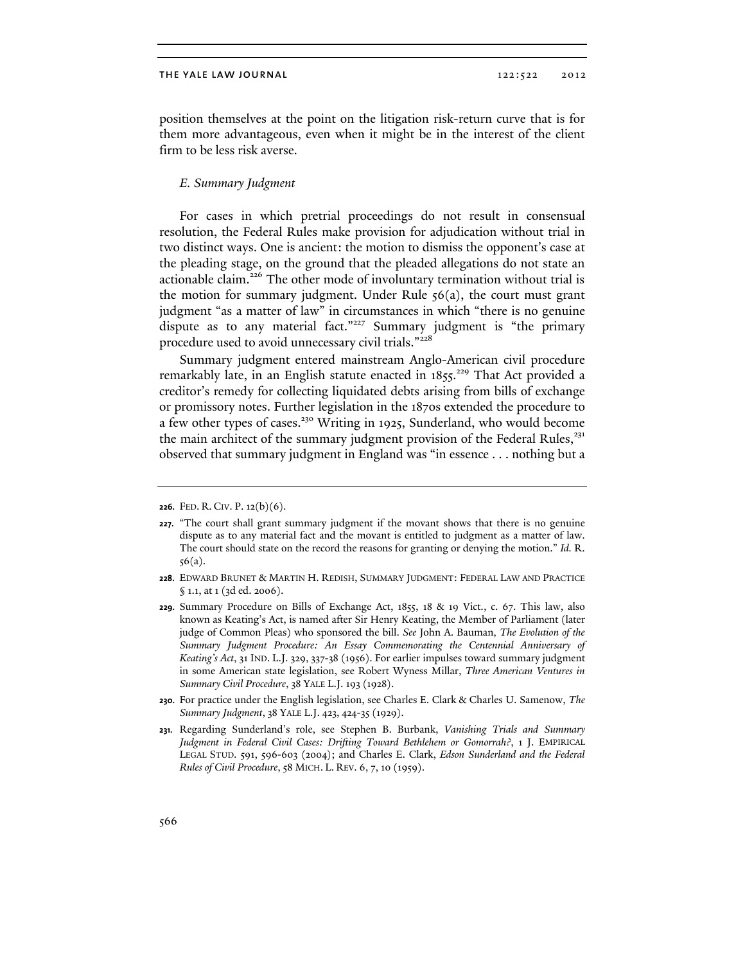position themselves at the point on the litigation risk-return curve that is for them more advantageous, even when it might be in the interest of the client firm to be less risk averse.

# *E. Summary Judgment*

For cases in which pretrial proceedings do not result in consensual resolution, the Federal Rules make provision for adjudication without trial in two distinct ways. One is ancient: the motion to dismiss the opponent's case at the pleading stage, on the ground that the pleaded allegations do not state an actionable claim.<sup>226</sup> The other mode of involuntary termination without trial is the motion for summary judgment. Under Rule  $56(a)$ , the court must grant judgment "as a matter of law" in circumstances in which "there is no genuine dispute as to any material fact."<sup>227</sup> Summary judgment is "the primary procedure used to avoid unnecessary civil trials."<sup>228</sup>

Summary judgment entered mainstream Anglo-American civil procedure remarkably late, in an English statute enacted in  $1855$ <sup>229</sup> That Act provided a creditor's remedy for collecting liquidated debts arising from bills of exchange or promissory notes. Further legislation in the 1870s extended the procedure to a few other types of cases.<sup>230</sup> Writing in 1925, Sunderland, who would become the main architect of the summary judgment provision of the Federal Rules, $^{231}$ observed that summary judgment in England was "in essence . . . nothing but a

**<sup>226.</sup>** FED. R. CIV. P. 12(b)(6).

**<sup>227.</sup>** "The court shall grant summary judgment if the movant shows that there is no genuine dispute as to any material fact and the movant is entitled to judgment as a matter of law. The court should state on the record the reasons for granting or denying the motion." *Id.* R. 56(a).

**<sup>228.</sup>** EDWARD BRUNET & MARTIN H. REDISH, SUMMARY JUDGMENT: FEDERAL LAW AND PRACTICE § 1.1, at 1 (3d ed. 2006).

**<sup>229.</sup>** Summary Procedure on Bills of Exchange Act, 1855, 18 & 19 Vict., c. 67. This law, also known as Keating's Act, is named after Sir Henry Keating, the Member of Parliament (later judge of Common Pleas) who sponsored the bill. *See* John A. Bauman, *The Evolution of the Summary Judgment Procedure: An Essay Commemorating the Centennial Anniversary of Keating's Act*, 31 IND. L.J. 329, 337-38 (1956). For earlier impulses toward summary judgment in some American state legislation, see Robert Wyness Millar, *Three American Ventures in Summary Civil Procedure*, 38 YALE L.J. 193 (1928).

**<sup>230.</sup>** For practice under the English legislation, see Charles E. Clark & Charles U. Samenow, *The Summary Judgment*, 38 YALE L.J. 423, 424-35 (1929).

**<sup>231.</sup>** Regarding Sunderland's role, see Stephen B. Burbank, *Vanishing Trials and Summary Judgment in Federal Civil Cases: Drifting Toward Bethlehem or Gomorrah?*, 1 J. EMPIRICAL LEGAL STUD. 591, 596-603 (2004); and Charles E. Clark, *Edson Sunderland and the Federal Rules of Civil Procedure*, 58 MICH. L. REV. 6, 7, 10 (1959).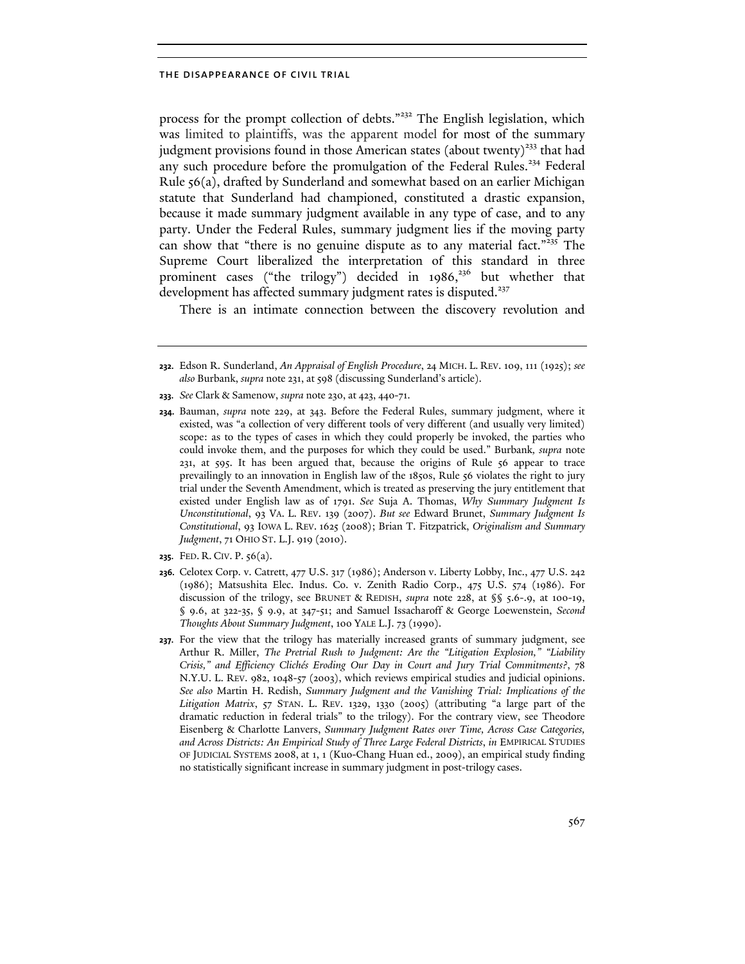process for the prompt collection of debts."<sup>232</sup> The English legislation, which was limited to plaintiffs, was the apparent model for most of the summary judgment provisions found in those American states (about twenty)<sup>233</sup> that had any such procedure before the promulgation of the Federal Rules.<sup>234</sup> Federal Rule 56(a), drafted by Sunderland and somewhat based on an earlier Michigan statute that Sunderland had championed, constituted a drastic expansion, because it made summary judgment available in any type of case, and to any party. Under the Federal Rules, summary judgment lies if the moving party can show that "there is no genuine dispute as to any material fact."<sup>235</sup> The Supreme Court liberalized the interpretation of this standard in three prominent cases ("the trilogy") decided in 1986,<sup>236</sup> but whether that development has affected summary judgment rates is disputed.<sup>237</sup>

There is an intimate connection between the discovery revolution and

**<sup>232.</sup>** Edson R. Sunderland, *An Appraisal of English Procedure*, 24 MICH. L. REV. 109, 111 (1925); *see also* Burbank, *supra* note 231, at 598 (discussing Sunderland's article).

**<sup>233.</sup>** *See* Clark & Samenow, *supra* note 230, at 423, 440-71.

**<sup>234.</sup>** Bauman, *supra* note 229, at 343. Before the Federal Rules, summary judgment, where it existed, was "a collection of very different tools of very different (and usually very limited) scope: as to the types of cases in which they could properly be invoked, the parties who could invoke them, and the purposes for which they could be used." Burbank*, supra* note 231, at 595. It has been argued that, because the origins of Rule 56 appear to trace prevailingly to an innovation in English law of the 1850s, Rule 56 violates the right to jury trial under the Seventh Amendment, which is treated as preserving the jury entitlement that existed under English law as of 1791. *See* Suja A. Thomas, *Why Summary Judgment Is Unconstitutional*, 93 VA. L. REV. 139 (2007). *But see* Edward Brunet, *Summary Judgment Is Constitutional*, 93 IOWA L. REV. 1625 (2008); Brian T. Fitzpatrick, *Originalism and Summary Judgment*, 71 OHIO ST. L.J. 919 (2010).

**<sup>235.</sup>** FED. R. CIV. P. 56(a).

**<sup>236.</sup>** Celotex Corp. v. Catrett, 477 U.S. 317 (1986); Anderson v. Liberty Lobby, Inc., 477 U.S. 242 (1986); Matsushita Elec. Indus. Co. v. Zenith Radio Corp., 475 U.S. 574 (1986). For discussion of the trilogy, see BRUNET & REDISH, *supra* note 228, at §§ 5.6-.9, at 100-19, § 9.6, at 322-35, § 9.9, at 347-51; and Samuel Issacharoff & George Loewenstein, *Second Thoughts About Summary Judgment*, 100 YALE L.J. 73 (1990).

**<sup>237.</sup>** For the view that the trilogy has materially increased grants of summary judgment, see Arthur R. Miller, *The Pretrial Rush to Judgment: Are the "Litigation Explosion," "Liability Crisis," and Efficiency Clichés Eroding Our Day in Court and Jury Trial Commitments?*, 78 N.Y.U. L. REV. 982, 1048-57 (2003), which reviews empirical studies and judicial opinions. *See also* Martin H. Redish, *Summary Judgment and the Vanishing Trial: Implications of the Litigation Matrix*, 57 STAN. L. REV. 1329, 1330 (2005) (attributing "a large part of the dramatic reduction in federal trials" to the trilogy). For the contrary view, see Theodore Eisenberg & Charlotte Lanvers, *Summary Judgment Rates over Time, Across Case Categories, and Across Districts: An Empirical Study of Three Large Federal Districts*, *in* EMPIRICAL STUDIES OF JUDICIAL SYSTEMS 2008, at 1, 1 (Kuo-Chang Huan ed., 2009), an empirical study finding no statistically significant increase in summary judgment in post-trilogy cases.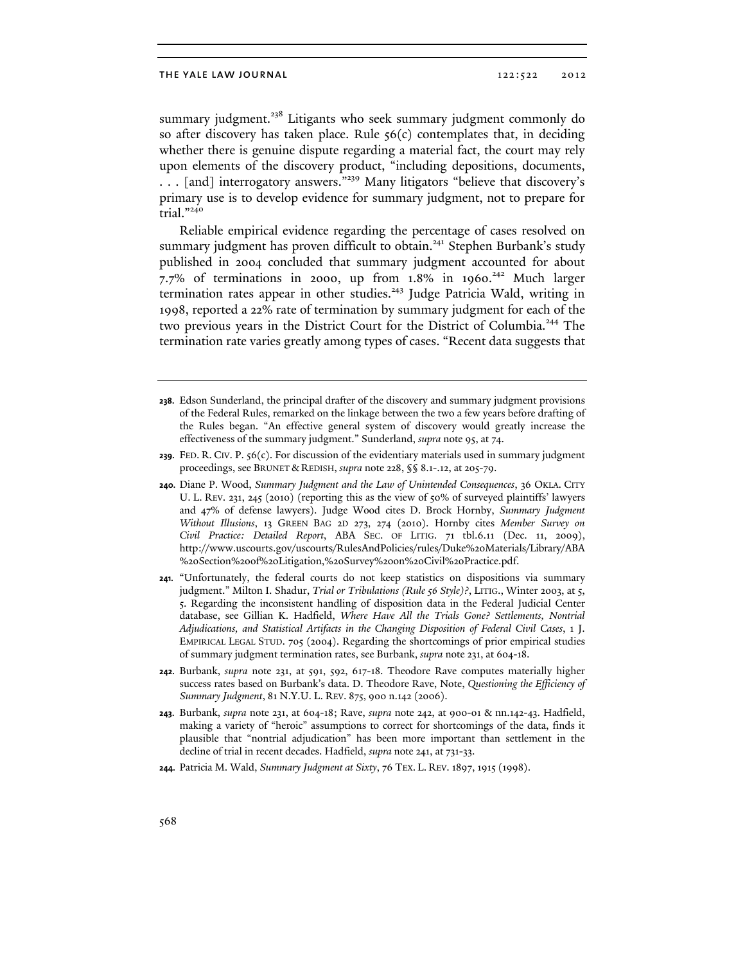summary judgment.<sup>238</sup> Litigants who seek summary judgment commonly do so after discovery has taken place. Rule  $56(c)$  contemplates that, in deciding whether there is genuine dispute regarding a material fact, the court may rely upon elements of the discovery product, "including depositions, documents, . . . [and] interrogatory answers."239 Many litigators "believe that discovery's primary use is to develop evidence for summary judgment, not to prepare for trial."240

Reliable empirical evidence regarding the percentage of cases resolved on summary judgment has proven difficult to obtain.<sup>241</sup> Stephen Burbank's study published in 2004 concluded that summary judgment accounted for about 7.7% of terminations in 2000, up from  $1.8\%$  in 1960.<sup>242</sup> Much larger termination rates appear in other studies.<sup>243</sup> Judge Patricia Wald, writing in 1998, reported a 22% rate of termination by summary judgment for each of the two previous years in the District Court for the District of Columbia.<sup>244</sup> The termination rate varies greatly among types of cases. "Recent data suggests that

- **240.** Diane P. Wood, *Summary Judgment and the Law of Unintended Consequences*, 36 OKLA. CITY U. L. REV. 231, 245 (2010) (reporting this as the view of 50% of surveyed plaintiffs' lawyers and 47% of defense lawyers). Judge Wood cites D. Brock Hornby, *Summary Judgment Without Illusions*, 13 GREEN BAG 2D 273, 274 (2010). Hornby cites *Member Survey on Civil Practice: Detailed Report*, ABA SEC. OF LITIG. 71 tbl.6.11 (Dec. 11, 2009), http://www.uscourts.gov/uscourts/RulesAndPolicies/rules/Duke%20Materials/Library/ABA %20Section%20of%20Litigation,%20Survey%20on%20Civil%20Practice.pdf.
- **241.** "Unfortunately, the federal courts do not keep statistics on dispositions via summary judgment." Milton I. Shadur, *Trial or Tribulations (Rule 56 Style)?*, LITIG., Winter 2003, at 5, 5. Regarding the inconsistent handling of disposition data in the Federal Judicial Center database, see Gillian K. Hadfield, *Where Have All the Trials Gone? Settlements, Nontrial Adjudications, and Statistical Artifacts in the Changing Disposition of Federal Civil Cases*, 1 J. EMPIRICAL LEGAL STUD. 705 (2004). Regarding the shortcomings of prior empirical studies of summary judgment termination rates, see Burbank, *supra* note 231, at 604-18.
- **242.** Burbank, *supra* note 231, at 591, 592, 617-18. Theodore Rave computes materially higher success rates based on Burbank's data. D. Theodore Rave, Note, *Questioning the Efficiency of Summary Judgment*, 81 N.Y.U. L. REV. 875, 900 n.142 (2006).
- **243.** Burbank, *supra* note 231, at 604-18; Rave, *supra* note 242, at 900-01 & nn.142-43. Hadfield, making a variety of "heroic" assumptions to correct for shortcomings of the data, finds it plausible that "nontrial adjudication" has been more important than settlement in the decline of trial in recent decades. Hadfield, *supra* note 241, at 731-33.
- **244.** Patricia M. Wald, *Summary Judgment at Sixty*, 76 TEX. L. REV. 1897, 1915 (1998).

**<sup>238.</sup>** Edson Sunderland, the principal drafter of the discovery and summary judgment provisions of the Federal Rules, remarked on the linkage between the two a few years before drafting of the Rules began. "An effective general system of discovery would greatly increase the effectiveness of the summary judgment." Sunderland, *supra* note 95, at 74.

**<sup>239.</sup>** FED. R. CIV. P. 56(c). For discussion of the evidentiary materials used in summary judgment proceedings, see BRUNET & REDISH, *supra* note 228, §§ 8.1-.12, at 205-79.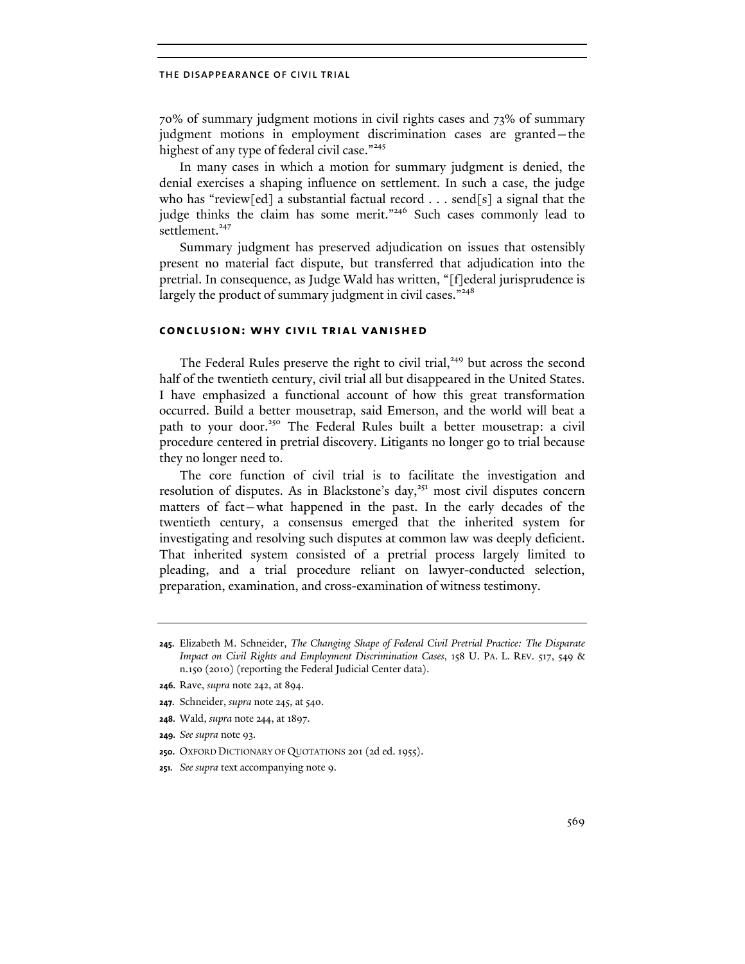70% of summary judgment motions in civil rights cases and 73% of summary judgment motions in employment discrimination cases are granted—the highest of any type of federal civil case."<sup>245</sup>

In many cases in which a motion for summary judgment is denied, the denial exercises a shaping influence on settlement. In such a case, the judge who has "review[ed] a substantial factual record . . . send[s] a signal that the judge thinks the claim has some merit."<sup>246</sup> Such cases commonly lead to settlement.<sup>247</sup>

Summary judgment has preserved adjudication on issues that ostensibly present no material fact dispute, but transferred that adjudication into the pretrial. In consequence, as Judge Wald has written, "[f]ederal jurisprudence is largely the product of summary judgment in civil cases."<sup>248</sup>

# **conclusion: why civil trial vanished**

The Federal Rules preserve the right to civil trial,<sup>249</sup> but across the second half of the twentieth century, civil trial all but disappeared in the United States. I have emphasized a functional account of how this great transformation occurred. Build a better mousetrap, said Emerson, and the world will beat a path to your door.<sup>250</sup> The Federal Rules built a better mousetrap: a civil procedure centered in pretrial discovery. Litigants no longer go to trial because they no longer need to.

The core function of civil trial is to facilitate the investigation and resolution of disputes. As in Blackstone's day,<sup>251</sup> most civil disputes concern matters of fact—what happened in the past. In the early decades of the twentieth century, a consensus emerged that the inherited system for investigating and resolving such disputes at common law was deeply deficient. That inherited system consisted of a pretrial process largely limited to pleading, and a trial procedure reliant on lawyer-conducted selection, preparation, examination, and cross-examination of witness testimony.

**249.** *See supra* note 93.

**251.** *See supra* text accompanying note 9.

**<sup>245.</sup>** Elizabeth M. Schneider, *The Changing Shape of Federal Civil Pretrial Practice: The Disparate Impact on Civil Rights and Employment Discrimination Cases*, 158 U. PA. L. REV. 517, 549 & n.150 (2010) (reporting the Federal Judicial Center data).

**<sup>246.</sup>** Rave, *supra* note 242, at 894.

**<sup>247.</sup>** Schneider, *supra* note 245, at 540.

**<sup>248.</sup>** Wald, *supra* note 244, at 1897.

**<sup>250.</sup>** OXFORD DICTIONARY OF QUOTATIONS 201 (2d ed. 1955).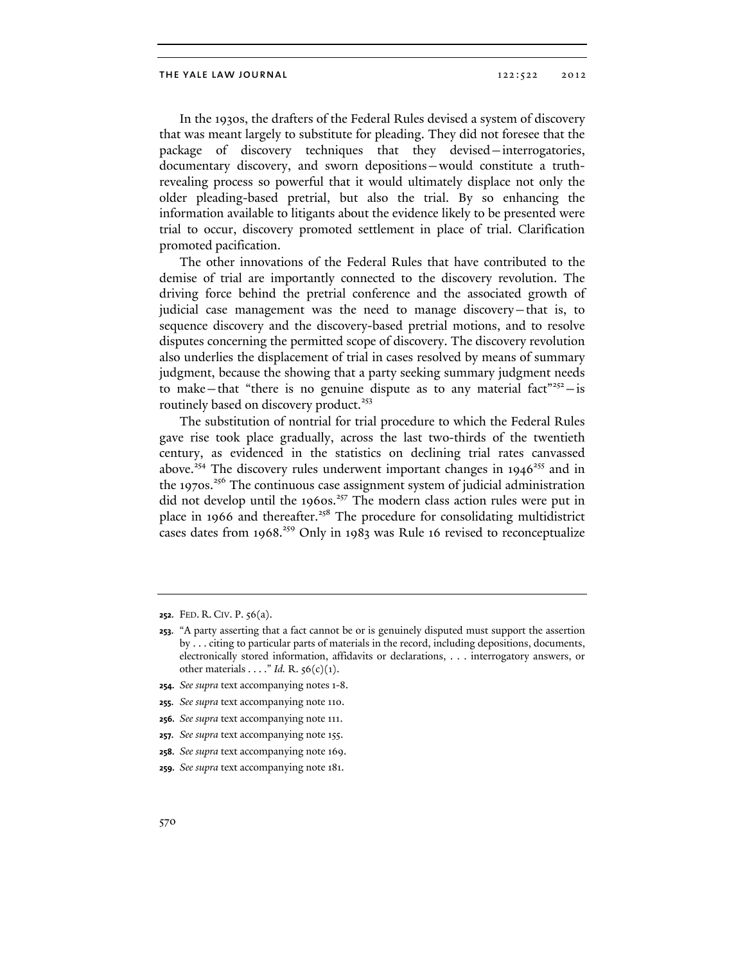In the 1930s, the drafters of the Federal Rules devised a system of discovery that was meant largely to substitute for pleading. They did not foresee that the package of discovery techniques that they devised—interrogatories, documentary discovery, and sworn depositions—would constitute a truthrevealing process so powerful that it would ultimately displace not only the older pleading-based pretrial, but also the trial. By so enhancing the information available to litigants about the evidence likely to be presented were trial to occur, discovery promoted settlement in place of trial. Clarification promoted pacification.

The other innovations of the Federal Rules that have contributed to the demise of trial are importantly connected to the discovery revolution. The driving force behind the pretrial conference and the associated growth of judicial case management was the need to manage discovery—that is, to sequence discovery and the discovery-based pretrial motions, and to resolve disputes concerning the permitted scope of discovery. The discovery revolution also underlies the displacement of trial in cases resolved by means of summary judgment, because the showing that a party seeking summary judgment needs to make—that "there is no genuine dispute as to any material fact"<sup>252</sup>—is routinely based on discovery product.<sup>253</sup>

The substitution of nontrial for trial procedure to which the Federal Rules gave rise took place gradually, across the last two-thirds of the twentieth century, as evidenced in the statistics on declining trial rates canvassed above.<sup>254</sup> The discovery rules underwent important changes in 1946<sup>255</sup> and in the 1970s.<sup>256</sup> The continuous case assignment system of judicial administration did not develop until the 1960s.<sup>257</sup> The modern class action rules were put in place in 1966 and thereafter.<sup>258</sup> The procedure for consolidating multidistrict cases dates from 1968.<sup>259</sup> Only in 1983 was Rule 16 revised to reconceptualize

**<sup>252.</sup>** FED. R. CIV. P. 56(a).

**<sup>253.</sup>** "A party asserting that a fact cannot be or is genuinely disputed must support the assertion by . . . citing to particular parts of materials in the record, including depositions, documents, electronically stored information, affidavits or declarations, . . . interrogatory answers, or other materials . . . ." *Id.* R. 56(c)(1).

**<sup>254.</sup>** *See supra* text accompanying notes 1-8.

**<sup>255.</sup>** *See supra* text accompanying note 110.

**<sup>256.</sup>** *See supra* text accompanying note 111.

**<sup>257.</sup>** *See supra* text accompanying note 155.

**<sup>258.</sup>** *See supra* text accompanying note 169.

**<sup>259.</sup>** *See supra* text accompanying note 181.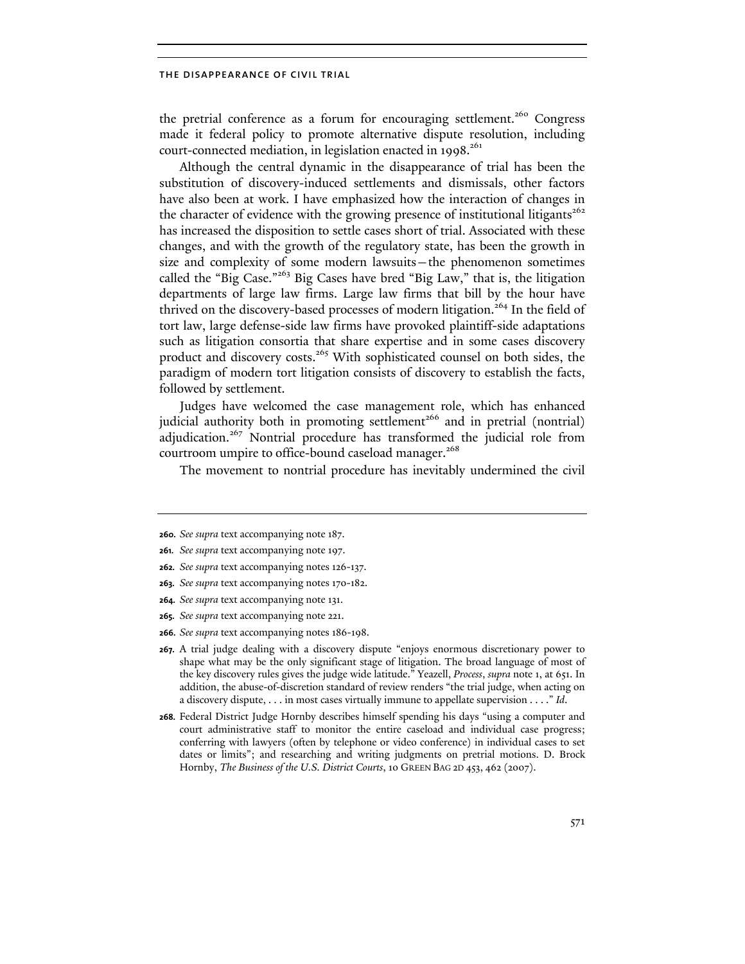the pretrial conference as a forum for encouraging settlement.<sup>260</sup> Congress made it federal policy to promote alternative dispute resolution, including court-connected mediation, in legislation enacted in  $1998$ <sup>261</sup>

Although the central dynamic in the disappearance of trial has been the substitution of discovery-induced settlements and dismissals, other factors have also been at work. I have emphasized how the interaction of changes in the character of evidence with the growing presence of institutional litigants<sup>262</sup> has increased the disposition to settle cases short of trial. Associated with these changes, and with the growth of the regulatory state, has been the growth in size and complexity of some modern lawsuits—the phenomenon sometimes called the "Big Case."<sup>263</sup> Big Cases have bred "Big Law," that is, the litigation departments of large law firms. Large law firms that bill by the hour have thrived on the discovery-based processes of modern litigation.<sup>264</sup> In the field of tort law, large defense-side law firms have provoked plaintiff-side adaptations such as litigation consortia that share expertise and in some cases discovery product and discovery costs.<sup>265</sup> With sophisticated counsel on both sides, the paradigm of modern tort litigation consists of discovery to establish the facts, followed by settlement.

Judges have welcomed the case management role, which has enhanced judicial authority both in promoting settlement<sup>266</sup> and in pretrial (nontrial) adjudication.<sup>267</sup> Nontrial procedure has transformed the judicial role from courtroom umpire to office-bound caseload manager.<sup>268</sup>

The movement to nontrial procedure has inevitably undermined the civil

**266.** *See supra* text accompanying notes 186-198.

**<sup>260.</sup>** *See supra* text accompanying note 187.

**<sup>261.</sup>** *See supra* text accompanying note 197.

**<sup>262.</sup>** *See supra* text accompanying notes 126-137.

**<sup>263.</sup>** *See supra* text accompanying notes 170-182.

**<sup>264.</sup>** *See supra* text accompanying note 131.

**<sup>265.</sup>** *See supra* text accompanying note 221.

**<sup>267.</sup>** A trial judge dealing with a discovery dispute "enjoys enormous discretionary power to shape what may be the only significant stage of litigation. The broad language of most of the key discovery rules gives the judge wide latitude." Yeazell, *Process*, *supra* note 1, at 651. In addition, the abuse-of-discretion standard of review renders "the trial judge, when acting on a discovery dispute, . . . in most cases virtually immune to appellate supervision . . . ." *Id*.

**<sup>268.</sup>** Federal District Judge Hornby describes himself spending his days "using a computer and court administrative staff to monitor the entire caseload and individual case progress; conferring with lawyers (often by telephone or video conference) in individual cases to set dates or limits"; and researching and writing judgments on pretrial motions. D. Brock Hornby, *The Business of the U.S. District Courts*, 10 GREEN BAG 2D 453, 462 (2007).